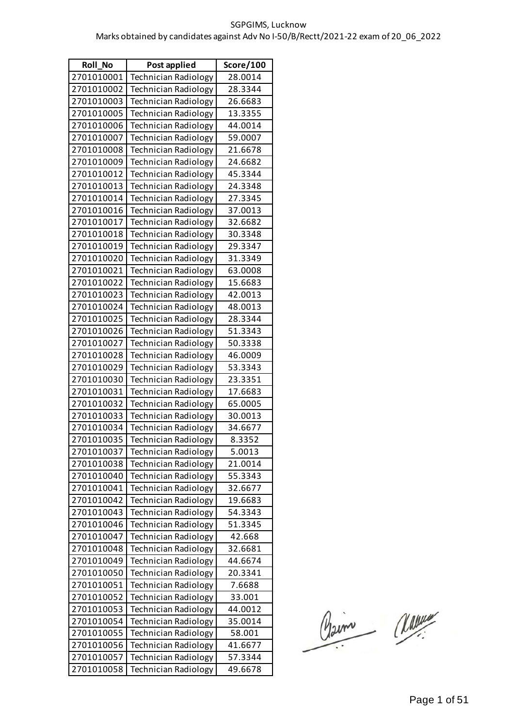| <b>Roll No</b> | Post applied                | Score/100 |
|----------------|-----------------------------|-----------|
| 2701010001     | <b>Technician Radiology</b> | 28.0014   |
| 2701010002     | Technician Radiology        | 28.3344   |
| 2701010003     | <b>Technician Radiology</b> | 26.6683   |
| 2701010005     | <b>Technician Radiology</b> | 13.3355   |
| 2701010006     | <b>Technician Radiology</b> | 44.0014   |
| 2701010007     | <b>Technician Radiology</b> | 59.0007   |
| 2701010008     | <b>Technician Radiology</b> | 21.6678   |
| 2701010009     | <b>Technician Radiology</b> | 24.6682   |
| 2701010012     | Technician Radiology        | 45.3344   |
| 2701010013     | <b>Technician Radiology</b> | 24.3348   |
| 2701010014     | <b>Technician Radiology</b> | 27.3345   |
| 2701010016     | <b>Technician Radiology</b> | 37.0013   |
| 2701010017     | <b>Technician Radiology</b> | 32.6682   |
| 2701010018     | <b>Technician Radiology</b> | 30.3348   |
| 2701010019     | <b>Technician Radiology</b> | 29.3347   |
| 2701010020     | <b>Technician Radiology</b> | 31.3349   |
| 2701010021     | <b>Technician Radiology</b> | 63.0008   |
| 2701010022     | <b>Technician Radiology</b> | 15.6683   |
| 2701010023     | <b>Technician Radiology</b> | 42.0013   |
| 2701010024     | <b>Technician Radiology</b> | 48.0013   |
| 2701010025     | <b>Technician Radiology</b> | 28.3344   |
| 2701010026     | <b>Technician Radiology</b> | 51.3343   |
| 2701010027     | Technician Radiology        | 50.3338   |
| 2701010028     | <b>Technician Radiology</b> | 46.0009   |
| 2701010029     | <b>Technician Radiology</b> | 53.3343   |
| 2701010030     | <b>Technician Radiology</b> | 23.3351   |
| 2701010031     | <b>Technician Radiology</b> | 17.6683   |
| 2701010032     | <b>Technician Radiology</b> | 65.0005   |
| 2701010033     | <b>Technician Radiology</b> | 30.0013   |
| 2701010034     | <b>Technician Radiology</b> | 34.6677   |
| 2701010035     | Technician Radiology        | 8.3352    |
| 2701010037     | Technician Radiology        | 5.0013    |
| 2701010038     | <b>Technician Radiology</b> | 21.0014   |
| 2701010040     | <b>Technician Radiology</b> | 55.3343   |
| 2701010041     | Technician Radiology        | 32.6677   |
| 2701010042     | <b>Technician Radiology</b> | 19.6683   |
| 2701010043     | <b>Technician Radiology</b> | 54.3343   |
| 2701010046     | <b>Technician Radiology</b> | 51.3345   |
| 2701010047     | <b>Technician Radiology</b> | 42.668    |
| 2701010048     | <b>Technician Radiology</b> | 32.6681   |
| 2701010049     | <b>Technician Radiology</b> | 44.6674   |
| 2701010050     | <b>Technician Radiology</b> | 20.3341   |
| 2701010051     | <b>Technician Radiology</b> | 7.6688    |
| 2701010052     | <b>Technician Radiology</b> | 33.001    |
| 2701010053     | <b>Technician Radiology</b> | 44.0012   |
| 2701010054     | <b>Technician Radiology</b> | 35.0014   |
| 2701010055     | <b>Technician Radiology</b> | 58.001    |
| 2701010056     | <b>Technician Radiology</b> | 41.6677   |
| 2701010057     | <b>Technician Radiology</b> | 57.3344   |
| 2701010058     | <b>Technician Radiology</b> | 49.6678   |

Claim Classe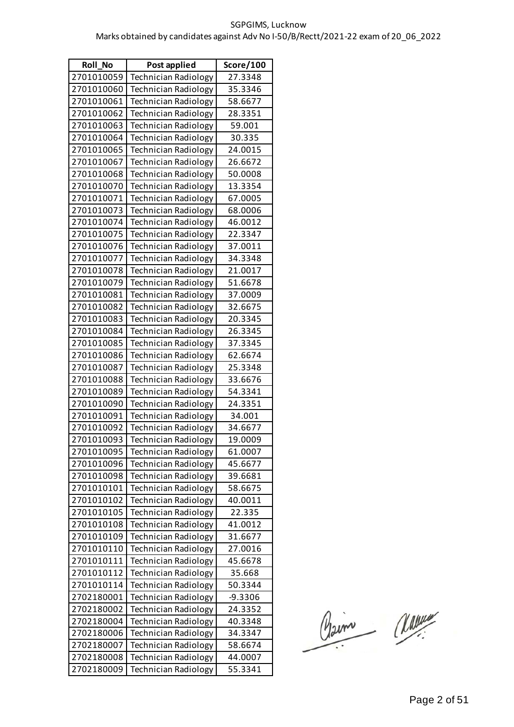| <b>Roll No</b> | Post applied                | Score/100 |
|----------------|-----------------------------|-----------|
| 2701010059     | <b>Technician Radiology</b> | 27.3348   |
| 2701010060     | <b>Technician Radiology</b> | 35.3346   |
| 2701010061     | <b>Technician Radiology</b> | 58.6677   |
| 2701010062     | <b>Technician Radiology</b> | 28.3351   |
| 2701010063     | <b>Technician Radiology</b> | 59.001    |
| 2701010064     | <b>Technician Radiology</b> | 30.335    |
| 2701010065     | <b>Technician Radiology</b> | 24.0015   |
| 2701010067     | <b>Technician Radiology</b> | 26.6672   |
| 2701010068     | <b>Technician Radiology</b> | 50.0008   |
| 2701010070     | <b>Technician Radiology</b> | 13.3354   |
| 2701010071     | <b>Technician Radiology</b> | 67.0005   |
| 2701010073     | <b>Technician Radiology</b> | 68.0006   |
| 2701010074     | <b>Technician Radiology</b> | 46.0012   |
| 2701010075     | <b>Technician Radiology</b> | 22.3347   |
| 2701010076     | <b>Technician Radiology</b> | 37.0011   |
| 2701010077     | <b>Technician Radiology</b> | 34.3348   |
| 2701010078     | <b>Technician Radiology</b> | 21.0017   |
| 2701010079     | <b>Technician Radiology</b> | 51.6678   |
| 2701010081     | Technician Radiology        | 37.0009   |
| 2701010082     | <b>Technician Radiology</b> | 32.6675   |
| 2701010083     | <b>Technician Radiology</b> | 20.3345   |
| 2701010084     | <b>Technician Radiology</b> | 26.3345   |
| 2701010085     | <b>Technician Radiology</b> | 37.3345   |
| 2701010086     | <b>Technician Radiology</b> | 62.6674   |
| 2701010087     | Technician Radiology        | 25.3348   |
| 2701010088     | <b>Technician Radiology</b> | 33.6676   |
| 2701010089     | <b>Technician Radiology</b> | 54.3341   |
| 2701010090     | <b>Technician Radiology</b> | 24.3351   |
| 2701010091     | <b>Technician Radiology</b> | 34.001    |
| 2701010092     | <b>Technician Radiology</b> | 34.6677   |
| 2701010093     | Technician Radiology        | 19.0009   |
| 2701010095     | <b>Technician Radiology</b> | 61.0007   |
| 2701010096     | <b>Technician Radiology</b> | 45.6677   |
| 2701010098     | <b>Technician Radiology</b> | 39.6681   |
| 2701010101     | <b>Technician Radiology</b> | 58.6675   |
| 2701010102     | <b>Technician Radiology</b> | 40.0011   |
| 2701010105     | <b>Technician Radiology</b> | 22.335    |
| 2701010108     | <b>Technician Radiology</b> | 41.0012   |
| 2701010109     | <b>Technician Radiology</b> | 31.6677   |
| 2701010110     | Technician Radiology        | 27.0016   |
| 2701010111     | <b>Technician Radiology</b> | 45.6678   |
| 2701010112     | <b>Technician Radiology</b> | 35.668    |
| 2701010114     | <b>Technician Radiology</b> | 50.3344   |
| 2702180001     | <b>Technician Radiology</b> | $-9.3306$ |
| 2702180002     | Technician Radiology        | 24.3352   |
| 2702180004     | <b>Technician Radiology</b> | 40.3348   |
| 2702180006     | <b>Technician Radiology</b> | 34.3347   |
| 2702180007     | <b>Technician Radiology</b> | 58.6674   |
| 2702180008     | <b>Technician Radiology</b> | 44.0007   |
| 2702180009     | <b>Technician Radiology</b> | 55.3341   |

Claim Marine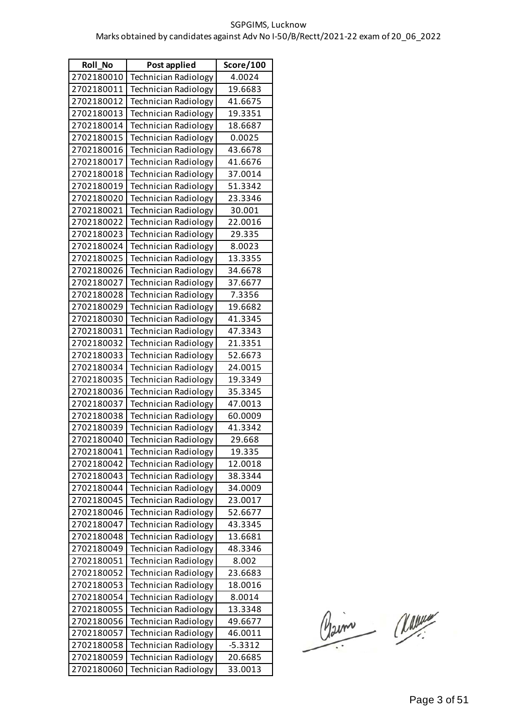| <b>Roll No</b> | Post applied                | Score/100 |
|----------------|-----------------------------|-----------|
| 2702180010     | <b>Technician Radiology</b> | 4.0024    |
| 2702180011     | <b>Technician Radiology</b> | 19.6683   |
| 2702180012     | <b>Technician Radiology</b> | 41.6675   |
| 2702180013     | <b>Technician Radiology</b> | 19.3351   |
| 2702180014     | <b>Technician Radiology</b> | 18.6687   |
| 2702180015     | <b>Technician Radiology</b> | 0.0025    |
| 2702180016     | <b>Technician Radiology</b> | 43.6678   |
| 2702180017     | <b>Technician Radiology</b> | 41.6676   |
| 2702180018     | <b>Technician Radiology</b> | 37.0014   |
| 2702180019     | <b>Technician Radiology</b> | 51.3342   |
| 2702180020     | <b>Technician Radiology</b> | 23.3346   |
| 2702180021     | <b>Technician Radiology</b> | 30.001    |
| 2702180022     | Technician Radiology        | 22.0016   |
| 2702180023     | <b>Technician Radiology</b> | 29.335    |
| 2702180024     | <b>Technician Radiology</b> | 8.0023    |
| 2702180025     | <b>Technician Radiology</b> | 13.3355   |
| 2702180026     | <b>Technician Radiology</b> | 34.6678   |
| 2702180027     | <b>Technician Radiology</b> | 37.6677   |
| 2702180028     | Technician Radiology        | 7.3356    |
| 2702180029     | <b>Technician Radiology</b> | 19.6682   |
| 2702180030     | <b>Technician Radiology</b> | 41.3345   |
| 2702180031     | <b>Technician Radiology</b> | 47.3343   |
| 2702180032     | <b>Technician Radiology</b> | 21.3351   |
| 2702180033     | <b>Technician Radiology</b> | 52.6673   |
| 2702180034     | Technician Radiology        | 24.0015   |
| 2702180035     | <b>Technician Radiology</b> | 19.3349   |
| 2702180036     | <b>Technician Radiology</b> | 35.3345   |
| 2702180037     | <b>Technician Radiology</b> | 47.0013   |
| 2702180038     | <b>Technician Radiology</b> | 60.0009   |
| 2702180039     | <b>Technician Radiology</b> | 41.3342   |
| 2702180040     | Technician Radiology        | 29.668    |
| 2702180041     | <b>Technician Radiology</b> | 19.335    |
| 2702180042     | <b>Technician Radiology</b> | 12.0018   |
| 2702180043     | <b>Technician Radiology</b> | 38.3344   |
| 2702180044     | <b>Technician Radiology</b> | 34.0009   |
| 2702180045     | <b>Technician Radiology</b> | 23.0017   |
| 2702180046     | <b>Technician Radiology</b> | 52.6677   |
| 2702180047     | <b>Technician Radiology</b> | 43.3345   |
| 2702180048     | <b>Technician Radiology</b> | 13.6681   |
| 2702180049     | <b>Technician Radiology</b> | 48.3346   |
| 2702180051     | <b>Technician Radiology</b> | 8.002     |
| 2702180052     | <b>Technician Radiology</b> | 23.6683   |
| 2702180053     | <b>Technician Radiology</b> | 18.0016   |
| 2702180054     | <b>Technician Radiology</b> | 8.0014    |
| 2702180055     | <b>Technician Radiology</b> | 13.3348   |
| 2702180056     | <b>Technician Radiology</b> | 49.6677   |
| 2702180057     | <b>Technician Radiology</b> | 46.0011   |
| 2702180058     | <b>Technician Radiology</b> | $-5.3312$ |
| 2702180059     | Technician Radiology        | 20.6685   |
| 2702180060     | <b>Technician Radiology</b> | 33.0013   |

Claim Classe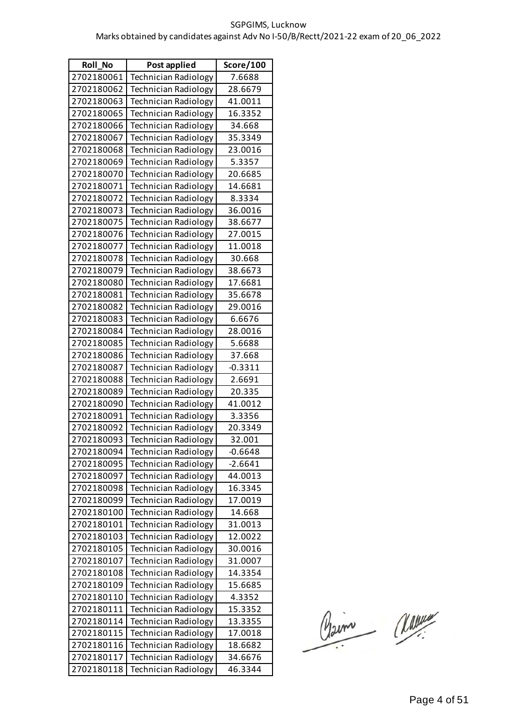| <b>Roll No</b> | Post applied                | Score/100 |
|----------------|-----------------------------|-----------|
| 2702180061     | <b>Technician Radiology</b> | 7.6688    |
| 2702180062     | <b>Technician Radiology</b> | 28.6679   |
| 2702180063     | <b>Technician Radiology</b> | 41.0011   |
| 2702180065     | <b>Technician Radiology</b> | 16.3352   |
| 2702180066     | <b>Technician Radiology</b> | 34.668    |
| 2702180067     | <b>Technician Radiology</b> | 35.3349   |
| 2702180068     | <b>Technician Radiology</b> | 23.0016   |
| 2702180069     | <b>Technician Radiology</b> | 5.3357    |
| 2702180070     | <b>Technician Radiology</b> | 20.6685   |
| 2702180071     | <b>Technician Radiology</b> | 14.6681   |
| 2702180072     | <b>Technician Radiology</b> | 8.3334    |
| 2702180073     | <b>Technician Radiology</b> | 36.0016   |
| 2702180075     | <b>Technician Radiology</b> | 38.6677   |
| 2702180076     | <b>Technician Radiology</b> | 27.0015   |
| 2702180077     | <b>Technician Radiology</b> | 11.0018   |
| 2702180078     | <b>Technician Radiology</b> | 30.668    |
| 2702180079     | <b>Technician Radiology</b> | 38.6673   |
| 2702180080     | <b>Technician Radiology</b> | 17.6681   |
| 2702180081     | <b>Technician Radiology</b> | 35.6678   |
| 2702180082     | <b>Technician Radiology</b> | 29.0016   |
| 2702180083     | <b>Technician Radiology</b> | 6.6676    |
| 2702180084     | <b>Technician Radiology</b> | 28.0016   |
| 2702180085     | Technician Radiology        | 5.6688    |
| 2702180086     | <b>Technician Radiology</b> | 37.668    |
| 2702180087     | <b>Technician Radiology</b> | $-0.3311$ |
| 2702180088     | <b>Technician Radiology</b> | 2.6691    |
| 2702180089     | <b>Technician Radiology</b> | 20.335    |
| 2702180090     | <b>Technician Radiology</b> | 41.0012   |
| 2702180091     | <b>Technician Radiology</b> | 3.3356    |
| 2702180092     | Technician Radiology        | 20.3349   |
| 2702180093     | Technician Radiology        | 32.001    |
| 2702180094     | Technician Radiology        | $-0.6648$ |
| 2702180095     | <b>Technician Radiology</b> | $-2.6641$ |
| 2702180097     | Technician Radiology        | 44.0013   |
| 2702180098     | Technician Radiology        | 16.3345   |
| 2702180099     | <b>Technician Radiology</b> | 17.0019   |
| 2702180100     | Technician Radiology        | 14.668    |
| 2702180101     | <b>Technician Radiology</b> | 31.0013   |
| 2702180103     | <b>Technician Radiology</b> | 12.0022   |
| 2702180105     | <b>Technician Radiology</b> | 30.0016   |
| 2702180107     | Technician Radiology        | 31.0007   |
| 2702180108     | <b>Technician Radiology</b> | 14.3354   |
| 2702180109     | <b>Technician Radiology</b> | 15.6685   |
| 2702180110     | <b>Technician Radiology</b> | 4.3352    |
| 2702180111     | <b>Technician Radiology</b> | 15.3352   |
| 2702180114     | <b>Technician Radiology</b> | 13.3355   |
| 2702180115     | Technician Radiology        | 17.0018   |
| 2702180116     | <b>Technician Radiology</b> | 18.6682   |
| 2702180117     | <b>Technician Radiology</b> | 34.6676   |
| 2702180118     | Technician Radiology        | 46.3344   |

Claim Classe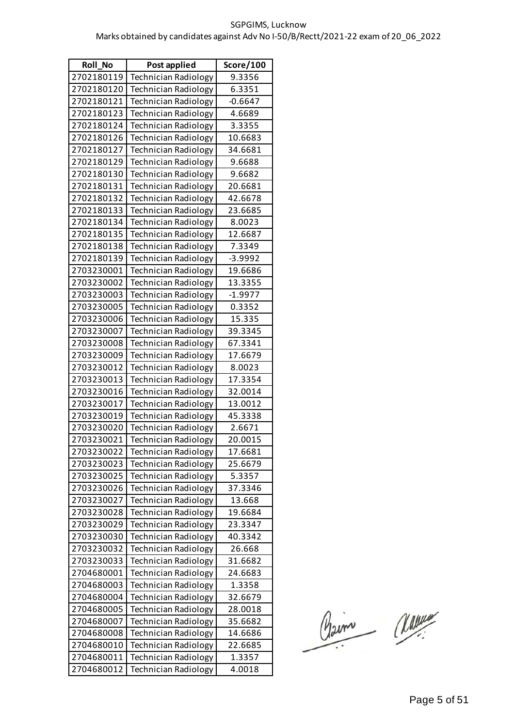| <b>Roll No</b> | Post applied                | Score/100 |
|----------------|-----------------------------|-----------|
| 2702180119     | <b>Technician Radiology</b> | 9.3356    |
| 2702180120     | <b>Technician Radiology</b> | 6.3351    |
| 2702180121     | <b>Technician Radiology</b> | $-0.6647$ |
| 2702180123     | <b>Technician Radiology</b> | 4.6689    |
| 2702180124     | <b>Technician Radiology</b> | 3.3355    |
| 2702180126     | <b>Technician Radiology</b> | 10.6683   |
| 2702180127     | <b>Technician Radiology</b> | 34.6681   |
| 2702180129     | <b>Technician Radiology</b> | 9.6688    |
| 2702180130     | <b>Technician Radiology</b> | 9.6682    |
| 2702180131     | <b>Technician Radiology</b> | 20.6681   |
| 2702180132     | <b>Technician Radiology</b> | 42.6678   |
| 2702180133     | <b>Technician Radiology</b> | 23.6685   |
| 2702180134     | <b>Technician Radiology</b> | 8.0023    |
| 2702180135     | <b>Technician Radiology</b> | 12.6687   |
| 2702180138     | <b>Technician Radiology</b> | 7.3349    |
| 2702180139     | <b>Technician Radiology</b> | $-3.9992$ |
| 2703230001     | <b>Technician Radiology</b> | 19.6686   |
| 2703230002     | <b>Technician Radiology</b> | 13.3355   |
| 2703230003     | <b>Technician Radiology</b> | $-1.9977$ |
| 2703230005     | <b>Technician Radiology</b> | 0.3352    |
| 2703230006     | <b>Technician Radiology</b> | 15.335    |
| 2703230007     | <b>Technician Radiology</b> | 39.3345   |
| 2703230008     | <b>Technician Radiology</b> | 67.3341   |
| 2703230009     | <b>Technician Radiology</b> | 17.6679   |
| 2703230012     | <b>Technician Radiology</b> | 8.0023    |
| 2703230013     | <b>Technician Radiology</b> | 17.3354   |
| 2703230016     | <b>Technician Radiology</b> | 32.0014   |
| 2703230017     | <b>Technician Radiology</b> | 13.0012   |
| 2703230019     | <b>Technician Radiology</b> | 45.3338   |
| 2703230020     | <b>Technician Radiology</b> | 2.6671    |
| 2703230021     | Technician Radiology        | 20.0015   |
| 2703230022     | <b>Technician Radiology</b> | 17.6681   |
| 2703230023     | <b>Technician Radiology</b> | 25.6679   |
| 2703230025     | <b>Technician Radiology</b> | 5.3357    |
| 2703230026     | <b>Technician Radiology</b> | 37.3346   |
| 2703230027     | <b>Technician Radiology</b> | 13.668    |
| 2703230028     | <b>Technician Radiology</b> | 19.6684   |
| 2703230029     | <b>Technician Radiology</b> | 23.3347   |
| 2703230030     | <b>Technician Radiology</b> | 40.3342   |
| 2703230032     | <b>Technician Radiology</b> | 26.668    |
| 2703230033     | <b>Technician Radiology</b> | 31.6682   |
| 2704680001     | <b>Technician Radiology</b> | 24.6683   |
| 2704680003     | <b>Technician Radiology</b> | 1.3358    |
| 2704680004     | <b>Technician Radiology</b> | 32.6679   |
| 2704680005     | <b>Technician Radiology</b> | 28.0018   |
| 2704680007     | <b>Technician Radiology</b> | 35.6682   |
| 2704680008     | <b>Technician Radiology</b> | 14.6686   |
| 2704680010     | <b>Technician Radiology</b> | 22.6685   |
| 2704680011     | <b>Technician Radiology</b> | 1.3357    |
| 2704680012     | Technician Radiology        | 4.0018    |

Claim Marine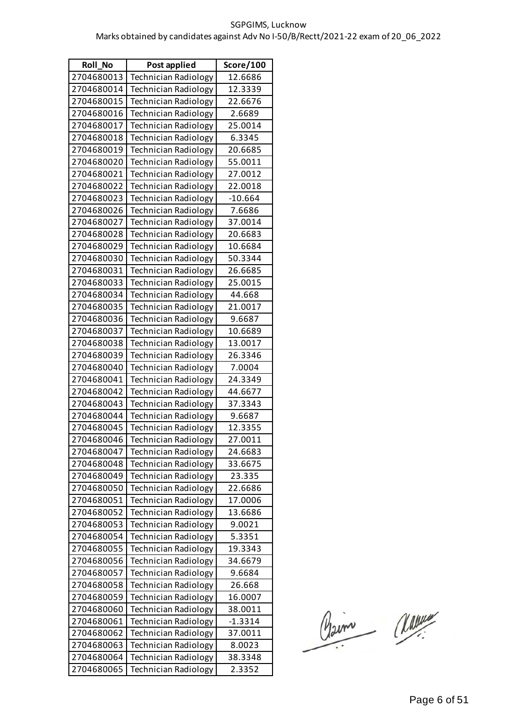| Roll_No    | Post applied                | Score/100 |
|------------|-----------------------------|-----------|
| 2704680013 | Technician Radiology        | 12.6686   |
| 2704680014 | <b>Technician Radiology</b> | 12.3339   |
| 2704680015 | <b>Technician Radiology</b> | 22.6676   |
| 2704680016 | <b>Technician Radiology</b> | 2.6689    |
| 2704680017 | <b>Technician Radiology</b> | 25.0014   |
| 2704680018 | <b>Technician Radiology</b> | 6.3345    |
| 2704680019 | <b>Technician Radiology</b> | 20.6685   |
| 2704680020 | <b>Technician Radiology</b> | 55.0011   |
| 2704680021 | <b>Technician Radiology</b> | 27.0012   |
| 2704680022 | <b>Technician Radiology</b> | 22.0018   |
| 2704680023 | <b>Technician Radiology</b> | $-10.664$ |
| 2704680026 | <b>Technician Radiology</b> | 7.6686    |
| 2704680027 | <b>Technician Radiology</b> | 37.0014   |
| 2704680028 | <b>Technician Radiology</b> | 20.6683   |
| 2704680029 | <b>Technician Radiology</b> | 10.6684   |
| 2704680030 | <b>Technician Radiology</b> | 50.3344   |
| 2704680031 | <b>Technician Radiology</b> | 26.6685   |
| 2704680033 | <b>Technician Radiology</b> | 25.0015   |
| 2704680034 | <b>Technician Radiology</b> | 44.668    |
| 2704680035 | <b>Technician Radiology</b> | 21.0017   |
| 2704680036 | <b>Technician Radiology</b> | 9.6687    |
| 2704680037 | <b>Technician Radiology</b> | 10.6689   |
| 2704680038 | Technician Radiology        | 13.0017   |
| 2704680039 | <b>Technician Radiology</b> | 26.3346   |
| 2704680040 | <b>Technician Radiology</b> | 7.0004    |
| 2704680041 | <b>Technician Radiology</b> | 24.3349   |
| 2704680042 | <b>Technician Radiology</b> | 44.6677   |
| 2704680043 | <b>Technician Radiology</b> | 37.3343   |
| 2704680044 | <b>Technician Radiology</b> | 9.6687    |
| 2704680045 | <b>Technician Radiology</b> | 12.3355   |
| 2704680046 | Technician Radiology        | 27.0011   |
| 2704680047 | Technician Radiology        | 24.6683   |
| 2704680048 | <b>Technician Radiology</b> | 33.6675   |
| 2704680049 | <b>Technician Radiology</b> | 23.335    |
| 2704680050 | Technician Radiology        | 22.6686   |
| 2704680051 | Technician Radiology        | 17.0006   |
| 2704680052 | Technician Radiology        | 13.6686   |
| 2704680053 | <b>Technician Radiology</b> | 9.0021    |
| 2704680054 | <b>Technician Radiology</b> | 5.3351    |
| 2704680055 | <b>Technician Radiology</b> | 19.3343   |
| 2704680056 | <b>Technician Radiology</b> | 34.6679   |
| 2704680057 | <b>Technician Radiology</b> | 9.6684    |
| 2704680058 | <b>Technician Radiology</b> | 26.668    |
| 2704680059 | <b>Technician Radiology</b> | 16.0007   |
| 2704680060 | <b>Technician Radiology</b> | 38.0011   |
| 2704680061 | <b>Technician Radiology</b> | $-1.3314$ |
| 2704680062 | <b>Technician Radiology</b> | 37.0011   |
| 2704680063 | <b>Technician Radiology</b> | 8.0023    |
| 2704680064 | <b>Technician Radiology</b> | 38.3348   |
| 2704680065 | <b>Technician Radiology</b> | 2.3352    |

Claim Marine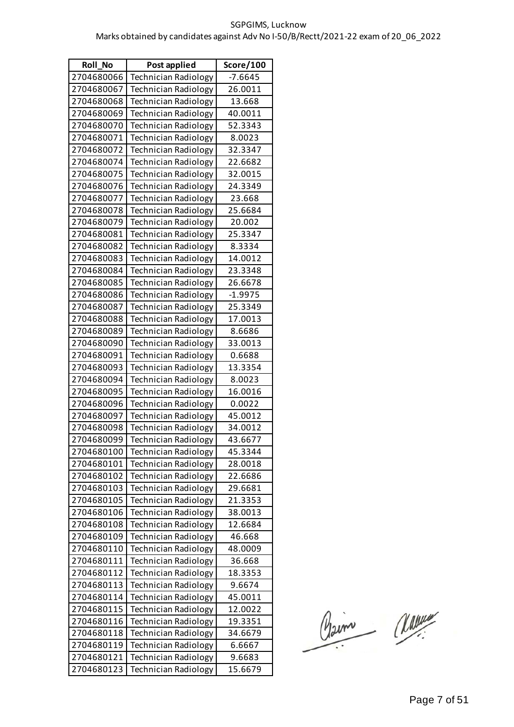| <b>Roll No</b> | Post applied                | Score/100 |
|----------------|-----------------------------|-----------|
| 2704680066     | <b>Technician Radiology</b> | $-7.6645$ |
| 2704680067     | <b>Technician Radiology</b> | 26.0011   |
| 2704680068     | <b>Technician Radiology</b> | 13.668    |
| 2704680069     | <b>Technician Radiology</b> | 40.0011   |
| 2704680070     | <b>Technician Radiology</b> | 52.3343   |
| 2704680071     | <b>Technician Radiology</b> | 8.0023    |
| 2704680072     | <b>Technician Radiology</b> | 32.3347   |
| 2704680074     | <b>Technician Radiology</b> | 22.6682   |
| 2704680075     | Technician Radiology        | 32.0015   |
| 2704680076     | <b>Technician Radiology</b> | 24.3349   |
| 2704680077     | <b>Technician Radiology</b> | 23.668    |
| 2704680078     | <b>Technician Radiology</b> | 25.6684   |
| 2704680079     | <b>Technician Radiology</b> | 20.002    |
| 2704680081     | <b>Technician Radiology</b> | 25.3347   |
| 2704680082     | <b>Technician Radiology</b> | 8.3334    |
| 2704680083     | <b>Technician Radiology</b> | 14.0012   |
| 2704680084     | <b>Technician Radiology</b> | 23.3348   |
| 2704680085     | <b>Technician Radiology</b> | 26.6678   |
| 2704680086     | <b>Technician Radiology</b> | $-1.9975$ |
| 2704680087     | <b>Technician Radiology</b> | 25.3349   |
| 2704680088     | <b>Technician Radiology</b> | 17.0013   |
| 2704680089     | <b>Technician Radiology</b> | 8.6686    |
| 2704680090     | <b>Technician Radiology</b> | 33.0013   |
| 2704680091     | <b>Technician Radiology</b> | 0.6688    |
| 2704680093     | Technician Radiology        | 13.3354   |
| 2704680094     | <b>Technician Radiology</b> | 8.0023    |
| 2704680095     | <b>Technician Radiology</b> | 16.0016   |
| 2704680096     | <b>Technician Radiology</b> | 0.0022    |
| 2704680097     | <b>Technician Radiology</b> | 45.0012   |
| 2704680098     | <b>Technician Radiology</b> | 34.0012   |
| 2704680099     | Technician Radiology        | 43.6677   |
| 2704680100     | <b>Technician Radiology</b> | 45.3344   |
| 2704680101     | <b>Technician Radiology</b> | 28.0018   |
| 2704680102     | <b>Technician Radiology</b> | 22.6686   |
| 2704680103     | <b>Technician Radiology</b> | 29.6681   |
| 2704680105     | <b>Technician Radiology</b> | 21.3353   |
| 2704680106     | <b>Technician Radiology</b> | 38.0013   |
| 2704680108     | <b>Technician Radiology</b> | 12.6684   |
| 2704680109     | <b>Technician Radiology</b> | 46.668    |
| 2704680110     | <b>Technician Radiology</b> | 48.0009   |
| 2704680111     | <b>Technician Radiology</b> | 36.668    |
| 2704680112     | <b>Technician Radiology</b> | 18.3353   |
| 2704680113     | <b>Technician Radiology</b> | 9.6674    |
| 2704680114     | <b>Technician Radiology</b> | 45.0011   |
| 2704680115     | <b>Technician Radiology</b> | 12.0022   |
| 2704680116     | <b>Technician Radiology</b> | 19.3351   |
| 2704680118     | <b>Technician Radiology</b> | 34.6679   |
| 2704680119     | <b>Technician Radiology</b> | 6.6667    |
| 2704680121     | <b>Technician Radiology</b> | 9.6683    |
| 2704680123     | Technician Radiology        | 15.6679   |

Claim Marine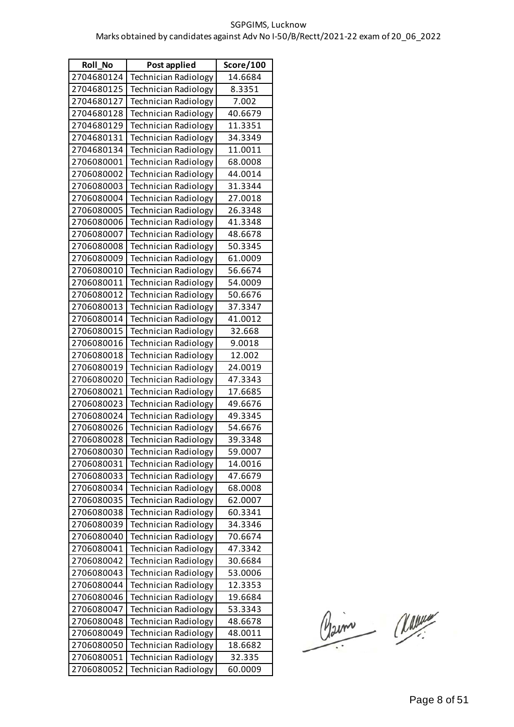| <b>Roll No</b> | Post applied                | Score/100 |
|----------------|-----------------------------|-----------|
| 2704680124     | <b>Technician Radiology</b> | 14.6684   |
| 2704680125     | <b>Technician Radiology</b> | 8.3351    |
| 2704680127     | <b>Technician Radiology</b> | 7.002     |
| 2704680128     | <b>Technician Radiology</b> | 40.6679   |
| 2704680129     | <b>Technician Radiology</b> | 11.3351   |
| 2704680131     | <b>Technician Radiology</b> | 34.3349   |
| 2704680134     | <b>Technician Radiology</b> | 11.0011   |
| 2706080001     | <b>Technician Radiology</b> | 68.0008   |
| 2706080002     | <b>Technician Radiology</b> | 44.0014   |
| 2706080003     | <b>Technician Radiology</b> | 31.3344   |
| 2706080004     | <b>Technician Radiology</b> | 27.0018   |
| 2706080005     | <b>Technician Radiology</b> | 26.3348   |
| 2706080006     | <b>Technician Radiology</b> | 41.3348   |
| 2706080007     | <b>Technician Radiology</b> | 48.6678   |
| 2706080008     | <b>Technician Radiology</b> | 50.3345   |
| 2706080009     | <b>Technician Radiology</b> | 61.0009   |
| 2706080010     | <b>Technician Radiology</b> | 56.6674   |
| 2706080011     | <b>Technician Radiology</b> | 54.0009   |
| 2706080012     | <b>Technician Radiology</b> | 50.6676   |
| 2706080013     | <b>Technician Radiology</b> | 37.3347   |
| 2706080014     | <b>Technician Radiology</b> | 41.0012   |
| 2706080015     | <b>Technician Radiology</b> | 32.668    |
| 2706080016     | <b>Technician Radiology</b> | 9.0018    |
| 2706080018     | <b>Technician Radiology</b> | 12.002    |
| 2706080019     | Technician Radiology        | 24.0019   |
| 2706080020     | <b>Technician Radiology</b> | 47.3343   |
| 2706080021     | <b>Technician Radiology</b> | 17.6685   |
| 2706080023     | <b>Technician Radiology</b> | 49.6676   |
| 2706080024     | <b>Technician Radiology</b> | 49.3345   |
| 2706080026     | <b>Technician Radiology</b> | 54.6676   |
| 2706080028     | Technician Radiology        | 39.3348   |
| 2706080030     | <b>Technician Radiology</b> | 59.0007   |
| 2706080031     | <b>Technician Radiology</b> | 14.0016   |
| 2706080033     | <b>Technician Radiology</b> | 47.6679   |
| 2706080034     | <b>Technician Radiology</b> | 68.0008   |
| 2706080035     | <b>Technician Radiology</b> | 62.0007   |
| 2706080038     | <b>Technician Radiology</b> | 60.3341   |
| 2706080039     | <b>Technician Radiology</b> | 34.3346   |
| 2706080040     | <b>Technician Radiology</b> | 70.6674   |
| 2706080041     | <b>Technician Radiology</b> | 47.3342   |
| 2706080042     | <b>Technician Radiology</b> | 30.6684   |
| 2706080043     | <b>Technician Radiology</b> | 53.0006   |
| 2706080044     | <b>Technician Radiology</b> | 12.3353   |
| 2706080046     | <b>Technician Radiology</b> | 19.6684   |
| 2706080047     | <b>Technician Radiology</b> | 53.3343   |
| 2706080048     | <b>Technician Radiology</b> | 48.6678   |
| 2706080049     | <b>Technician Radiology</b> | 48.0011   |
| 2706080050     | Technician Radiology        | 18.6682   |
| 2706080051     | <b>Technician Radiology</b> | 32.335    |
| 2706080052     | <b>Technician Radiology</b> | 60.0009   |

Claim Marine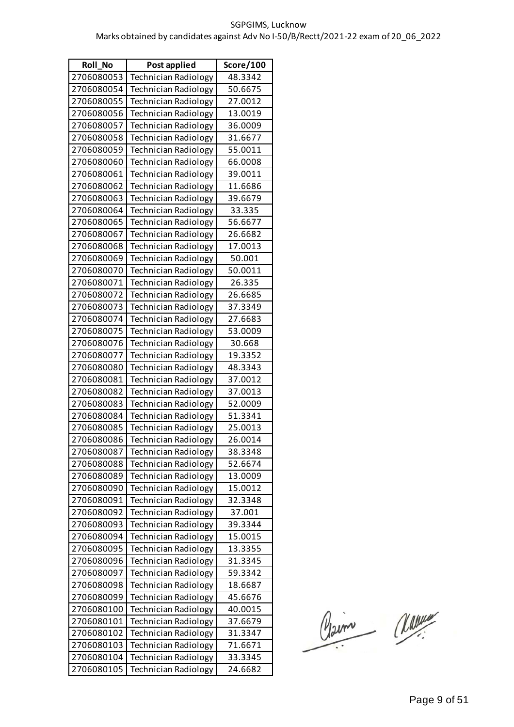| <b>Roll No</b> | Post applied                | Score/100 |
|----------------|-----------------------------|-----------|
| 2706080053     | <b>Technician Radiology</b> | 48.3342   |
| 2706080054     | Technician Radiology        | 50.6675   |
| 2706080055     | Technician Radiology        | 27.0012   |
| 2706080056     | <b>Technician Radiology</b> | 13.0019   |
| 2706080057     | <b>Technician Radiology</b> | 36.0009   |
| 2706080058     | <b>Technician Radiology</b> | 31.6677   |
| 2706080059     | <b>Technician Radiology</b> | 55.0011   |
| 2706080060     | <b>Technician Radiology</b> | 66.0008   |
| 2706080061     | <b>Technician Radiology</b> | 39.0011   |
| 2706080062     | <b>Technician Radiology</b> | 11.6686   |
| 2706080063     | <b>Technician Radiology</b> | 39.6679   |
| 2706080064     | <b>Technician Radiology</b> | 33.335    |
| 2706080065     | <b>Technician Radiology</b> | 56.6677   |
| 2706080067     | <b>Technician Radiology</b> | 26.6682   |
| 2706080068     | <b>Technician Radiology</b> | 17.0013   |
| 2706080069     | <b>Technician Radiology</b> | 50.001    |
| 2706080070     | <b>Technician Radiology</b> | 50.0011   |
| 2706080071     | <b>Technician Radiology</b> | 26.335    |
| 2706080072     | <b>Technician Radiology</b> | 26.6685   |
| 2706080073     | <b>Technician Radiology</b> | 37.3349   |
| 2706080074     | <b>Technician Radiology</b> | 27.6683   |
| 2706080075     | <b>Technician Radiology</b> | 53.0009   |
| 2706080076     | Technician Radiology        | 30.668    |
| 2706080077     | <b>Technician Radiology</b> | 19.3352   |
| 2706080080     | <b>Technician Radiology</b> | 48.3343   |
| 2706080081     | <b>Technician Radiology</b> | 37.0012   |
| 2706080082     | <b>Technician Radiology</b> | 37.0013   |
| 2706080083     | Technician Radiology        | 52.0009   |
| 2706080084     | <b>Technician Radiology</b> | 51.3341   |
| 2706080085     | <b>Technician Radiology</b> | 25.0013   |
| 2706080086     | Technician Radiology        | 26.0014   |
| 2706080087     | Technician Radiology        | 38.3348   |
| 2706080088     | <b>Technician Radiology</b> | 52.6674   |
| 2706080089     | <b>Technician Radiology</b> | 13.0009   |
| 2706080090     | <b>Technician Radiology</b> | 15.0012   |
| 2706080091     | <b>Technician Radiology</b> | 32.3348   |
| 2706080092     | <b>Technician Radiology</b> | 37.001    |
| 2706080093     | <b>Technician Radiology</b> | 39.3344   |
| 2706080094     | <b>Technician Radiology</b> | 15.0015   |
| 2706080095     | Technician Radiology        | 13.3355   |
| 2706080096     | <b>Technician Radiology</b> | 31.3345   |
| 2706080097     | <b>Technician Radiology</b> | 59.3342   |
| 2706080098     | <b>Technician Radiology</b> | 18.6687   |
| 2706080099     | <b>Technician Radiology</b> | 45.6676   |
| 2706080100     | <b>Technician Radiology</b> | 40.0015   |
| 2706080101     | <b>Technician Radiology</b> | 37.6679   |
| 2706080102     | <b>Technician Radiology</b> | 31.3347   |
| 2706080103     | <b>Technician Radiology</b> | 71.6671   |
| 2706080104     | <b>Technician Radiology</b> | 33.3345   |
| 2706080105     | <b>Technician Radiology</b> | 24.6682   |

Claim Classe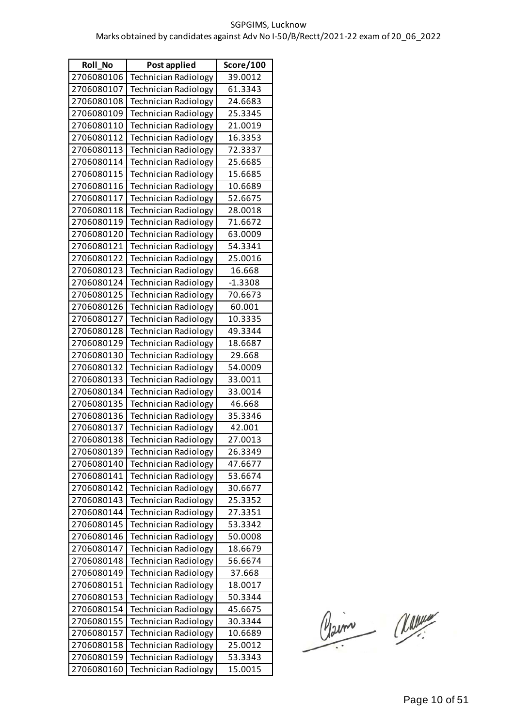| Roll_No    | Post applied                | Score/100 |
|------------|-----------------------------|-----------|
| 2706080106 | <b>Technician Radiology</b> | 39.0012   |
| 2706080107 | <b>Technician Radiology</b> | 61.3343   |
| 2706080108 | <b>Technician Radiology</b> | 24.6683   |
| 2706080109 | <b>Technician Radiology</b> | 25.3345   |
| 2706080110 | <b>Technician Radiology</b> | 21.0019   |
| 2706080112 | <b>Technician Radiology</b> | 16.3353   |
| 2706080113 | <b>Technician Radiology</b> | 72.3337   |
| 2706080114 | Technician Radiology        | 25.6685   |
| 2706080115 | <b>Technician Radiology</b> | 15.6685   |
| 2706080116 | <b>Technician Radiology</b> | 10.6689   |
| 2706080117 | <b>Technician Radiology</b> | 52.6675   |
| 2706080118 | <b>Technician Radiology</b> | 28.0018   |
| 2706080119 | <b>Technician Radiology</b> | 71.6672   |
| 2706080120 | <b>Technician Radiology</b> | 63.0009   |
| 2706080121 | <b>Technician Radiology</b> | 54.3341   |
| 2706080122 | <b>Technician Radiology</b> | 25.0016   |
| 2706080123 | <b>Technician Radiology</b> | 16.668    |
| 2706080124 | <b>Technician Radiology</b> | $-1.3308$ |
| 2706080125 | <b>Technician Radiology</b> | 70.6673   |
| 2706080126 | <b>Technician Radiology</b> | 60.001    |
| 2706080127 | <b>Technician Radiology</b> | 10.3335   |
| 2706080128 | Technician Radiology        | 49.3344   |
| 2706080129 | <b>Technician Radiology</b> | 18.6687   |
| 2706080130 | Technician Radiology        | 29.668    |
| 2706080132 | Technician Radiology        | 54.0009   |
| 2706080133 | <b>Technician Radiology</b> | 33.0011   |
| 2706080134 | <b>Technician Radiology</b> | 33.0014   |
| 2706080135 | Technician Radiology        | 46.668    |
| 2706080136 | <b>Technician Radiology</b> | 35.3346   |
| 2706080137 | Technician Radiology        | 42.001    |
| 2706080138 | Technician Radiology        | 27.0013   |
| 2706080139 | <b>Technician Radiology</b> | 26.3349   |
| 2706080140 | <b>Technician Radiology</b> | 47.6677   |
| 2706080141 | <b>Technician Radiology</b> | 53.6674   |
| 2706080142 | Technician Radiology        | 30.6677   |
| 2706080143 | <b>Technician Radiology</b> | 25.3352   |
| 2706080144 | <b>Technician Radiology</b> | 27.3351   |
| 2706080145 | <b>Technician Radiology</b> | 53.3342   |
| 2706080146 | <b>Technician Radiology</b> | 50.0008   |
| 2706080147 | <b>Technician Radiology</b> | 18.6679   |
| 2706080148 | <b>Technician Radiology</b> | 56.6674   |
| 2706080149 | <b>Technician Radiology</b> | 37.668    |
| 2706080151 | <b>Technician Radiology</b> | 18.0017   |
| 2706080153 | <b>Technician Radiology</b> | 50.3344   |
| 2706080154 | <b>Technician Radiology</b> | 45.6675   |
| 2706080155 | Technician Radiology        | 30.3344   |
| 2706080157 | Technician Radiology        | 10.6689   |
| 2706080158 | <b>Technician Radiology</b> | 25.0012   |
| 2706080159 | <b>Technician Radiology</b> | 53.3343   |
| 2706080160 | <b>Technician Radiology</b> | 15.0015   |

Claim Classe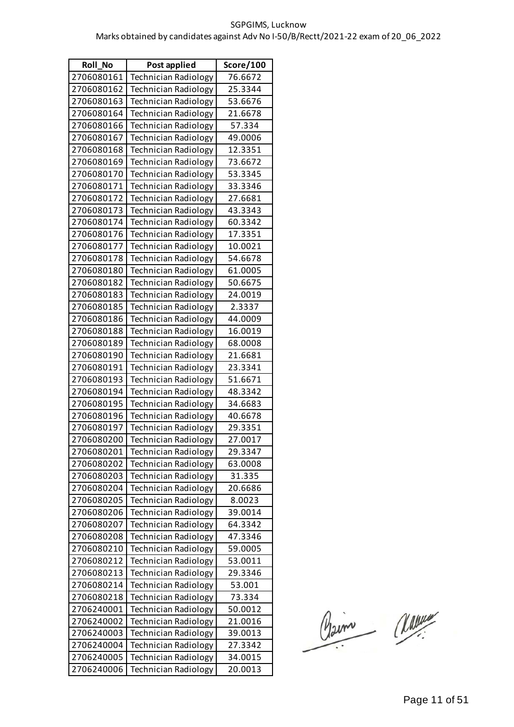| <b>Roll No</b> | Post applied                | Score/100 |
|----------------|-----------------------------|-----------|
| 2706080161     | <b>Technician Radiology</b> | 76.6672   |
| 2706080162     | <b>Technician Radiology</b> | 25.3344   |
| 2706080163     | <b>Technician Radiology</b> | 53.6676   |
| 2706080164     | <b>Technician Radiology</b> | 21.6678   |
| 2706080166     | <b>Technician Radiology</b> | 57.334    |
| 2706080167     | <b>Technician Radiology</b> | 49.0006   |
| 2706080168     | <b>Technician Radiology</b> | 12.3351   |
| 2706080169     | <b>Technician Radiology</b> | 73.6672   |
| 2706080170     | Technician Radiology        | 53.3345   |
| 2706080171     | <b>Technician Radiology</b> | 33.3346   |
| 2706080172     | <b>Technician Radiology</b> | 27.6681   |
| 2706080173     | <b>Technician Radiology</b> | 43.3343   |
| 2706080174     | <b>Technician Radiology</b> | 60.3342   |
| 2706080176     | <b>Technician Radiology</b> | 17.3351   |
| 2706080177     | <b>Technician Radiology</b> | 10.0021   |
| 2706080178     | <b>Technician Radiology</b> | 54.6678   |
| 2706080180     | <b>Technician Radiology</b> | 61.0005   |
| 2706080182     | <b>Technician Radiology</b> | 50.6675   |
| 2706080183     | <b>Technician Radiology</b> | 24.0019   |
| 2706080185     | <b>Technician Radiology</b> | 2.3337    |
| 2706080186     | <b>Technician Radiology</b> | 44.0009   |
| 2706080188     | <b>Technician Radiology</b> | 16.0019   |
| 2706080189     | <b>Technician Radiology</b> | 68.0008   |
| 2706080190     | <b>Technician Radiology</b> | 21.6681   |
| 2706080191     | <b>Technician Radiology</b> | 23.3341   |
| 2706080193     | <b>Technician Radiology</b> | 51.6671   |
| 2706080194     | <b>Technician Radiology</b> | 48.3342   |
| 2706080195     | <b>Technician Radiology</b> | 34.6683   |
| 2706080196     | <b>Technician Radiology</b> | 40.6678   |
| 2706080197     | <b>Technician Radiology</b> | 29.3351   |
| 2706080200     | <b>Technician Radiology</b> | 27.0017   |
| 2706080201     | Technician Radiology        | 29.3347   |
| 2706080202     | <b>Technician Radiology</b> | 63.0008   |
| 2706080203     | Technician Radiology        | 31.335    |
| 2706080204     | Technician Radiology        | 20.6686   |
| 2706080205     | <b>Technician Radiology</b> | 8.0023    |
| 2706080206     | Technician Radiology        | 39.0014   |
| 2706080207     | <b>Technician Radiology</b> | 64.3342   |
| 2706080208     | <b>Technician Radiology</b> | 47.3346   |
| 2706080210     | <b>Technician Radiology</b> | 59.0005   |
| 2706080212     | Technician Radiology        | 53.0011   |
| 2706080213     | <b>Technician Radiology</b> | 29.3346   |
| 2706080214     | <b>Technician Radiology</b> | 53.001    |
| 2706080218     | <b>Technician Radiology</b> | 73.334    |
| 2706240001     | <b>Technician Radiology</b> | 50.0012   |
| 2706240002     | <b>Technician Radiology</b> | 21.0016   |
| 2706240003     | Technician Radiology        | 39.0013   |
| 2706240004     | <b>Technician Radiology</b> | 27.3342   |
| 2706240005     | <b>Technician Radiology</b> | 34.0015   |
| 2706240006     | Technician Radiology        | 20.0013   |

Claim Classe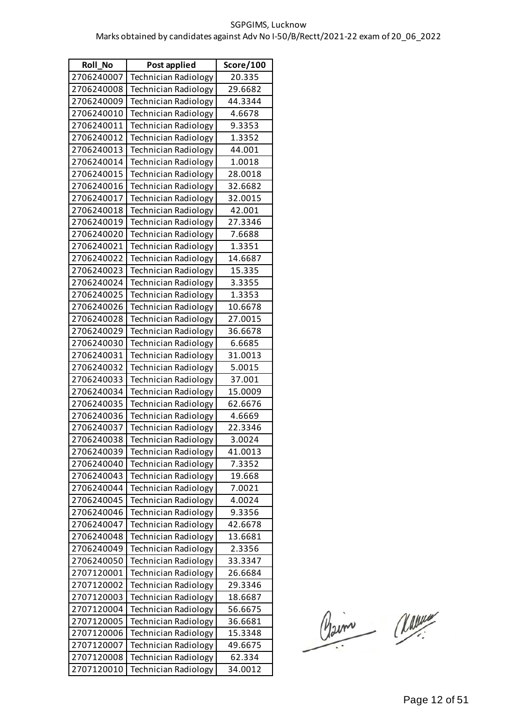| <b>Roll No</b> | Post applied                | Score/100 |
|----------------|-----------------------------|-----------|
| 2706240007     | <b>Technician Radiology</b> | 20.335    |
| 2706240008     | <b>Technician Radiology</b> | 29.6682   |
| 2706240009     | <b>Technician Radiology</b> | 44.3344   |
| 2706240010     | <b>Technician Radiology</b> | 4.6678    |
| 2706240011     | <b>Technician Radiology</b> | 9.3353    |
| 2706240012     | <b>Technician Radiology</b> | 1.3352    |
| 2706240013     | <b>Technician Radiology</b> | 44.001    |
| 2706240014     | <b>Technician Radiology</b> | 1.0018    |
| 2706240015     | <b>Technician Radiology</b> | 28.0018   |
| 2706240016     | <b>Technician Radiology</b> | 32.6682   |
| 2706240017     | <b>Technician Radiology</b> | 32.0015   |
| 2706240018     | <b>Technician Radiology</b> | 42.001    |
| 2706240019     | <b>Technician Radiology</b> | 27.3346   |
| 2706240020     | <b>Technician Radiology</b> | 7.6688    |
| 2706240021     | <b>Technician Radiology</b> | 1.3351    |
| 2706240022     | <b>Technician Radiology</b> | 14.6687   |
| 2706240023     | <b>Technician Radiology</b> | 15.335    |
| 2706240024     | <b>Technician Radiology</b> | 3.3355    |
| 2706240025     | <b>Technician Radiology</b> | 1.3353    |
| 2706240026     | <b>Technician Radiology</b> | 10.6678   |
| 2706240028     | <b>Technician Radiology</b> | 27.0015   |
| 2706240029     | <b>Technician Radiology</b> | 36.6678   |
| 2706240030     | <b>Technician Radiology</b> | 6.6685    |
| 2706240031     | <b>Technician Radiology</b> | 31.0013   |
| 2706240032     | <b>Technician Radiology</b> | 5.0015    |
| 2706240033     | <b>Technician Radiology</b> | 37.001    |
| 2706240034     | <b>Technician Radiology</b> | 15.0009   |
| 2706240035     | <b>Technician Radiology</b> | 62.6676   |
| 2706240036     | <b>Technician Radiology</b> | 4.6669    |
| 2706240037     | <b>Technician Radiology</b> | 22.3346   |
| 2706240038     | Technician Radiology        | 3.0024    |
| 2706240039     | <b>Technician Radiology</b> | 41.0013   |
| 2706240040     | <b>Technician Radiology</b> | 7.3352    |
| 2706240043     | <b>Technician Radiology</b> | 19.668    |
| 2706240044     | <b>Technician Radiology</b> | 7.0021    |
| 2706240045     | <b>Technician Radiology</b> | 4.0024    |
| 2706240046     | <b>Technician Radiology</b> | 9.3356    |
| 2706240047     | <b>Technician Radiology</b> | 42.6678   |
| 2706240048     | <b>Technician Radiology</b> | 13.6681   |
| 2706240049     | <b>Technician Radiology</b> | 2.3356    |
| 2706240050     | <b>Technician Radiology</b> | 33.3347   |
| 2707120001     | <b>Technician Radiology</b> | 26.6684   |
| 2707120002     | <b>Technician Radiology</b> | 29.3346   |
| 2707120003     | <b>Technician Radiology</b> | 18.6687   |
| 2707120004     | <b>Technician Radiology</b> | 56.6675   |
| 2707120005     | <b>Technician Radiology</b> | 36.6681   |
| 2707120006     | <b>Technician Radiology</b> | 15.3348   |
| 2707120007     | Technician Radiology        | 49.6675   |
| 2707120008     | <b>Technician Radiology</b> | 62.334    |
| 2707120010     | <b>Technician Radiology</b> | 34.0012   |

Claim Classe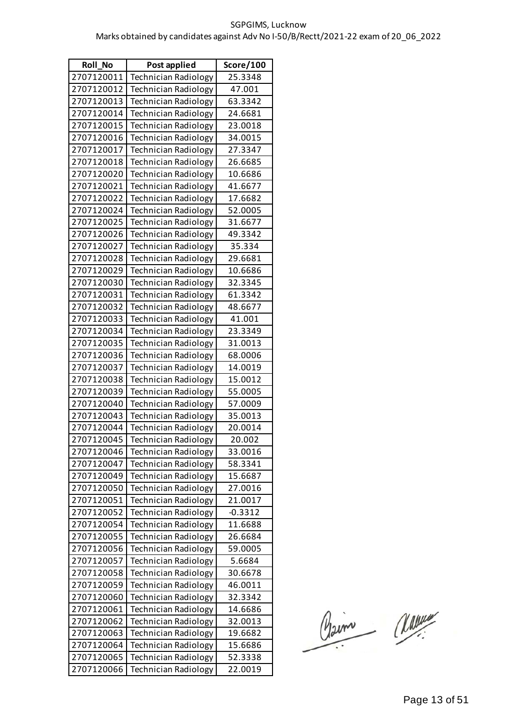| <b>Roll No</b> | Post applied                | Score/100 |
|----------------|-----------------------------|-----------|
| 2707120011     | <b>Technician Radiology</b> | 25.3348   |
| 2707120012     | <b>Technician Radiology</b> | 47.001    |
| 2707120013     | <b>Technician Radiology</b> | 63.3342   |
| 2707120014     | <b>Technician Radiology</b> | 24.6681   |
| 2707120015     | <b>Technician Radiology</b> | 23.0018   |
| 2707120016     | <b>Technician Radiology</b> | 34.0015   |
| 2707120017     | <b>Technician Radiology</b> | 27.3347   |
| 2707120018     | <b>Technician Radiology</b> | 26.6685   |
| 2707120020     | Technician Radiology        | 10.6686   |
| 2707120021     | <b>Technician Radiology</b> | 41.6677   |
| 2707120022     | <b>Technician Radiology</b> | 17.6682   |
| 2707120024     | <b>Technician Radiology</b> | 52.0005   |
| 2707120025     | <b>Technician Radiology</b> | 31.6677   |
| 2707120026     | <b>Technician Radiology</b> | 49.3342   |
| 2707120027     | <b>Technician Radiology</b> | 35.334    |
| 2707120028     | <b>Technician Radiology</b> | 29.6681   |
| 2707120029     | <b>Technician Radiology</b> | 10.6686   |
| 2707120030     | <b>Technician Radiology</b> | 32.3345   |
| 2707120031     | <b>Technician Radiology</b> | 61.3342   |
| 2707120032     | <b>Technician Radiology</b> | 48.6677   |
| 2707120033     | <b>Technician Radiology</b> | 41.001    |
| 2707120034     | <b>Technician Radiology</b> | 23.3349   |
| 2707120035     | <b>Technician Radiology</b> | 31.0013   |
| 2707120036     | <b>Technician Radiology</b> | 68.0006   |
| 2707120037     | <b>Technician Radiology</b> | 14.0019   |
| 2707120038     | <b>Technician Radiology</b> | 15.0012   |
| 2707120039     | <b>Technician Radiology</b> | 55.0005   |
| 2707120040     | <b>Technician Radiology</b> | 57.0009   |
| 2707120043     | <b>Technician Radiology</b> | 35.0013   |
| 2707120044     | Technician Radiology        | 20.0014   |
| 2707120045     | Technician Radiology        | 20.002    |
| 2707120046     | <b>Technician Radiology</b> | 33.0016   |
| 2707120047     | <b>Technician Radiology</b> | 58.3341   |
| 2707120049     | <b>Technician Radiology</b> | 15.6687   |
| 2707120050     | <b>Technician Radiology</b> | 27.0016   |
| 2707120051     | <b>Technician Radiology</b> | 21.0017   |
| 2707120052     | <b>Technician Radiology</b> | $-0.3312$ |
| 2707120054     | <b>Technician Radiology</b> | 11.6688   |
| 2707120055     | <b>Technician Radiology</b> | 26.6684   |
| 2707120056     | <b>Technician Radiology</b> | 59.0005   |
| 2707120057     | <b>Technician Radiology</b> | 5.6684    |
| 2707120058     | <b>Technician Radiology</b> | 30.6678   |
| 2707120059     | <b>Technician Radiology</b> | 46.0011   |
| 2707120060     | <b>Technician Radiology</b> | 32.3342   |
| 2707120061     | <b>Technician Radiology</b> | 14.6686   |
| 2707120062     | Technician Radiology        | 32.0013   |
| 2707120063     | <b>Technician Radiology</b> | 19.6682   |
| 2707120064     | <b>Technician Radiology</b> | 15.6686   |
| 2707120065     | <b>Technician Radiology</b> | 52.3338   |
| 2707120066     | Technician Radiology        | 22.0019   |

Claim Classe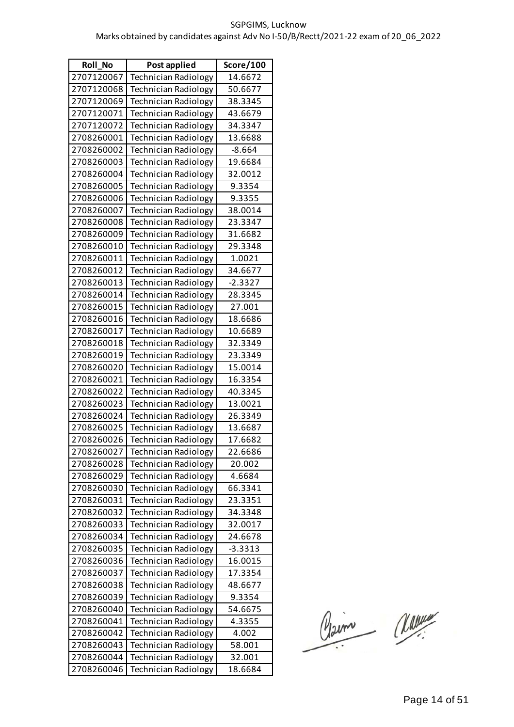| <b>Roll No</b> | Post applied                | Score/100 |
|----------------|-----------------------------|-----------|
| 2707120067     | <b>Technician Radiology</b> | 14.6672   |
| 2707120068     | <b>Technician Radiology</b> | 50.6677   |
| 2707120069     | <b>Technician Radiology</b> | 38.3345   |
| 2707120071     | <b>Technician Radiology</b> | 43.6679   |
| 2707120072     | <b>Technician Radiology</b> | 34.3347   |
| 2708260001     | <b>Technician Radiology</b> | 13.6688   |
| 2708260002     | <b>Technician Radiology</b> | $-8.664$  |
| 2708260003     | <b>Technician Radiology</b> | 19.6684   |
| 2708260004     | <b>Technician Radiology</b> | 32.0012   |
| 2708260005     | <b>Technician Radiology</b> | 9.3354    |
| 2708260006     | <b>Technician Radiology</b> | 9.3355    |
| 2708260007     | <b>Technician Radiology</b> | 38.0014   |
| 2708260008     | <b>Technician Radiology</b> | 23.3347   |
| 2708260009     | <b>Technician Radiology</b> | 31.6682   |
| 2708260010     | <b>Technician Radiology</b> | 29.3348   |
| 2708260011     | <b>Technician Radiology</b> | 1.0021    |
| 2708260012     | <b>Technician Radiology</b> | 34.6677   |
| 2708260013     | <b>Technician Radiology</b> | $-2.3327$ |
| 2708260014     | <b>Technician Radiology</b> | 28.3345   |
| 2708260015     | <b>Technician Radiology</b> | 27.001    |
| 2708260016     | <b>Technician Radiology</b> | 18.6686   |
| 2708260017     | <b>Technician Radiology</b> | 10.6689   |
| 2708260018     | <b>Technician Radiology</b> | 32.3349   |
| 2708260019     | <b>Technician Radiology</b> | 23.3349   |
| 2708260020     | <b>Technician Radiology</b> | 15.0014   |
| 2708260021     | <b>Technician Radiology</b> | 16.3354   |
| 2708260022     | <b>Technician Radiology</b> | 40.3345   |
| 2708260023     | <b>Technician Radiology</b> | 13.0021   |
| 2708260024     | <b>Technician Radiology</b> | 26.3349   |
| 2708260025     | Technician Radiology        | 13.6687   |
| 2708260026     | Technician Radiology        | 17.6682   |
| 2708260027     | <b>Technician Radiology</b> | 22.6686   |
| 2708260028     | <b>Technician Radiology</b> | 20.002    |
| 2708260029     | <b>Technician Radiology</b> | 4.6684    |
| 2708260030     | <b>Technician Radiology</b> | 66.3341   |
| 2708260031     | <b>Technician Radiology</b> | 23.3351   |
| 2708260032     | Technician Radiology        | 34.3348   |
| 2708260033     | <b>Technician Radiology</b> | 32.0017   |
| 2708260034     | <b>Technician Radiology</b> | 24.6678   |
| 2708260035     | <b>Technician Radiology</b> | $-3.3313$ |
| 2708260036     | <b>Technician Radiology</b> | 16.0015   |
| 2708260037     | <b>Technician Radiology</b> | 17.3354   |
| 2708260038     | <b>Technician Radiology</b> | 48.6677   |
| 2708260039     | <b>Technician Radiology</b> | 9.3354    |
| 2708260040     | <b>Technician Radiology</b> | 54.6675   |
| 2708260041     | Technician Radiology        | 4.3355    |
| 2708260042     | <b>Technician Radiology</b> | 4.002     |
| 2708260043     | <b>Technician Radiology</b> | 58.001    |
| 2708260044     | <b>Technician Radiology</b> | 32.001    |
| 2708260046     | Technician Radiology        | 18.6684   |

Claim Classe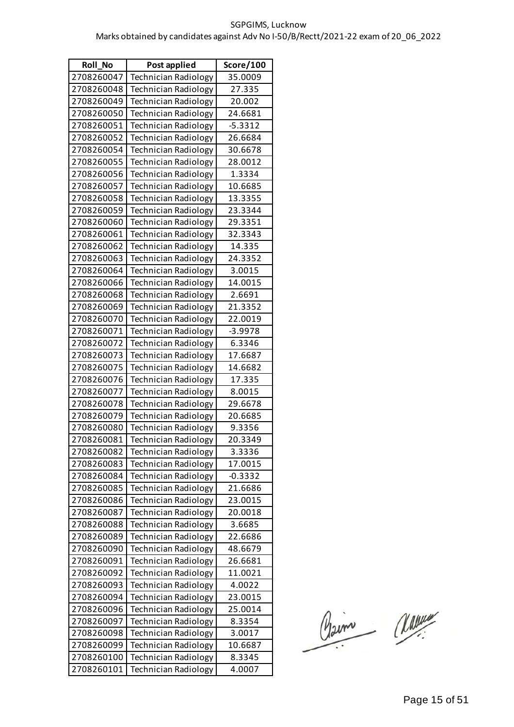| <b>Roll No</b> | Post applied                | Score/100 |
|----------------|-----------------------------|-----------|
| 2708260047     | <b>Technician Radiology</b> | 35.0009   |
| 2708260048     | <b>Technician Radiology</b> | 27.335    |
| 2708260049     | <b>Technician Radiology</b> | 20.002    |
| 2708260050     | <b>Technician Radiology</b> | 24.6681   |
| 2708260051     | <b>Technician Radiology</b> | $-5.3312$ |
| 2708260052     | <b>Technician Radiology</b> | 26.6684   |
| 2708260054     | <b>Technician Radiology</b> | 30.6678   |
| 2708260055     | <b>Technician Radiology</b> | 28.0012   |
| 2708260056     | Technician Radiology        | 1.3334    |
| 2708260057     | <b>Technician Radiology</b> | 10.6685   |
| 2708260058     | <b>Technician Radiology</b> | 13.3355   |
| 2708260059     | <b>Technician Radiology</b> | 23.3344   |
| 2708260060     | <b>Technician Radiology</b> | 29.3351   |
| 2708260061     | <b>Technician Radiology</b> | 32.3343   |
| 2708260062     | <b>Technician Radiology</b> | 14.335    |
| 2708260063     | <b>Technician Radiology</b> | 24.3352   |
| 2708260064     | <b>Technician Radiology</b> | 3.0015    |
| 2708260066     | <b>Technician Radiology</b> | 14.0015   |
| 2708260068     | <b>Technician Radiology</b> | 2.6691    |
| 2708260069     | <b>Technician Radiology</b> | 21.3352   |
| 2708260070     | <b>Technician Radiology</b> | 22.0019   |
| 2708260071     | <b>Technician Radiology</b> | $-3.9978$ |
| 2708260072     | <b>Technician Radiology</b> | 6.3346    |
| 2708260073     | <b>Technician Radiology</b> | 17.6687   |
| 2708260075     | <b>Technician Radiology</b> | 14.6682   |
| 2708260076     | <b>Technician Radiology</b> | 17.335    |
| 2708260077     | <b>Technician Radiology</b> | 8.0015    |
| 2708260078     | <b>Technician Radiology</b> | 29.6678   |
| 2708260079     | <b>Technician Radiology</b> | 20.6685   |
| 2708260080     | Technician Radiology        | 9.3356    |
| 2708260081     | Technician Radiology        | 20.3349   |
| 2708260082     | Technician Radiology        | 3.3336    |
| 2708260083     | <b>Technician Radiology</b> | 17.0015   |
| 2708260084     | Technician Radiology        | $-0.3332$ |
| 2708260085     | Technician Radiology        | 21.6686   |
| 2708260086     | Technician Radiology        | 23.0015   |
| 2708260087     | Technician Radiology        | 20.0018   |
| 2708260088     | <b>Technician Radiology</b> | 3.6685    |
| 2708260089     | <b>Technician Radiology</b> | 22.6686   |
| 2708260090     | <b>Technician Radiology</b> | 48.6679   |
| 2708260091     | Technician Radiology        | 26.6681   |
| 2708260092     | <b>Technician Radiology</b> | 11.0021   |
| 2708260093     | <b>Technician Radiology</b> | 4.0022    |
| 2708260094     | <b>Technician Radiology</b> | 23.0015   |
| 2708260096     | <b>Technician Radiology</b> | 25.0014   |
| 2708260097     | <b>Technician Radiology</b> | 8.3354    |
| 2708260098     | <b>Technician Radiology</b> | 3.0017    |
| 2708260099     | <b>Technician Radiology</b> | 10.6687   |
| 2708260100     | <b>Technician Radiology</b> | 8.3345    |
| 2708260101     | Technician Radiology        | 4.0007    |

Claim Classe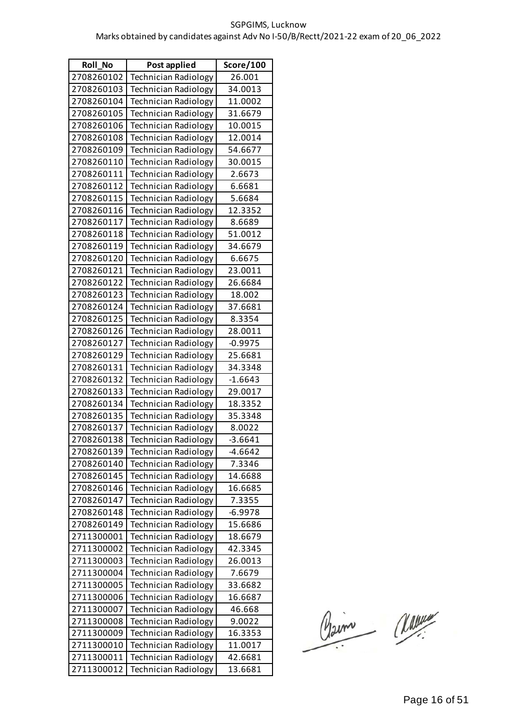| <b>Roll No</b> | Post applied                | Score/100 |
|----------------|-----------------------------|-----------|
| 2708260102     | <b>Technician Radiology</b> | 26.001    |
| 2708260103     | Technician Radiology        | 34.0013   |
| 2708260104     | Technician Radiology        | 11.0002   |
| 2708260105     | <b>Technician Radiology</b> | 31.6679   |
| 2708260106     | <b>Technician Radiology</b> | 10.0015   |
| 2708260108     | <b>Technician Radiology</b> | 12.0014   |
| 2708260109     | <b>Technician Radiology</b> | 54.6677   |
| 2708260110     | <b>Technician Radiology</b> | 30.0015   |
| 2708260111     | <b>Technician Radiology</b> | 2.6673    |
| 2708260112     | <b>Technician Radiology</b> | 6.6681    |
| 2708260115     | <b>Technician Radiology</b> | 5.6684    |
| 2708260116     | <b>Technician Radiology</b> | 12.3352   |
| 2708260117     | <b>Technician Radiology</b> | 8.6689    |
| 2708260118     | <b>Technician Radiology</b> | 51.0012   |
| 2708260119     | <b>Technician Radiology</b> | 34.6679   |
| 2708260120     | <b>Technician Radiology</b> | 6.6675    |
| 2708260121     | Technician Radiology        | 23.0011   |
| 2708260122     | <b>Technician Radiology</b> | 26.6684   |
| 2708260123     | <b>Technician Radiology</b> | 18.002    |
| 2708260124     | <b>Technician Radiology</b> | 37.6681   |
| 2708260125     | <b>Technician Radiology</b> | 8.3354    |
| 2708260126     | <b>Technician Radiology</b> | 28.0011   |
| 2708260127     | <b>Technician Radiology</b> | $-0.9975$ |
| 2708260129     | <b>Technician Radiology</b> | 25.6681   |
| 2708260131     | <b>Technician Radiology</b> | 34.3348   |
| 2708260132     | <b>Technician Radiology</b> | $-1.6643$ |
| 2708260133     | <b>Technician Radiology</b> | 29.0017   |
| 2708260134     | Technician Radiology        | 18.3352   |
| 2708260135     | <b>Technician Radiology</b> | 35.3348   |
| 2708260137     | <b>Technician Radiology</b> | 8.0022    |
| 2708260138     | Technician Radiology        | $-3.6641$ |
| 2708260139     | <b>Technician Radiology</b> | $-4.6642$ |
| 2708260140     | <b>Technician Radiology</b> | 7.3346    |
| 2708260145     | <b>Technician Radiology</b> | 14.6688   |
| 2708260146     | <b>Technician Radiology</b> | 16.6685   |
| 2708260147     | <b>Technician Radiology</b> | 7.3355    |
| 2708260148     | <b>Technician Radiology</b> | $-6.9978$ |
| 2708260149     | <b>Technician Radiology</b> | 15.6686   |
| 2711300001     | <b>Technician Radiology</b> | 18.6679   |
| 2711300002     | Technician Radiology        | 42.3345   |
| 2711300003     | <b>Technician Radiology</b> | 26.0013   |
| 2711300004     | <b>Technician Radiology</b> | 7.6679    |
| 2711300005     | <b>Technician Radiology</b> | 33.6682   |
| 2711300006     | <b>Technician Radiology</b> | 16.6687   |
| 2711300007     | <b>Technician Radiology</b> | 46.668    |
| 2711300008     | <b>Technician Radiology</b> | 9.0022    |
| 2711300009     | <b>Technician Radiology</b> | 16.3353   |
| 2711300010     | <b>Technician Radiology</b> | 11.0017   |
| 2711300011     | <b>Technician Radiology</b> | 42.6681   |
| 2711300012     | <b>Technician Radiology</b> | 13.6681   |

Claim Classe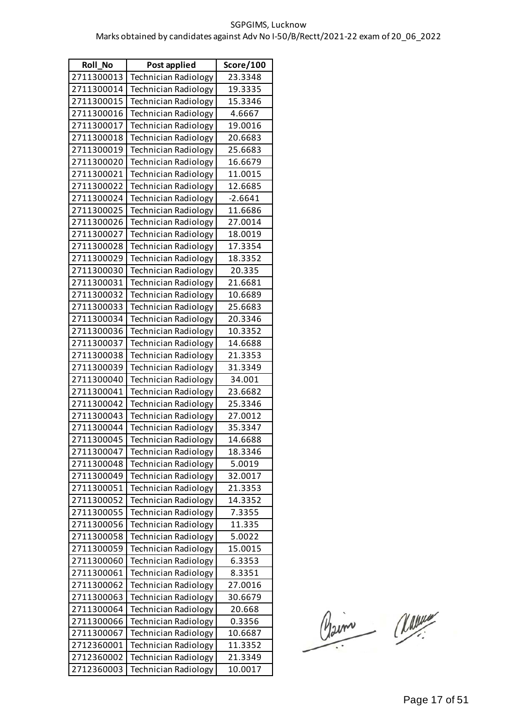| Roll_No    | Post applied                | Score/100 |
|------------|-----------------------------|-----------|
| 2711300013 | Technician Radiology        | 23.3348   |
| 2711300014 | <b>Technician Radiology</b> | 19.3335   |
| 2711300015 | <b>Technician Radiology</b> | 15.3346   |
| 2711300016 | <b>Technician Radiology</b> | 4.6667    |
| 2711300017 | <b>Technician Radiology</b> | 19.0016   |
| 2711300018 | <b>Technician Radiology</b> | 20.6683   |
| 2711300019 | <b>Technician Radiology</b> | 25.6683   |
| 2711300020 | <b>Technician Radiology</b> | 16.6679   |
| 2711300021 | <b>Technician Radiology</b> | 11.0015   |
| 2711300022 | <b>Technician Radiology</b> | 12.6685   |
| 2711300024 | <b>Technician Radiology</b> | $-2.6641$ |
| 2711300025 | <b>Technician Radiology</b> | 11.6686   |
| 2711300026 | Technician Radiology        | 27.0014   |
| 2711300027 | <b>Technician Radiology</b> | 18.0019   |
| 2711300028 | <b>Technician Radiology</b> | 17.3354   |
| 2711300029 | <b>Technician Radiology</b> | 18.3352   |
| 2711300030 | <b>Technician Radiology</b> | 20.335    |
| 2711300031 | <b>Technician Radiology</b> | 21.6681   |
| 2711300032 | Technician Radiology        | 10.6689   |
| 2711300033 | Technician Radiology        | 25.6683   |
| 2711300034 | <b>Technician Radiology</b> | 20.3346   |
| 2711300036 | Technician Radiology        | 10.3352   |
| 2711300037 | <b>Technician Radiology</b> | 14.6688   |
| 2711300038 | <b>Technician Radiology</b> | 21.3353   |
| 2711300039 | Technician Radiology        | 31.3349   |
| 2711300040 | Technician Radiology        | 34.001    |
| 2711300041 | <b>Technician Radiology</b> | 23.6682   |
| 2711300042 | Technician Radiology        | 25.3346   |
| 2711300043 | <b>Technician Radiology</b> | 27.0012   |
| 2711300044 | <b>Technician Radiology</b> | 35.3347   |
| 2711300045 | Technician Radiology        | 14.6688   |
| 2711300047 | <b>Technician Radiology</b> | 18.3346   |
| 2711300048 | <b>Technician Radiology</b> | 5.0019    |
| 2711300049 | <b>Technician Radiology</b> | 32.0017   |
| 2711300051 | <b>Technician Radiology</b> | 21.3353   |
| 2711300052 | <b>Technician Radiology</b> | 14.3352   |
| 2711300055 | Technician Radiology        | 7.3355    |
| 2711300056 | <b>Technician Radiology</b> | 11.335    |
| 2711300058 | <b>Technician Radiology</b> | 5.0022    |
| 2711300059 | <b>Technician Radiology</b> | 15.0015   |
| 2711300060 | <b>Technician Radiology</b> | 6.3353    |
| 2711300061 | <b>Technician Radiology</b> | 8.3351    |
| 2711300062 | Technician Radiology        | 27.0016   |
| 2711300063 | Technician Radiology        | 30.6679   |
| 2711300064 | <b>Technician Radiology</b> | 20.668    |
| 2711300066 | Technician Radiology        | 0.3356    |
| 2711300067 | Technician Radiology        | 10.6687   |
| 2712360001 | <b>Technician Radiology</b> | 11.3352   |
| 2712360002 | <b>Technician Radiology</b> | 21.3349   |
| 2712360003 | Technician Radiology        | 10.0017   |

Claim Classe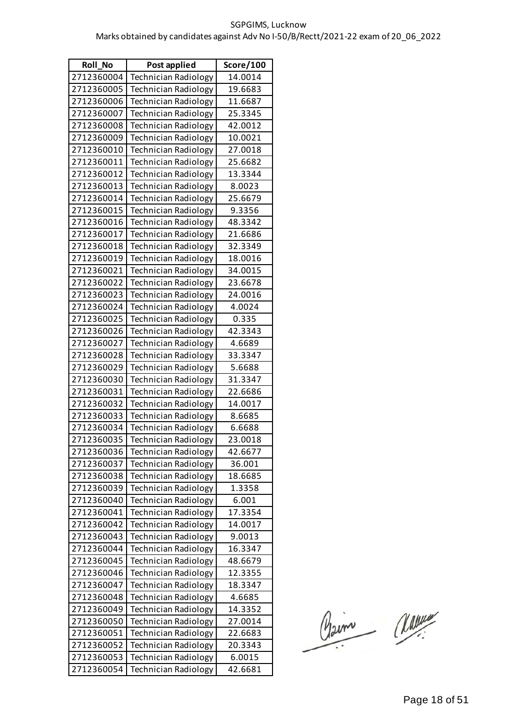| <b>Roll No</b> | Post applied                | Score/100 |
|----------------|-----------------------------|-----------|
| 2712360004     | <b>Technician Radiology</b> | 14.0014   |
| 2712360005     | Technician Radiology        | 19.6683   |
| 2712360006     | Technician Radiology        | 11.6687   |
| 2712360007     | <b>Technician Radiology</b> | 25.3345   |
| 2712360008     | <b>Technician Radiology</b> | 42.0012   |
| 2712360009     | <b>Technician Radiology</b> | 10.0021   |
| 2712360010     | <b>Technician Radiology</b> | 27.0018   |
| 2712360011     | <b>Technician Radiology</b> | 25.6682   |
| 2712360012     | <b>Technician Radiology</b> | 13.3344   |
| 2712360013     | <b>Technician Radiology</b> | 8.0023    |
| 2712360014     | <b>Technician Radiology</b> | 25.6679   |
| 2712360015     | <b>Technician Radiology</b> | 9.3356    |
| 2712360016     | <b>Technician Radiology</b> | 48.3342   |
| 2712360017     | <b>Technician Radiology</b> | 21.6686   |
| 2712360018     | <b>Technician Radiology</b> | 32.3349   |
| 2712360019     | <b>Technician Radiology</b> | 18.0016   |
| 2712360021     | <b>Technician Radiology</b> | 34.0015   |
| 2712360022     | <b>Technician Radiology</b> | 23.6678   |
| 2712360023     | <b>Technician Radiology</b> | 24.0016   |
| 2712360024     | <b>Technician Radiology</b> | 4.0024    |
| 2712360025     | <b>Technician Radiology</b> | 0.335     |
| 2712360026     | <b>Technician Radiology</b> | 42.3343   |
| 2712360027     | Technician Radiology        | 4.6689    |
| 2712360028     | <b>Technician Radiology</b> | 33.3347   |
| 2712360029     | <b>Technician Radiology</b> | 5.6688    |
| 2712360030     | <b>Technician Radiology</b> | 31.3347   |
| 2712360031     | <b>Technician Radiology</b> | 22.6686   |
| 2712360032     | Technician Radiology        | 14.0017   |
| 2712360033     | <b>Technician Radiology</b> | 8.6685    |
| 2712360034     | <b>Technician Radiology</b> | 6.6688    |
| 2712360035     | Technician Radiology        | 23.0018   |
| 2712360036     | <b>Technician Radiology</b> | 42.6677   |
| 2712360037     | <b>Technician Radiology</b> | 36.001    |
| 2712360038     | <b>Technician Radiology</b> | 18.6685   |
| 2712360039     | <b>Technician Radiology</b> | 1.3358    |
| 2712360040     | <b>Technician Radiology</b> | 6.001     |
| 2712360041     | <b>Technician Radiology</b> | 17.3354   |
| 2712360042     | <b>Technician Radiology</b> | 14.0017   |
| 2712360043     | <b>Technician Radiology</b> | 9.0013    |
| 2712360044     | <b>Technician Radiology</b> | 16.3347   |
| 2712360045     | <b>Technician Radiology</b> | 48.6679   |
| 2712360046     | <b>Technician Radiology</b> | 12.3355   |
| 2712360047     | <b>Technician Radiology</b> | 18.3347   |
| 2712360048     | <b>Technician Radiology</b> | 4.6685    |
| 2712360049     | <b>Technician Radiology</b> | 14.3352   |
| 2712360050     | Technician Radiology        | 27.0014   |
| 2712360051     | <b>Technician Radiology</b> | 22.6683   |
| 2712360052     | <b>Technician Radiology</b> | 20.3343   |
| 2712360053     | <b>Technician Radiology</b> | 6.0015    |
| 2712360054     | <b>Technician Radiology</b> | 42.6681   |

Claim Classe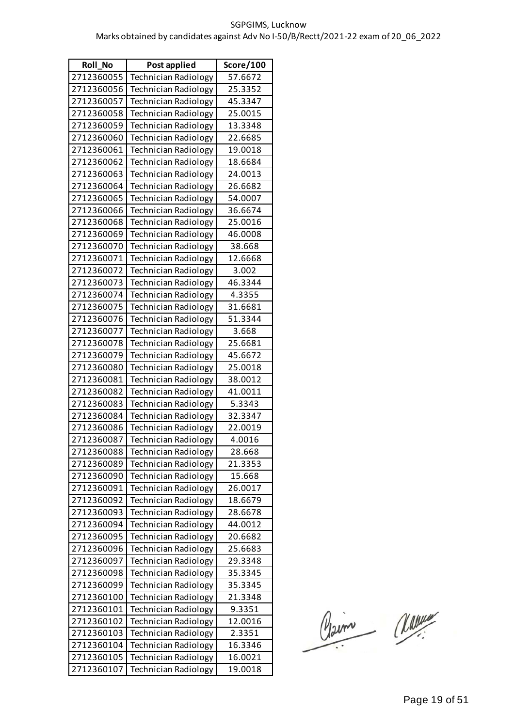| <b>Roll No</b> | Post applied                | Score/100 |
|----------------|-----------------------------|-----------|
| 2712360055     | <b>Technician Radiology</b> | 57.6672   |
| 2712360056     | Technician Radiology        | 25.3352   |
| 2712360057     | <b>Technician Radiology</b> | 45.3347   |
| 2712360058     | <b>Technician Radiology</b> | 25.0015   |
| 2712360059     | <b>Technician Radiology</b> | 13.3348   |
| 2712360060     | <b>Technician Radiology</b> | 22.6685   |
| 2712360061     | <b>Technician Radiology</b> | 19.0018   |
| 2712360062     | <b>Technician Radiology</b> | 18.6684   |
| 2712360063     | <b>Technician Radiology</b> | 24.0013   |
| 2712360064     | <b>Technician Radiology</b> | 26.6682   |
| 2712360065     | <b>Technician Radiology</b> | 54.0007   |
| 2712360066     | <b>Technician Radiology</b> | 36.6674   |
| 2712360068     | <b>Technician Radiology</b> | 25.0016   |
| 2712360069     | <b>Technician Radiology</b> | 46.0008   |
| 2712360070     | <b>Technician Radiology</b> | 38.668    |
| 2712360071     | <b>Technician Radiology</b> | 12.6668   |
| 2712360072     | <b>Technician Radiology</b> | 3.002     |
| 2712360073     | <b>Technician Radiology</b> | 46.3344   |
| 2712360074     | <b>Technician Radiology</b> | 4.3355    |
| 2712360075     | <b>Technician Radiology</b> | 31.6681   |
| 2712360076     | <b>Technician Radiology</b> | 51.3344   |
| 2712360077     | <b>Technician Radiology</b> | 3.668     |
| 2712360078     | <b>Technician Radiology</b> | 25.6681   |
| 2712360079     | <b>Technician Radiology</b> | 45.6672   |
| 2712360080     | <b>Technician Radiology</b> | 25.0018   |
| 2712360081     | <b>Technician Radiology</b> | 38.0012   |
| 2712360082     | <b>Technician Radiology</b> | 41.0011   |
| 2712360083     | <b>Technician Radiology</b> | 5.3343    |
| 2712360084     | <b>Technician Radiology</b> | 32.3347   |
| 2712360086     | <b>Technician Radiology</b> | 22.0019   |
| 2712360087     | Technician Radiology        | 4.0016    |
| 2712360088     | Technician Radiology        | 28.668    |
| 2712360089     | <b>Technician Radiology</b> | 21.3353   |
| 2712360090     | <b>Technician Radiology</b> | 15.668    |
| 2712360091     | <b>Technician Radiology</b> | 26.0017   |
| 2712360092     | <b>Technician Radiology</b> | 18.6679   |
| 2712360093     | Technician Radiology        | 28.6678   |
| 2712360094     | <b>Technician Radiology</b> | 44.0012   |
| 2712360095     | Technician Radiology        | 20.6682   |
| 2712360096     | <b>Technician Radiology</b> | 25.6683   |
| 2712360097     | <b>Technician Radiology</b> | 29.3348   |
| 2712360098     | <b>Technician Radiology</b> | 35.3345   |
| 2712360099     | <b>Technician Radiology</b> | 35.3345   |
| 2712360100     | <b>Technician Radiology</b> | 21.3348   |
| 2712360101     | <b>Technician Radiology</b> | 9.3351    |
| 2712360102     | Technician Radiology        | 12.0016   |
| 2712360103     | <b>Technician Radiology</b> | 2.3351    |
| 2712360104     | <b>Technician Radiology</b> | 16.3346   |
| 2712360105     | <b>Technician Radiology</b> | 16.0021   |
| 2712360107     | Technician Radiology        | 19.0018   |

Claim Classe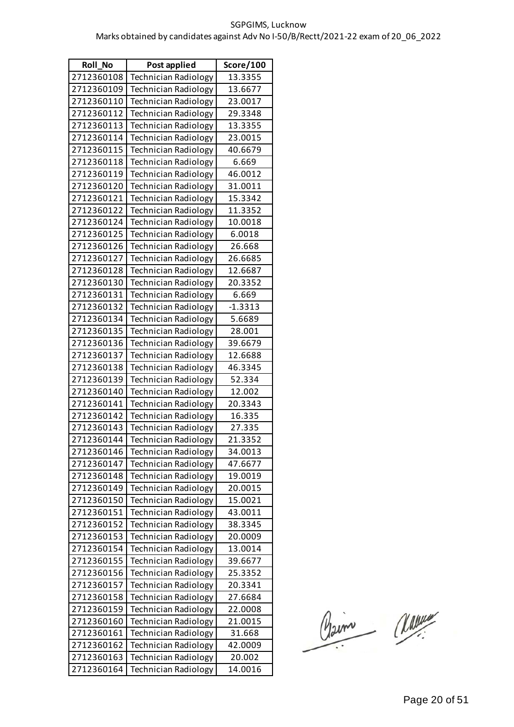| <b>Roll No</b> | Post applied                | Score/100 |
|----------------|-----------------------------|-----------|
| 2712360108     | <b>Technician Radiology</b> | 13.3355   |
| 2712360109     | Technician Radiology        | 13.6677   |
| 2712360110     | Technician Radiology        | 23.0017   |
| 2712360112     | <b>Technician Radiology</b> | 29.3348   |
| 2712360113     | <b>Technician Radiology</b> | 13.3355   |
| 2712360114     | <b>Technician Radiology</b> | 23.0015   |
| 2712360115     | <b>Technician Radiology</b> | 40.6679   |
| 2712360118     | <b>Technician Radiology</b> | 6.669     |
| 2712360119     | <b>Technician Radiology</b> | 46.0012   |
| 2712360120     | <b>Technician Radiology</b> | 31.0011   |
| 2712360121     | <b>Technician Radiology</b> | 15.3342   |
| 2712360122     | <b>Technician Radiology</b> | 11.3352   |
| 2712360124     | <b>Technician Radiology</b> | 10.0018   |
| 2712360125     | <b>Technician Radiology</b> | 6.0018    |
| 2712360126     | <b>Technician Radiology</b> | 26.668    |
| 2712360127     | <b>Technician Radiology</b> | 26.6685   |
| 2712360128     | <b>Technician Radiology</b> | 12.6687   |
| 2712360130     | <b>Technician Radiology</b> | 20.3352   |
| 2712360131     | <b>Technician Radiology</b> | 6.669     |
| 2712360132     | <b>Technician Radiology</b> | $-1.3313$ |
| 2712360134     | <b>Technician Radiology</b> | 5.6689    |
| 2712360135     | <b>Technician Radiology</b> | 28.001    |
| 2712360136     | Technician Radiology        | 39.6679   |
| 2712360137     | <b>Technician Radiology</b> | 12.6688   |
| 2712360138     | <b>Technician Radiology</b> | 46.3345   |
| 2712360139     | <b>Technician Radiology</b> | 52.334    |
| 2712360140     | <b>Technician Radiology</b> | 12.002    |
| 2712360141     | Technician Radiology        | 20.3343   |
| 2712360142     | <b>Technician Radiology</b> | 16.335    |
| 2712360143     | Technician Radiology        | 27.335    |
| 2712360144     | Technician Radiology        | 21.3352   |
| 2712360146     | <b>Technician Radiology</b> | 34.0013   |
| 2712360147     | <b>Technician Radiology</b> | 47.6677   |
| 2712360148     | <b>Technician Radiology</b> | 19.0019   |
| 2712360149     | <b>Technician Radiology</b> | 20.0015   |
| 2712360150     | <b>Technician Radiology</b> | 15.0021   |
| 2712360151     | <b>Technician Radiology</b> | 43.0011   |
| 2712360152     | <b>Technician Radiology</b> | 38.3345   |
| 2712360153     | <b>Technician Radiology</b> | 20.0009   |
| 2712360154     | <b>Technician Radiology</b> | 13.0014   |
| 2712360155     | <b>Technician Radiology</b> | 39.6677   |
| 2712360156     | <b>Technician Radiology</b> | 25.3352   |
| 2712360157     | <b>Technician Radiology</b> | 20.3341   |
| 2712360158     | <b>Technician Radiology</b> | 27.6684   |
| 2712360159     | <b>Technician Radiology</b> | 22.0008   |
| 2712360160     | <b>Technician Radiology</b> | 21.0015   |
| 2712360161     | <b>Technician Radiology</b> | 31.668    |
| 2712360162     | <b>Technician Radiology</b> | 42.0009   |
| 2712360163     | <b>Technician Radiology</b> | 20.002    |
| 2712360164     | <b>Technician Radiology</b> | 14.0016   |

Claim Classe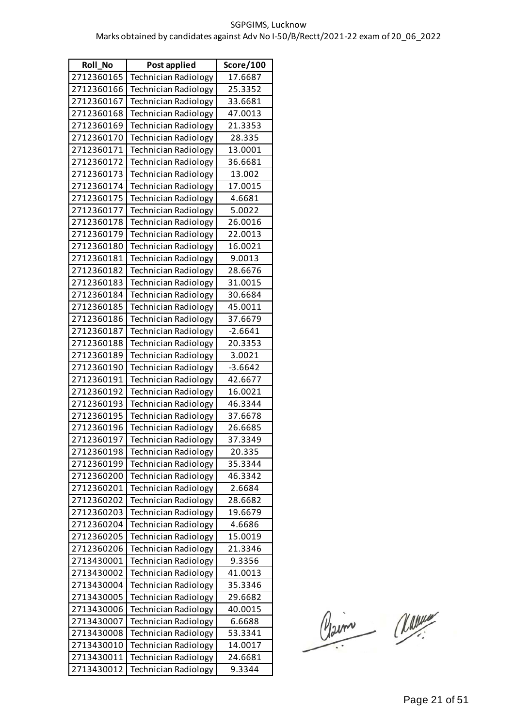| Roll_No    | Post applied                | Score/100 |
|------------|-----------------------------|-----------|
| 2712360165 | <b>Technician Radiology</b> | 17.6687   |
| 2712360166 | <b>Technician Radiology</b> | 25.3352   |
| 2712360167 | <b>Technician Radiology</b> | 33.6681   |
| 2712360168 | <b>Technician Radiology</b> | 47.0013   |
| 2712360169 | <b>Technician Radiology</b> | 21.3353   |
| 2712360170 | <b>Technician Radiology</b> | 28.335    |
| 2712360171 | <b>Technician Radiology</b> | 13.0001   |
| 2712360172 | <b>Technician Radiology</b> | 36.6681   |
| 2712360173 | <b>Technician Radiology</b> | 13.002    |
| 2712360174 | <b>Technician Radiology</b> | 17.0015   |
| 2712360175 | <b>Technician Radiology</b> | 4.6681    |
| 2712360177 | <b>Technician Radiology</b> | 5.0022    |
| 2712360178 | Technician Radiology        | 26.0016   |
| 2712360179 | <b>Technician Radiology</b> | 22.0013   |
| 2712360180 | <b>Technician Radiology</b> | 16.0021   |
| 2712360181 | <b>Technician Radiology</b> | 9.0013    |
| 2712360182 | <b>Technician Radiology</b> | 28.6676   |
| 2712360183 | <b>Technician Radiology</b> | 31.0015   |
| 2712360184 | Technician Radiology        | 30.6684   |
| 2712360185 | <b>Technician Radiology</b> | 45.0011   |
| 2712360186 | <b>Technician Radiology</b> | 37.6679   |
| 2712360187 | <b>Technician Radiology</b> | $-2.6641$ |
| 2712360188 | <b>Technician Radiology</b> | 20.3353   |
| 2712360189 | <b>Technician Radiology</b> | 3.0021    |
| 2712360190 | Technician Radiology        | $-3.6642$ |
| 2712360191 | <b>Technician Radiology</b> | 42.6677   |
| 2712360192 | <b>Technician Radiology</b> | 16.0021   |
| 2712360193 | <b>Technician Radiology</b> | 46.3344   |
| 2712360195 | <b>Technician Radiology</b> | 37.6678   |
| 2712360196 | <b>Technician Radiology</b> | 26.6685   |
| 2712360197 | Technician Radiology        | 37.3349   |
| 2712360198 | <b>Technician Radiology</b> | 20.335    |
| 2712360199 | <b>Technician Radiology</b> | 35.3344   |
| 2712360200 | <b>Technician Radiology</b> | 46.3342   |
| 2712360201 | <b>Technician Radiology</b> | 2.6684    |
| 2712360202 | <b>Technician Radiology</b> | 28.6682   |
| 2712360203 | <b>Technician Radiology</b> | 19.6679   |
| 2712360204 | <b>Technician Radiology</b> | 4.6686    |
| 2712360205 | <b>Technician Radiology</b> | 15.0019   |
| 2712360206 | <b>Technician Radiology</b> | 21.3346   |
| 2713430001 | Technician Radiology        | 9.3356    |
| 2713430002 | <b>Technician Radiology</b> | 41.0013   |
| 2713430004 | Technician Radiology        | 35.3346   |
| 2713430005 | Technician Radiology        | 29.6682   |
| 2713430006 | <b>Technician Radiology</b> | 40.0015   |
| 2713430007 | <b>Technician Radiology</b> | 6.6688    |
| 2713430008 | <b>Technician Radiology</b> | 53.3341   |
| 2713430010 | <b>Technician Radiology</b> | 14.0017   |
| 2713430011 | Technician Radiology        | 24.6681   |
| 2713430012 | Technician Radiology        | 9.3344    |

Claim Classe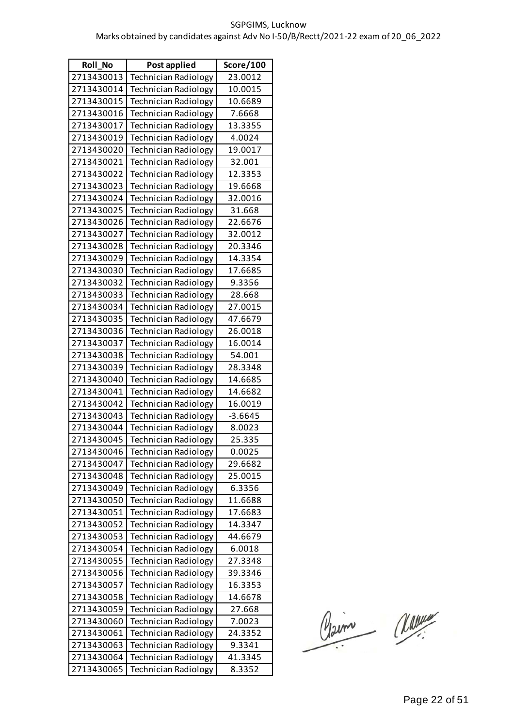| Roll_No    | Post applied                | Score/100 |
|------------|-----------------------------|-----------|
| 2713430013 | <b>Technician Radiology</b> | 23.0012   |
| 2713430014 | <b>Technician Radiology</b> | 10.0015   |
| 2713430015 | <b>Technician Radiology</b> | 10.6689   |
| 2713430016 | <b>Technician Radiology</b> | 7.6668    |
| 2713430017 | <b>Technician Radiology</b> | 13.3355   |
| 2713430019 | <b>Technician Radiology</b> | 4.0024    |
| 2713430020 | <b>Technician Radiology</b> | 19.0017   |
| 2713430021 | <b>Technician Radiology</b> | 32.001    |
| 2713430022 | <b>Technician Radiology</b> | 12.3353   |
| 2713430023 | <b>Technician Radiology</b> | 19.6668   |
| 2713430024 | <b>Technician Radiology</b> | 32.0016   |
| 2713430025 | <b>Technician Radiology</b> | 31.668    |
| 2713430026 | <b>Technician Radiology</b> | 22.6676   |
| 2713430027 | <b>Technician Radiology</b> | 32.0012   |
| 2713430028 | <b>Technician Radiology</b> | 20.3346   |
| 2713430029 | <b>Technician Radiology</b> | 14.3354   |
| 2713430030 | <b>Technician Radiology</b> | 17.6685   |
| 2713430032 | <b>Technician Radiology</b> | 9.3356    |
| 2713430033 | <b>Technician Radiology</b> | 28.668    |
| 2713430034 | <b>Technician Radiology</b> | 27.0015   |
| 2713430035 | <b>Technician Radiology</b> | 47.6679   |
| 2713430036 | <b>Technician Radiology</b> | 26.0018   |
| 2713430037 | <b>Technician Radiology</b> | 16.0014   |
| 2713430038 | <b>Technician Radiology</b> | 54.001    |
| 2713430039 | <b>Technician Radiology</b> | 28.3348   |
| 2713430040 | <b>Technician Radiology</b> | 14.6685   |
| 2713430041 | <b>Technician Radiology</b> | 14.6682   |
| 2713430042 | <b>Technician Radiology</b> | 16.0019   |
| 2713430043 | <b>Technician Radiology</b> | $-3.6645$ |
| 2713430044 | <b>Technician Radiology</b> | 8.0023    |
| 2713430045 | <b>Technician Radiology</b> | 25.335    |
| 2713430046 | <b>Technician Radiology</b> | 0.0025    |
| 2713430047 | <b>Technician Radiology</b> | 29.6682   |
| 2713430048 | <b>Technician Radiology</b> | 25.0015   |
| 2713430049 | <b>Technician Radiology</b> | 6.3356    |
| 2713430050 | <b>Technician Radiology</b> | 11.6688   |
| 2713430051 | <b>Technician Radiology</b> | 17.6683   |
| 2713430052 | <b>Technician Radiology</b> | 14.3347   |
| 2713430053 | <b>Technician Radiology</b> | 44.6679   |
| 2713430054 | <b>Technician Radiology</b> | 6.0018    |
| 2713430055 | <b>Technician Radiology</b> | 27.3348   |
| 2713430056 | <b>Technician Radiology</b> | 39.3346   |
| 2713430057 | <b>Technician Radiology</b> | 16.3353   |
| 2713430058 | <b>Technician Radiology</b> | 14.6678   |
| 2713430059 | <b>Technician Radiology</b> | 27.668    |
| 2713430060 | <b>Technician Radiology</b> | 7.0023    |
| 2713430061 | Technician Radiology        | 24.3352   |
| 2713430063 | <b>Technician Radiology</b> | 9.3341    |
| 2713430064 | <b>Technician Radiology</b> | 41.3345   |
| 2713430065 | Technician Radiology        | 8.3352    |

Claim Classe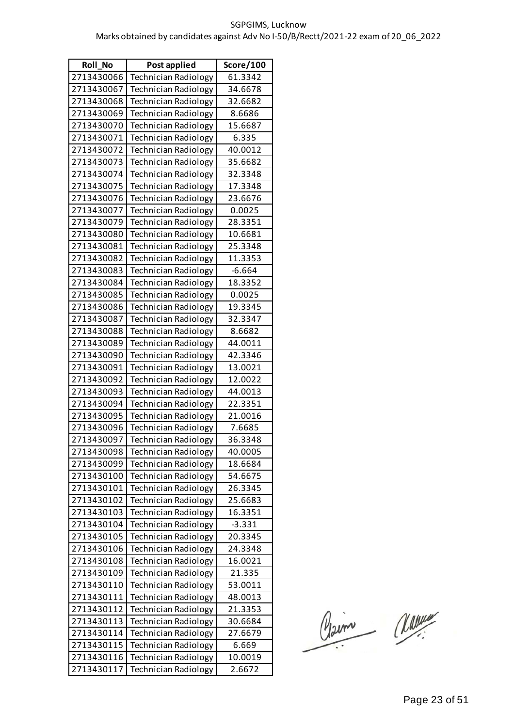| Roll_No    | Post applied                | Score/100 |
|------------|-----------------------------|-----------|
| 2713430066 | <b>Technician Radiology</b> | 61.3342   |
| 2713430067 | <b>Technician Radiology</b> | 34.6678   |
| 2713430068 | <b>Technician Radiology</b> | 32.6682   |
| 2713430069 | <b>Technician Radiology</b> | 8.6686    |
| 2713430070 | <b>Technician Radiology</b> | 15.6687   |
| 2713430071 | <b>Technician Radiology</b> | 6.335     |
| 2713430072 | <b>Technician Radiology</b> | 40.0012   |
| 2713430073 | <b>Technician Radiology</b> | 35.6682   |
| 2713430074 | <b>Technician Radiology</b> | 32.3348   |
| 2713430075 | <b>Technician Radiology</b> | 17.3348   |
| 2713430076 | <b>Technician Radiology</b> | 23.6676   |
| 2713430077 | <b>Technician Radiology</b> | 0.0025    |
| 2713430079 | <b>Technician Radiology</b> | 28.3351   |
| 2713430080 | <b>Technician Radiology</b> | 10.6681   |
| 2713430081 | <b>Technician Radiology</b> | 25.3348   |
| 2713430082 | <b>Technician Radiology</b> | 11.3353   |
| 2713430083 | <b>Technician Radiology</b> | $-6.664$  |
| 2713430084 | <b>Technician Radiology</b> | 18.3352   |
| 2713430085 | <b>Technician Radiology</b> | 0.0025    |
| 2713430086 | <b>Technician Radiology</b> | 19.3345   |
| 2713430087 | <b>Technician Radiology</b> | 32.3347   |
| 2713430088 | <b>Technician Radiology</b> | 8.6682    |
| 2713430089 | <b>Technician Radiology</b> | 44.0011   |
| 2713430090 | <b>Technician Radiology</b> | 42.3346   |
| 2713430091 | <b>Technician Radiology</b> | 13.0021   |
| 2713430092 | <b>Technician Radiology</b> | 12.0022   |
| 2713430093 | <b>Technician Radiology</b> | 44.0013   |
| 2713430094 | <b>Technician Radiology</b> | 22.3351   |
| 2713430095 | <b>Technician Radiology</b> | 21.0016   |
| 2713430096 | Technician Radiology        | 7.6685    |
| 2713430097 | <b>Technician Radiology</b> | 36.3348   |
| 2713430098 | Technician Radiology        | 40.0005   |
| 2713430099 | <b>Technician Radiology</b> | 18.6684   |
| 2713430100 | <b>Technician Radiology</b> | 54.6675   |
| 2713430101 | <b>Technician Radiology</b> | 26.3345   |
| 2713430102 | <b>Technician Radiology</b> | 25.6683   |
| 2713430103 | <b>Technician Radiology</b> | 16.3351   |
| 2713430104 | <b>Technician Radiology</b> | $-3.331$  |
| 2713430105 | <b>Technician Radiology</b> | 20.3345   |
| 2713430106 | <b>Technician Radiology</b> | 24.3348   |
| 2713430108 | <b>Technician Radiology</b> | 16.0021   |
| 2713430109 | <b>Technician Radiology</b> | 21.335    |
| 2713430110 | <b>Technician Radiology</b> | 53.0011   |
| 2713430111 | <b>Technician Radiology</b> | 48.0013   |
| 2713430112 | <b>Technician Radiology</b> | 21.3353   |
| 2713430113 | <b>Technician Radiology</b> | 30.6684   |
| 2713430114 | Technician Radiology        | 27.6679   |
| 2713430115 | <b>Technician Radiology</b> | 6.669     |
| 2713430116 | <b>Technician Radiology</b> | 10.0019   |
| 2713430117 | Technician Radiology        | 2.6672    |

Claim Classe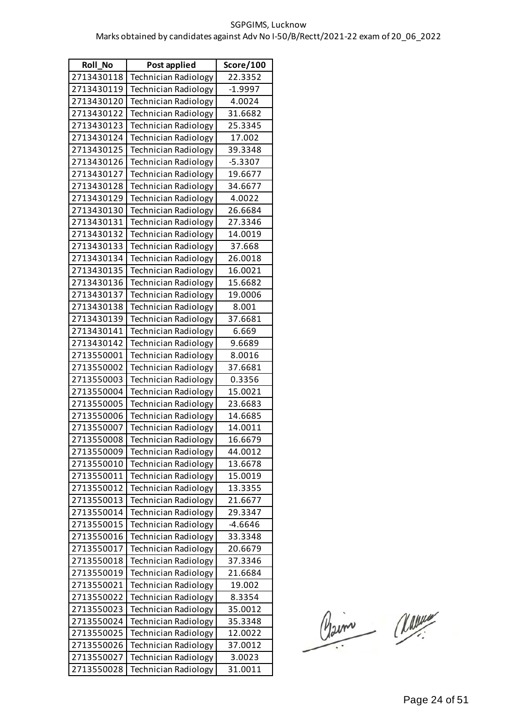| <b>Roll No</b> | Post applied                | Score/100 |
|----------------|-----------------------------|-----------|
| 2713430118     | <b>Technician Radiology</b> | 22.3352   |
| 2713430119     | <b>Technician Radiology</b> | $-1.9997$ |
| 2713430120     | <b>Technician Radiology</b> | 4.0024    |
| 2713430122     | <b>Technician Radiology</b> | 31.6682   |
| 2713430123     | <b>Technician Radiology</b> | 25.3345   |
| 2713430124     | <b>Technician Radiology</b> | 17.002    |
| 2713430125     | <b>Technician Radiology</b> | 39.3348   |
| 2713430126     | <b>Technician Radiology</b> | $-5.3307$ |
| 2713430127     | <b>Technician Radiology</b> | 19.6677   |
| 2713430128     | <b>Technician Radiology</b> | 34.6677   |
| 2713430129     | <b>Technician Radiology</b> | 4.0022    |
| 2713430130     | <b>Technician Radiology</b> | 26.6684   |
| 2713430131     | <b>Technician Radiology</b> | 27.3346   |
| 2713430132     | <b>Technician Radiology</b> | 14.0019   |
| 2713430133     | <b>Technician Radiology</b> | 37.668    |
| 2713430134     | <b>Technician Radiology</b> | 26.0018   |
| 2713430135     | <b>Technician Radiology</b> | 16.0021   |
| 2713430136     | <b>Technician Radiology</b> | 15.6682   |
| 2713430137     | <b>Technician Radiology</b> | 19.0006   |
| 2713430138     | <b>Technician Radiology</b> | 8.001     |
| 2713430139     | <b>Technician Radiology</b> | 37.6681   |
| 2713430141     | <b>Technician Radiology</b> | 6.669     |
| 2713430142     | <b>Technician Radiology</b> | 9.6689    |
| 2713550001     | <b>Technician Radiology</b> | 8.0016    |
| 2713550002     | <b>Technician Radiology</b> | 37.6681   |
| 2713550003     | <b>Technician Radiology</b> | 0.3356    |
| 2713550004     | <b>Technician Radiology</b> | 15.0021   |
| 2713550005     | <b>Technician Radiology</b> | 23.6683   |
| 2713550006     | <b>Technician Radiology</b> | 14.6685   |
| 2713550007     | <b>Technician Radiology</b> | 14.0011   |
| 2713550008     | Technician Radiology        | 16.6679   |
| 2713550009     | <b>Technician Radiology</b> | 44.0012   |
| 2713550010     | <b>Technician Radiology</b> | 13.6678   |
| 2713550011     | <b>Technician Radiology</b> | 15.0019   |
| 2713550012     | <b>Technician Radiology</b> | 13.3355   |
| 2713550013     | <b>Technician Radiology</b> | 21.6677   |
| 2713550014     | <b>Technician Radiology</b> | 29.3347   |
| 2713550015     | <b>Technician Radiology</b> | $-4.6646$ |
| 2713550016     | <b>Technician Radiology</b> | 33.3348   |
| 2713550017     | <b>Technician Radiology</b> | 20.6679   |
| 2713550018     | <b>Technician Radiology</b> | 37.3346   |
| 2713550019     | <b>Technician Radiology</b> | 21.6684   |
| 2713550021     | <b>Technician Radiology</b> | 19.002    |
| 2713550022     | <b>Technician Radiology</b> | 8.3354    |
| 2713550023     | <b>Technician Radiology</b> | 35.0012   |
| 2713550024     | <b>Technician Radiology</b> | 35.3348   |
| 2713550025     | <b>Technician Radiology</b> | 12.0022   |
| 2713550026     | <b>Technician Radiology</b> | 37.0012   |
| 2713550027     | <b>Technician Radiology</b> | 3.0023    |
| 2713550028     | <b>Technician Radiology</b> | 31.0011   |

Claim Classe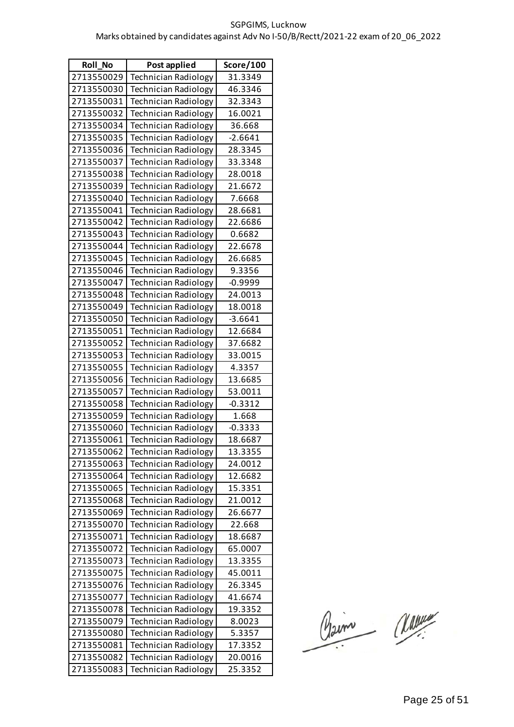| <b>Roll No</b> | Post applied                | Score/100 |
|----------------|-----------------------------|-----------|
| 2713550029     | <b>Technician Radiology</b> | 31.3349   |
| 2713550030     | <b>Technician Radiology</b> | 46.3346   |
| 2713550031     | <b>Technician Radiology</b> | 32.3343   |
| 2713550032     | <b>Technician Radiology</b> | 16.0021   |
| 2713550034     | <b>Technician Radiology</b> | 36.668    |
| 2713550035     | <b>Technician Radiology</b> | $-2.6641$ |
| 2713550036     | <b>Technician Radiology</b> | 28.3345   |
| 2713550037     | <b>Technician Radiology</b> | 33.3348   |
| 2713550038     | <b>Technician Radiology</b> | 28.0018   |
| 2713550039     | <b>Technician Radiology</b> | 21.6672   |
| 2713550040     | <b>Technician Radiology</b> | 7.6668    |
| 2713550041     | <b>Technician Radiology</b> | 28.6681   |
| 2713550042     | <b>Technician Radiology</b> | 22.6686   |
| 2713550043     | <b>Technician Radiology</b> | 0.6682    |
| 2713550044     | <b>Technician Radiology</b> | 22.6678   |
| 2713550045     | <b>Technician Radiology</b> | 26.6685   |
| 2713550046     | <b>Technician Radiology</b> | 9.3356    |
| 2713550047     | <b>Technician Radiology</b> | $-0.9999$ |
| 2713550048     | <b>Technician Radiology</b> | 24.0013   |
| 2713550049     | <b>Technician Radiology</b> | 18.0018   |
| 2713550050     | <b>Technician Radiology</b> | $-3.6641$ |
| 2713550051     | <b>Technician Radiology</b> | 12.6684   |
| 2713550052     | <b>Technician Radiology</b> | 37.6682   |
| 2713550053     | <b>Technician Radiology</b> | 33.0015   |
| 2713550055     | <b>Technician Radiology</b> | 4.3357    |
| 2713550056     | <b>Technician Radiology</b> | 13.6685   |
| 2713550057     | <b>Technician Radiology</b> | 53.0011   |
| 2713550058     | <b>Technician Radiology</b> | $-0.3312$ |
| 2713550059     | <b>Technician Radiology</b> | 1.668     |
| 2713550060     | <b>Technician Radiology</b> | $-0.3333$ |
| 2713550061     | Technician Radiology        | 18.6687   |
| 2713550062     | <b>Technician Radiology</b> | 13.3355   |
| 2713550063     | <b>Technician Radiology</b> | 24.0012   |
| 2713550064     | <b>Technician Radiology</b> | 12.6682   |
| 2713550065     | <b>Technician Radiology</b> | 15.3351   |
| 2713550068     | <b>Technician Radiology</b> | 21.0012   |
| 2713550069     | Technician Radiology        | 26.6677   |
| 2713550070     | <b>Technician Radiology</b> | 22.668    |
| 2713550071     | <b>Technician Radiology</b> | 18.6687   |
| 2713550072     | <b>Technician Radiology</b> | 65.0007   |
| 2713550073     | <b>Technician Radiology</b> | 13.3355   |
| 2713550075     | <b>Technician Radiology</b> | 45.0011   |
| 2713550076     | <b>Technician Radiology</b> | 26.3345   |
| 2713550077     | <b>Technician Radiology</b> | 41.6674   |
| 2713550078     | <b>Technician Radiology</b> | 19.3352   |
| 2713550079     | <b>Technician Radiology</b> | 8.0023    |
| 2713550080     | <b>Technician Radiology</b> | 5.3357    |
| 2713550081     | <b>Technician Radiology</b> | 17.3352   |
| 2713550082     | <b>Technician Radiology</b> | 20.0016   |
| 2713550083     | Technician Radiology        | 25.3352   |

Claim Classe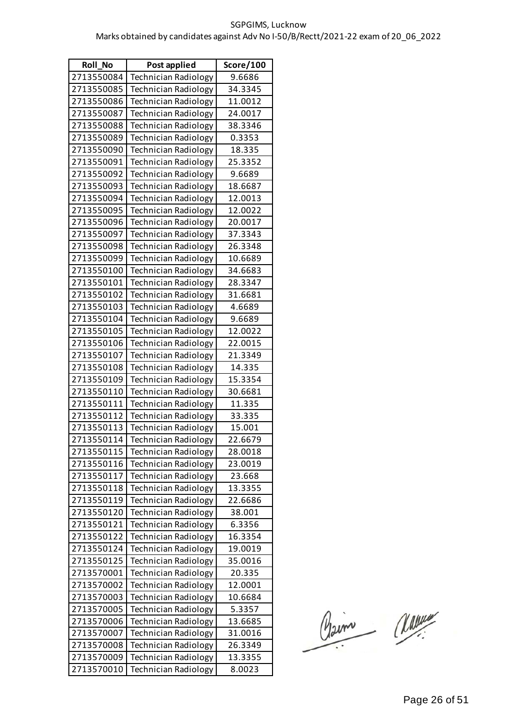| <b>Roll No</b> | Post applied                | Score/100 |
|----------------|-----------------------------|-----------|
| 2713550084     | <b>Technician Radiology</b> | 9.6686    |
| 2713550085     | <b>Technician Radiology</b> | 34.3345   |
| 2713550086     | <b>Technician Radiology</b> | 11.0012   |
| 2713550087     | <b>Technician Radiology</b> | 24.0017   |
| 2713550088     | <b>Technician Radiology</b> | 38.3346   |
| 2713550089     | Technician Radiology        | 0.3353    |
| 2713550090     | <b>Technician Radiology</b> | 18.335    |
| 2713550091     | <b>Technician Radiology</b> | 25.3352   |
| 2713550092     | <b>Technician Radiology</b> | 9.6689    |
| 2713550093     | <b>Technician Radiology</b> | 18.6687   |
| 2713550094     | <b>Technician Radiology</b> | 12.0013   |
| 2713550095     | <b>Technician Radiology</b> | 12.0022   |
| 2713550096     | <b>Technician Radiology</b> | 20.0017   |
| 2713550097     | <b>Technician Radiology</b> | 37.3343   |
| 2713550098     | <b>Technician Radiology</b> | 26.3348   |
| 2713550099     | <b>Technician Radiology</b> | 10.6689   |
| 2713550100     | <b>Technician Radiology</b> | 34.6683   |
| 2713550101     | <b>Technician Radiology</b> | 28.3347   |
| 2713550102     | <b>Technician Radiology</b> | 31.6681   |
| 2713550103     | <b>Technician Radiology</b> | 4.6689    |
| 2713550104     | <b>Technician Radiology</b> | 9.6689    |
| 2713550105     | <b>Technician Radiology</b> | 12.0022   |
| 2713550106     | <b>Technician Radiology</b> | 22.0015   |
| 2713550107     | <b>Technician Radiology</b> | 21.3349   |
| 2713550108     | <b>Technician Radiology</b> | 14.335    |
| 2713550109     | <b>Technician Radiology</b> | 15.3354   |
| 2713550110     | <b>Technician Radiology</b> | 30.6681   |
| 2713550111     | <b>Technician Radiology</b> | 11.335    |
| 2713550112     | <b>Technician Radiology</b> | 33.335    |
| 2713550113     | <b>Technician Radiology</b> | 15.001    |
| 2713550114     | Technician Radiology        | 22.6679   |
| 2713550115     | <b>Technician Radiology</b> | 28.0018   |
| 2713550116     | <b>Technician Radiology</b> | 23.0019   |
| 2713550117     | Technician Radiology        | 23.668    |
| 2713550118     | <b>Technician Radiology</b> | 13.3355   |
| 2713550119     | <b>Technician Radiology</b> | 22.6686   |
| 2713550120     | Technician Radiology        | 38.001    |
| 2713550121     | <b>Technician Radiology</b> | 6.3356    |
| 2713550122     | <b>Technician Radiology</b> | 16.3354   |
| 2713550124     | <b>Technician Radiology</b> | 19.0019   |
| 2713550125     | Technician Radiology        | 35.0016   |
| 2713570001     | <b>Technician Radiology</b> | 20.335    |
| 2713570002     | <b>Technician Radiology</b> | 12.0001   |
| 2713570003     | <b>Technician Radiology</b> | 10.6684   |
| 2713570005     | <b>Technician Radiology</b> | 5.3357    |
| 2713570006     | <b>Technician Radiology</b> | 13.6685   |
| 2713570007     | Technician Radiology        | 31.0016   |
| 2713570008     | <b>Technician Radiology</b> | 26.3349   |
| 2713570009     | <b>Technician Radiology</b> | 13.3355   |
| 2713570010     | <b>Technician Radiology</b> | 8.0023    |

Claim Classe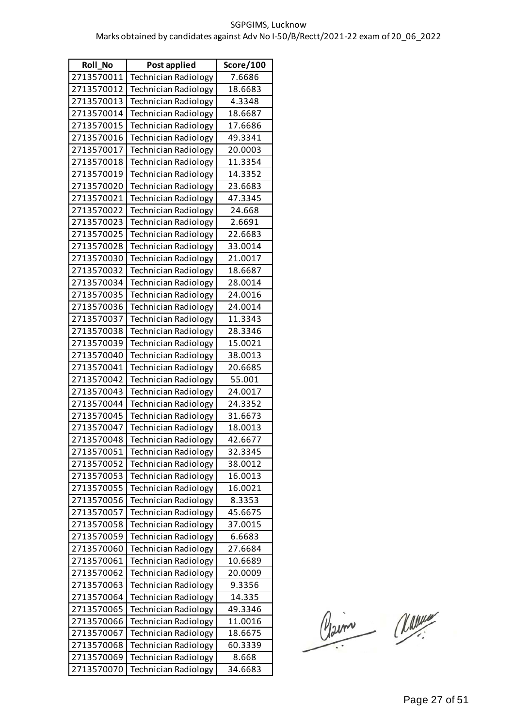| Roll_No    | Post applied                | Score/100 |
|------------|-----------------------------|-----------|
| 2713570011 | <b>Technician Radiology</b> | 7.6686    |
| 2713570012 | <b>Technician Radiology</b> | 18.6683   |
| 2713570013 | <b>Technician Radiology</b> | 4.3348    |
| 2713570014 | <b>Technician Radiology</b> | 18.6687   |
| 2713570015 | <b>Technician Radiology</b> | 17.6686   |
| 2713570016 | <b>Technician Radiology</b> | 49.3341   |
| 2713570017 | <b>Technician Radiology</b> | 20.0003   |
| 2713570018 | <b>Technician Radiology</b> | 11.3354   |
| 2713570019 | <b>Technician Radiology</b> | 14.3352   |
| 2713570020 | <b>Technician Radiology</b> | 23.6683   |
| 2713570021 | Technician Radiology        | 47.3345   |
| 2713570022 | <b>Technician Radiology</b> | 24.668    |
| 2713570023 | Technician Radiology        | 2.6691    |
| 2713570025 | Technician Radiology        | 22.6683   |
| 2713570028 | <b>Technician Radiology</b> | 33.0014   |
| 2713570030 | <b>Technician Radiology</b> | 21.0017   |
| 2713570032 | Technician Radiology        | 18.6687   |
| 2713570034 | <b>Technician Radiology</b> | 28.0014   |
| 2713570035 | Technician Radiology        | 24.0016   |
| 2713570036 | Technician Radiology        | 24.0014   |
| 2713570037 | <b>Technician Radiology</b> | 11.3343   |
| 2713570038 | <b>Technician Radiology</b> | 28.3346   |
| 2713570039 | Technician Radiology        | 15.0021   |
| 2713570040 | <b>Technician Radiology</b> | 38.0013   |
| 2713570041 | Technician Radiology        | 20.6685   |
| 2713570042 | <b>Technician Radiology</b> | 55.001    |
| 2713570043 | <b>Technician Radiology</b> | 24.0017   |
| 2713570044 | <b>Technician Radiology</b> | 24.3352   |
| 2713570045 | <b>Technician Radiology</b> | 31.6673   |
| 2713570047 | <b>Technician Radiology</b> | 18.0013   |
| 2713570048 | Technician Radiology        | 42.6677   |
| 2713570051 | <b>Technician Radiology</b> | 32.3345   |
| 2713570052 | <b>Technician Radiology</b> | 38.0012   |
| 2713570053 | <b>Technician Radiology</b> | 16.0013   |
| 2713570055 | <b>Technician Radiology</b> | 16.0021   |
| 2713570056 | <b>Technician Radiology</b> | 8.3353    |
| 2713570057 | <b>Technician Radiology</b> | 45.6675   |
| 2713570058 | <b>Technician Radiology</b> | 37.0015   |
| 2713570059 | <b>Technician Radiology</b> | 6.6683    |
| 2713570060 | <b>Technician Radiology</b> | 27.6684   |
| 2713570061 | <b>Technician Radiology</b> | 10.6689   |
| 2713570062 | <b>Technician Radiology</b> | 20.0009   |
| 2713570063 | Technician Radiology        | 9.3356    |
| 2713570064 | <b>Technician Radiology</b> | 14.335    |
| 2713570065 | <b>Technician Radiology</b> | 49.3346   |
| 2713570066 | <b>Technician Radiology</b> | 11.0016   |
| 2713570067 | <b>Technician Radiology</b> | 18.6675   |
| 2713570068 | <b>Technician Radiology</b> | 60.3339   |
| 2713570069 | <b>Technician Radiology</b> | 8.668     |
| 2713570070 | Technician Radiology        | 34.6683   |

Claim Classe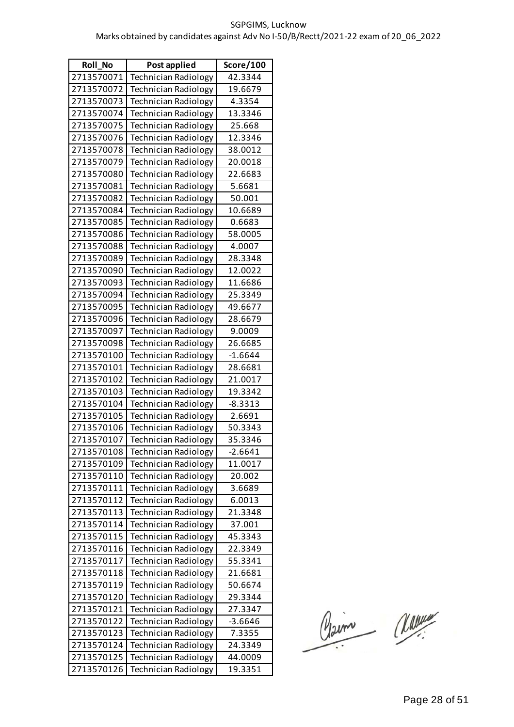| Roll_No    | Post applied                | Score/100 |
|------------|-----------------------------|-----------|
| 2713570071 | <b>Technician Radiology</b> | 42.3344   |
| 2713570072 | <b>Technician Radiology</b> | 19.6679   |
| 2713570073 | <b>Technician Radiology</b> | 4.3354    |
| 2713570074 | <b>Technician Radiology</b> | 13.3346   |
| 2713570075 | <b>Technician Radiology</b> | 25.668    |
| 2713570076 | <b>Technician Radiology</b> | 12.3346   |
| 2713570078 | <b>Technician Radiology</b> | 38.0012   |
| 2713570079 | <b>Technician Radiology</b> | 20.0018   |
| 2713570080 | <b>Technician Radiology</b> | 22.6683   |
| 2713570081 | <b>Technician Radiology</b> | 5.6681    |
| 2713570082 | <b>Technician Radiology</b> | 50.001    |
| 2713570084 | <b>Technician Radiology</b> | 10.6689   |
| 2713570085 | <b>Technician Radiology</b> | 0.6683    |
| 2713570086 | <b>Technician Radiology</b> | 58.0005   |
| 2713570088 | <b>Technician Radiology</b> | 4.0007    |
| 2713570089 | <b>Technician Radiology</b> | 28.3348   |
| 2713570090 | <b>Technician Radiology</b> | 12.0022   |
| 2713570093 | <b>Technician Radiology</b> | 11.6686   |
| 2713570094 | Technician Radiology        | 25.3349   |
| 2713570095 | <b>Technician Radiology</b> | 49.6677   |
| 2713570096 | <b>Technician Radiology</b> | 28.6679   |
| 2713570097 | <b>Technician Radiology</b> | 9.0009    |
| 2713570098 | <b>Technician Radiology</b> | 26.6685   |
| 2713570100 | <b>Technician Radiology</b> | $-1.6644$ |
| 2713570101 | Technician Radiology        | 28.6681   |
| 2713570102 | <b>Technician Radiology</b> | 21.0017   |
| 2713570103 | <b>Technician Radiology</b> | 19.3342   |
| 2713570104 | <b>Technician Radiology</b> | $-8.3313$ |
| 2713570105 | <b>Technician Radiology</b> | 2.6691    |
| 2713570106 | <b>Technician Radiology</b> | 50.3343   |
| 2713570107 | Technician Radiology        | 35.3346   |
| 2713570108 | <b>Technician Radiology</b> | $-2.6641$ |
| 2713570109 | <b>Technician Radiology</b> | 11.0017   |
| 2713570110 | <b>Technician Radiology</b> | 20.002    |
| 2713570111 | <b>Technician Radiology</b> | 3.6689    |
| 2713570112 | <b>Technician Radiology</b> | 6.0013    |
| 2713570113 | <b>Technician Radiology</b> | 21.3348   |
| 2713570114 | <b>Technician Radiology</b> | 37.001    |
| 2713570115 | <b>Technician Radiology</b> | 45.3343   |
| 2713570116 | Technician Radiology        | 22.3349   |
| 2713570117 | <b>Technician Radiology</b> | 55.3341   |
| 2713570118 | Technician Radiology        | 21.6681   |
| 2713570119 | <b>Technician Radiology</b> | 50.6674   |
| 2713570120 | <b>Technician Radiology</b> | 29.3344   |
| 2713570121 | Technician Radiology        | 27.3347   |
| 2713570122 | <b>Technician Radiology</b> | $-3.6646$ |
| 2713570123 | <b>Technician Radiology</b> | 7.3355    |
| 2713570124 | Technician Radiology        | 24.3349   |
| 2713570125 | Technician Radiology        | 44.0009   |
| 2713570126 | <b>Technician Radiology</b> | 19.3351   |

Claim Classe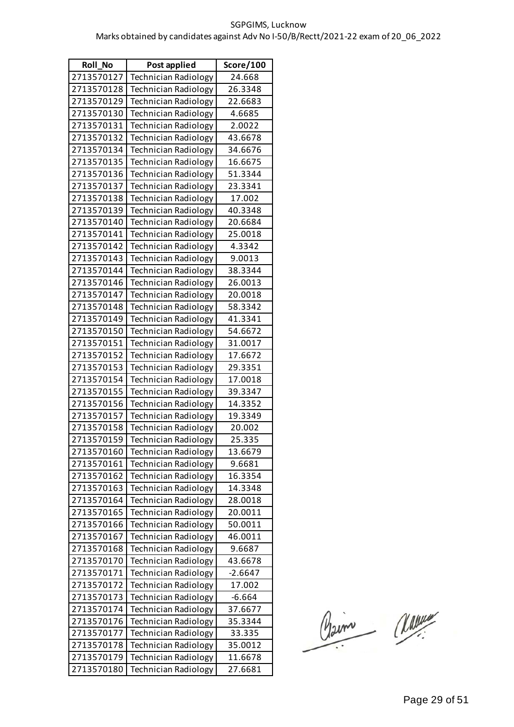| <b>Roll No</b> | Post applied                | Score/100 |
|----------------|-----------------------------|-----------|
| 2713570127     | <b>Technician Radiology</b> | 24.668    |
| 2713570128     | <b>Technician Radiology</b> | 26.3348   |
| 2713570129     | <b>Technician Radiology</b> | 22.6683   |
| 2713570130     | <b>Technician Radiology</b> | 4.6685    |
| 2713570131     | <b>Technician Radiology</b> | 2.0022    |
| 2713570132     | <b>Technician Radiology</b> | 43.6678   |
| 2713570134     | <b>Technician Radiology</b> | 34.6676   |
| 2713570135     | <b>Technician Radiology</b> | 16.6675   |
| 2713570136     | <b>Technician Radiology</b> | 51.3344   |
| 2713570137     | <b>Technician Radiology</b> | 23.3341   |
| 2713570138     | <b>Technician Radiology</b> | 17.002    |
| 2713570139     | <b>Technician Radiology</b> | 40.3348   |
| 2713570140     | <b>Technician Radiology</b> | 20.6684   |
| 2713570141     | <b>Technician Radiology</b> | 25.0018   |
| 2713570142     | <b>Technician Radiology</b> | 4.3342    |
| 2713570143     | <b>Technician Radiology</b> | 9.0013    |
| 2713570144     | <b>Technician Radiology</b> | 38.3344   |
| 2713570146     | <b>Technician Radiology</b> | 26.0013   |
| 2713570147     | <b>Technician Radiology</b> | 20.0018   |
| 2713570148     | <b>Technician Radiology</b> | 58.3342   |
| 2713570149     | <b>Technician Radiology</b> | 41.3341   |
| 2713570150     | <b>Technician Radiology</b> | 54.6672   |
| 2713570151     | <b>Technician Radiology</b> | 31.0017   |
| 2713570152     | <b>Technician Radiology</b> | 17.6672   |
| 2713570153     | <b>Technician Radiology</b> | 29.3351   |
| 2713570154     | <b>Technician Radiology</b> | 17.0018   |
| 2713570155     | <b>Technician Radiology</b> | 39.3347   |
| 2713570156     | <b>Technician Radiology</b> | 14.3352   |
| 2713570157     | <b>Technician Radiology</b> | 19.3349   |
| 2713570158     | <b>Technician Radiology</b> | 20.002    |
| 2713570159     | Technician Radiology        | 25.335    |
| 2713570160     | <b>Technician Radiology</b> | 13.6679   |
| 2713570161     | Technician Radiology        | 9.6681    |
| 2713570162     | <b>Technician Radiology</b> | 16.3354   |
| 2713570163     | Technician Radiology        | 14.3348   |
| 2713570164     | <b>Technician Radiology</b> | 28.0018   |
| 2713570165     | <b>Technician Radiology</b> | 20.0011   |
| 2713570166     | <b>Technician Radiology</b> | 50.0011   |
| 2713570167     | <b>Technician Radiology</b> | 46.0011   |
| 2713570168     | <b>Technician Radiology</b> | 9.6687    |
| 2713570170     | Technician Radiology        | 43.6678   |
| 2713570171     | <b>Technician Radiology</b> | $-2.6647$ |
| 2713570172     | <b>Technician Radiology</b> | 17.002    |
| 2713570173     | <b>Technician Radiology</b> | $-6.664$  |
| 2713570174     | <b>Technician Radiology</b> | 37.6677   |
| 2713570176     | <b>Technician Radiology</b> | 35.3344   |
| 2713570177     | Technician Radiology        | 33.335    |
| 2713570178     | <b>Technician Radiology</b> | 35.0012   |
| 2713570179     | <b>Technician Radiology</b> | 11.6678   |
| 2713570180     | Technician Radiology        | 27.6681   |

Claim Classe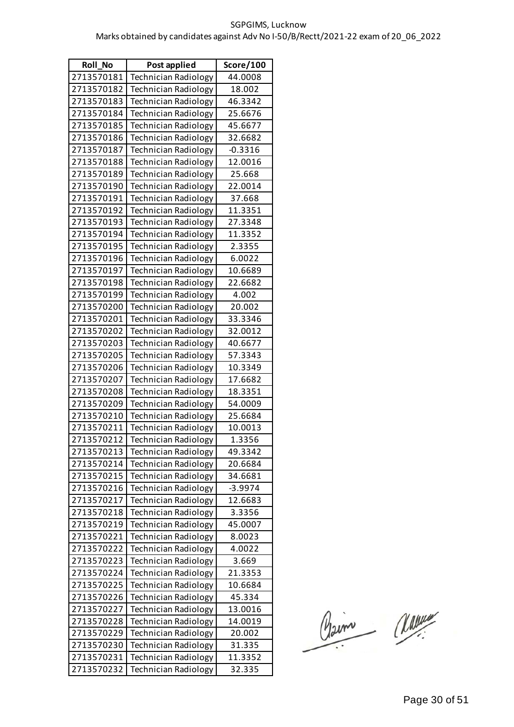| Roll_No    | Post applied                | Score/100 |
|------------|-----------------------------|-----------|
| 2713570181 | <b>Technician Radiology</b> | 44.0008   |
| 2713570182 | <b>Technician Radiology</b> | 18.002    |
| 2713570183 | <b>Technician Radiology</b> | 46.3342   |
| 2713570184 | <b>Technician Radiology</b> | 25.6676   |
| 2713570185 | <b>Technician Radiology</b> | 45.6677   |
| 2713570186 | <b>Technician Radiology</b> | 32.6682   |
| 2713570187 | <b>Technician Radiology</b> | $-0.3316$ |
| 2713570188 | <b>Technician Radiology</b> | 12.0016   |
| 2713570189 | <b>Technician Radiology</b> | 25.668    |
| 2713570190 | <b>Technician Radiology</b> | 22.0014   |
| 2713570191 | Technician Radiology        | 37.668    |
| 2713570192 | <b>Technician Radiology</b> | 11.3351   |
| 2713570193 | Technician Radiology        | 27.3348   |
| 2713570194 | <b>Technician Radiology</b> | 11.3352   |
| 2713570195 | <b>Technician Radiology</b> | 2.3355    |
| 2713570196 | <b>Technician Radiology</b> | 6.0022    |
| 2713570197 | Technician Radiology        | 10.6689   |
| 2713570198 | <b>Technician Radiology</b> | 22.6682   |
| 2713570199 | Technician Radiology        | 4.002     |
| 2713570200 | <b>Technician Radiology</b> | 20.002    |
| 2713570201 | <b>Technician Radiology</b> | 33.3346   |
| 2713570202 | <b>Technician Radiology</b> | 32.0012   |
| 2713570203 | Technician Radiology        | 40.6677   |
| 2713570205 | <b>Technician Radiology</b> | 57.3343   |
| 2713570206 | Technician Radiology        | 10.3349   |
| 2713570207 | <b>Technician Radiology</b> | 17.6682   |
| 2713570208 | <b>Technician Radiology</b> | 18.3351   |
| 2713570209 | <b>Technician Radiology</b> | 54.0009   |
| 2713570210 | <b>Technician Radiology</b> | 25.6684   |
| 2713570211 | <b>Technician Radiology</b> | 10.0013   |
| 2713570212 | Technician Radiology        | 1.3356    |
| 2713570213 | <b>Technician Radiology</b> | 49.3342   |
| 2713570214 | <b>Technician Radiology</b> | 20.6684   |
| 2713570215 | <b>Technician Radiology</b> | 34.6681   |
| 2713570216 | <b>Technician Radiology</b> | $-3.9974$ |
| 2713570217 | <b>Technician Radiology</b> | 12.6683   |
| 2713570218 | <b>Technician Radiology</b> | 3.3356    |
| 2713570219 | <b>Technician Radiology</b> | 45.0007   |
| 2713570221 | <b>Technician Radiology</b> | 8.0023    |
| 2713570222 | <b>Technician Radiology</b> | 4.0022    |
| 2713570223 | <b>Technician Radiology</b> | 3.669     |
| 2713570224 | <b>Technician Radiology</b> | 21.3353   |
| 2713570225 | Technician Radiology        | 10.6684   |
| 2713570226 | <b>Technician Radiology</b> | 45.334    |
| 2713570227 | <b>Technician Radiology</b> | 13.0016   |
| 2713570228 | <b>Technician Radiology</b> | 14.0019   |
| 2713570229 | <b>Technician Radiology</b> | 20.002    |
| 2713570230 | <b>Technician Radiology</b> | 31.335    |
| 2713570231 | <b>Technician Radiology</b> | 11.3352   |
| 2713570232 | Technician Radiology        | 32.335    |

Claim Classe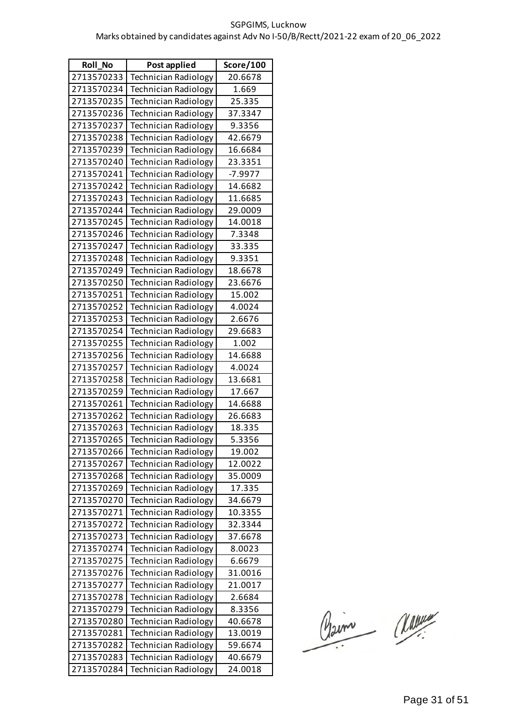| <b>Roll No</b> | Post applied                | Score/100 |
|----------------|-----------------------------|-----------|
| 2713570233     | <b>Technician Radiology</b> | 20.6678   |
| 2713570234     | <b>Technician Radiology</b> | 1.669     |
| 2713570235     | <b>Technician Radiology</b> | 25.335    |
| 2713570236     | <b>Technician Radiology</b> | 37.3347   |
| 2713570237     | <b>Technician Radiology</b> | 9.3356    |
| 2713570238     | <b>Technician Radiology</b> | 42.6679   |
| 2713570239     | <b>Technician Radiology</b> | 16.6684   |
| 2713570240     | <b>Technician Radiology</b> | 23.3351   |
| 2713570241     | <b>Technician Radiology</b> | $-7.9977$ |
| 2713570242     | <b>Technician Radiology</b> | 14.6682   |
| 2713570243     | <b>Technician Radiology</b> | 11.6685   |
| 2713570244     | <b>Technician Radiology</b> | 29.0009   |
| 2713570245     | <b>Technician Radiology</b> | 14.0018   |
| 2713570246     | <b>Technician Radiology</b> | 7.3348    |
| 2713570247     | <b>Technician Radiology</b> | 33.335    |
| 2713570248     | <b>Technician Radiology</b> | 9.3351    |
| 2713570249     | <b>Technician Radiology</b> | 18.6678   |
| 2713570250     | <b>Technician Radiology</b> | 23.6676   |
| 2713570251     | <b>Technician Radiology</b> | 15.002    |
| 2713570252     | <b>Technician Radiology</b> | 4.0024    |
| 2713570253     | <b>Technician Radiology</b> | 2.6676    |
| 2713570254     | <b>Technician Radiology</b> | 29.6683   |
| 2713570255     | <b>Technician Radiology</b> | 1.002     |
| 2713570256     | <b>Technician Radiology</b> | 14.6688   |
| 2713570257     | <b>Technician Radiology</b> | 4.0024    |
| 2713570258     | <b>Technician Radiology</b> | 13.6681   |
| 2713570259     | <b>Technician Radiology</b> | 17.667    |
| 2713570261     | <b>Technician Radiology</b> | 14.6688   |
| 2713570262     | <b>Technician Radiology</b> | 26.6683   |
| 2713570263     | Technician Radiology        | 18.335    |
| 2713570265     | Technician Radiology        | 5.3356    |
| 2713570266     | <b>Technician Radiology</b> | 19.002    |
| 2713570267     | <b>Technician Radiology</b> | 12.0022   |
| 2713570268     | <b>Technician Radiology</b> | 35.0009   |
| 2713570269     | <b>Technician Radiology</b> | 17.335    |
| 2713570270     | <b>Technician Radiology</b> | 34.6679   |
| 2713570271     | Technician Radiology        | 10.3355   |
| 2713570272     | <b>Technician Radiology</b> | 32.3344   |
| 2713570273     | <b>Technician Radiology</b> | 37.6678   |
| 2713570274     | <b>Technician Radiology</b> | 8.0023    |
| 2713570275     | <b>Technician Radiology</b> | 6.6679    |
| 2713570276     | <b>Technician Radiology</b> | 31.0016   |
| 2713570277     | <b>Technician Radiology</b> | 21.0017   |
| 2713570278     | <b>Technician Radiology</b> | 2.6684    |
| 2713570279     | <b>Technician Radiology</b> | 8.3356    |
| 2713570280     | <b>Technician Radiology</b> | 40.6678   |
| 2713570281     | <b>Technician Radiology</b> | 13.0019   |
| 2713570282     | <b>Technician Radiology</b> | 59.6674   |
| 2713570283     | <b>Technician Radiology</b> | 40.6679   |
| 2713570284     | Technician Radiology        | 24.0018   |

Claim Classe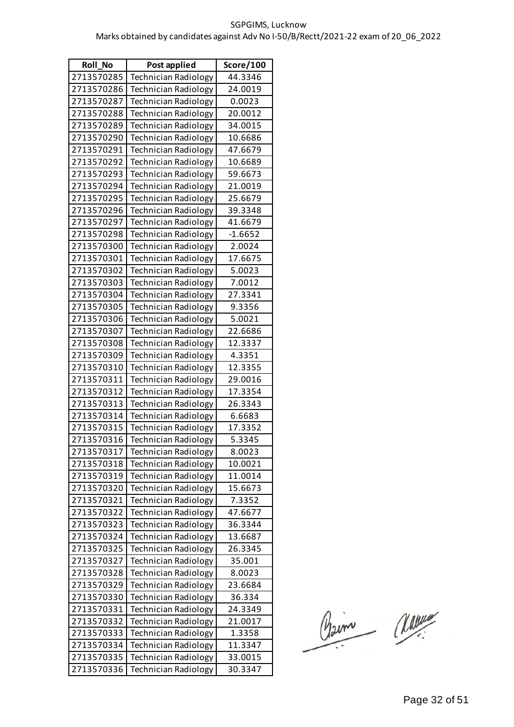| <b>Roll No</b> | Post applied                | Score/100 |
|----------------|-----------------------------|-----------|
| 2713570285     | <b>Technician Radiology</b> | 44.3346   |
| 2713570286     | <b>Technician Radiology</b> | 24.0019   |
| 2713570287     | <b>Technician Radiology</b> | 0.0023    |
| 2713570288     | <b>Technician Radiology</b> | 20.0012   |
| 2713570289     | <b>Technician Radiology</b> | 34.0015   |
| 2713570290     | <b>Technician Radiology</b> | 10.6686   |
| 2713570291     | <b>Technician Radiology</b> | 47.6679   |
| 2713570292     | <b>Technician Radiology</b> | 10.6689   |
| 2713570293     | <b>Technician Radiology</b> | 59.6673   |
| 2713570294     | <b>Technician Radiology</b> | 21.0019   |
| 2713570295     | <b>Technician Radiology</b> | 25.6679   |
| 2713570296     | <b>Technician Radiology</b> | 39.3348   |
| 2713570297     | <b>Technician Radiology</b> | 41.6679   |
| 2713570298     | <b>Technician Radiology</b> | $-1.6652$ |
| 2713570300     | <b>Technician Radiology</b> | 2.0024    |
| 2713570301     | <b>Technician Radiology</b> | 17.6675   |
| 2713570302     | <b>Technician Radiology</b> | 5.0023    |
| 2713570303     | <b>Technician Radiology</b> | 7.0012    |
| 2713570304     | <b>Technician Radiology</b> | 27.3341   |
| 2713570305     | <b>Technician Radiology</b> | 9.3356    |
| 2713570306     | <b>Technician Radiology</b> | 5.0021    |
| 2713570307     | <b>Technician Radiology</b> | 22.6686   |
| 2713570308     | <b>Technician Radiology</b> | 12.3337   |
| 2713570309     | <b>Technician Radiology</b> | 4.3351    |
| 2713570310     | <b>Technician Radiology</b> | 12.3355   |
| 2713570311     | <b>Technician Radiology</b> | 29.0016   |
| 2713570312     | <b>Technician Radiology</b> | 17.3354   |
| 2713570313     | <b>Technician Radiology</b> | 26.3343   |
| 2713570314     | <b>Technician Radiology</b> | 6.6683    |
| 2713570315     | Technician Radiology        | 17.3352   |
| 2713570316     | Technician Radiology        | 5.3345    |
| 2713570317     | <b>Technician Radiology</b> | 8.0023    |
| 2713570318     | <b>Technician Radiology</b> | 10.0021   |
| 2713570319     | <b>Technician Radiology</b> | 11.0014   |
| 2713570320     | <b>Technician Radiology</b> | 15.6673   |
| 2713570321     | <b>Technician Radiology</b> | 7.3352    |
| 2713570322     | <b>Technician Radiology</b> | 47.6677   |
| 2713570323     | <b>Technician Radiology</b> | 36.3344   |
| 2713570324     | <b>Technician Radiology</b> | 13.6687   |
| 2713570325     | <b>Technician Radiology</b> | 26.3345   |
| 2713570327     | <b>Technician Radiology</b> | 35.001    |
| 2713570328     | <b>Technician Radiology</b> | 8.0023    |
| 2713570329     | <b>Technician Radiology</b> | 23.6684   |
| 2713570330     | <b>Technician Radiology</b> | 36.334    |
| 2713570331     | <b>Technician Radiology</b> | 24.3349   |
| 2713570332     | <b>Technician Radiology</b> | 21.0017   |
| 2713570333     | <b>Technician Radiology</b> | 1.3358    |
| 2713570334     | <b>Technician Radiology</b> | 11.3347   |
| 2713570335     | <b>Technician Radiology</b> | 33.0015   |
| 2713570336     | <b>Technician Radiology</b> | 30.3347   |

Claim Classe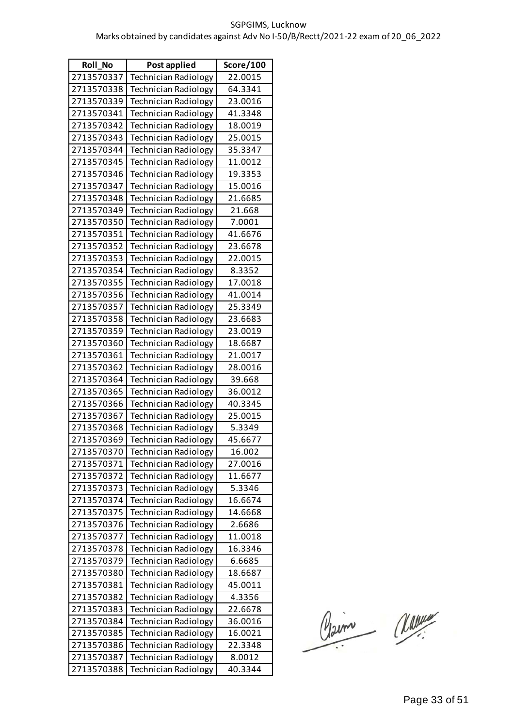| <b>Roll No</b> | Post applied                | Score/100 |
|----------------|-----------------------------|-----------|
| 2713570337     | <b>Technician Radiology</b> | 22.0015   |
| 2713570338     | <b>Technician Radiology</b> | 64.3341   |
| 2713570339     | <b>Technician Radiology</b> | 23.0016   |
| 2713570341     | <b>Technician Radiology</b> | 41.3348   |
| 2713570342     | <b>Technician Radiology</b> | 18.0019   |
| 2713570343     | <b>Technician Radiology</b> | 25.0015   |
| 2713570344     | <b>Technician Radiology</b> | 35.3347   |
| 2713570345     | <b>Technician Radiology</b> | 11.0012   |
| 2713570346     | <b>Technician Radiology</b> | 19.3353   |
| 2713570347     | <b>Technician Radiology</b> | 15.0016   |
| 2713570348     | <b>Technician Radiology</b> | 21.6685   |
| 2713570349     | <b>Technician Radiology</b> | 21.668    |
| 2713570350     | <b>Technician Radiology</b> | 7.0001    |
| 2713570351     | <b>Technician Radiology</b> | 41.6676   |
| 2713570352     | <b>Technician Radiology</b> | 23.6678   |
| 2713570353     | <b>Technician Radiology</b> | 22.0015   |
| 2713570354     | <b>Technician Radiology</b> | 8.3352    |
| 2713570355     | <b>Technician Radiology</b> | 17.0018   |
| 2713570356     | <b>Technician Radiology</b> | 41.0014   |
| 2713570357     | <b>Technician Radiology</b> | 25.3349   |
| 2713570358     | <b>Technician Radiology</b> | 23.6683   |
| 2713570359     | <b>Technician Radiology</b> | 23.0019   |
| 2713570360     | <b>Technician Radiology</b> | 18.6687   |
| 2713570361     | <b>Technician Radiology</b> | 21.0017   |
| 2713570362     | <b>Technician Radiology</b> | 28.0016   |
| 2713570364     | <b>Technician Radiology</b> | 39.668    |
| 2713570365     | <b>Technician Radiology</b> | 36.0012   |
| 2713570366     | <b>Technician Radiology</b> | 40.3345   |
| 2713570367     | <b>Technician Radiology</b> | 25.0015   |
| 2713570368     | Technician Radiology        | 5.3349    |
| 2713570369     | Technician Radiology        | 45.6677   |
| 2713570370     | <b>Technician Radiology</b> | 16.002    |
| 2713570371     | <b>Technician Radiology</b> | 27.0016   |
| 2713570372     | <b>Technician Radiology</b> | 11.6677   |
| 2713570373     | <b>Technician Radiology</b> | 5.3346    |
| 2713570374     | <b>Technician Radiology</b> | 16.6674   |
| 2713570375     | <b>Technician Radiology</b> | 14.6668   |
| 2713570376     | <b>Technician Radiology</b> | 2.6686    |
| 2713570377     | <b>Technician Radiology</b> | 11.0018   |
| 2713570378     | <b>Technician Radiology</b> | 16.3346   |
| 2713570379     | <b>Technician Radiology</b> | 6.6685    |
| 2713570380     | <b>Technician Radiology</b> | 18.6687   |
| 2713570381     | <b>Technician Radiology</b> | 45.0011   |
| 2713570382     | <b>Technician Radiology</b> | 4.3356    |
| 2713570383     | <b>Technician Radiology</b> | 22.6678   |
| 2713570384     | <b>Technician Radiology</b> | 36.0016   |
| 2713570385     | <b>Technician Radiology</b> | 16.0021   |
| 2713570386     | <b>Technician Radiology</b> | 22.3348   |
| 2713570387     | <b>Technician Radiology</b> | 8.0012    |
| 2713570388     | Technician Radiology        | 40.3344   |

Claim Classe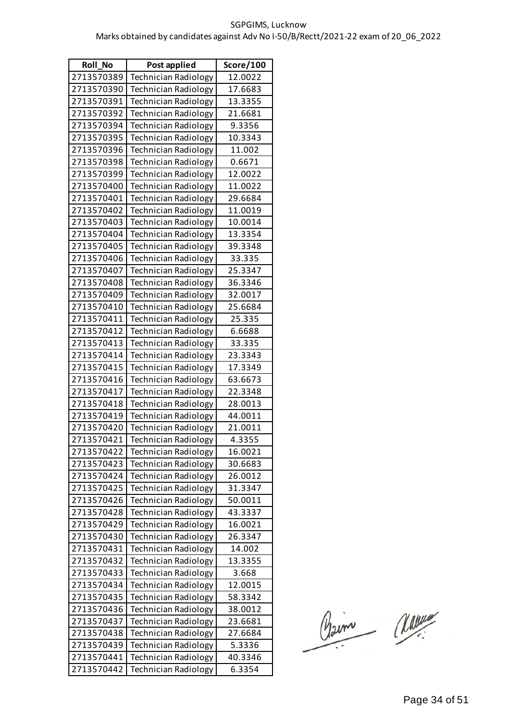| <b>Roll No</b> | Post applied                | Score/100 |
|----------------|-----------------------------|-----------|
| 2713570389     | <b>Technician Radiology</b> | 12.0022   |
| 2713570390     | <b>Technician Radiology</b> | 17.6683   |
| 2713570391     | <b>Technician Radiology</b> | 13.3355   |
| 2713570392     | <b>Technician Radiology</b> | 21.6681   |
| 2713570394     | <b>Technician Radiology</b> | 9.3356    |
| 2713570395     | <b>Technician Radiology</b> | 10.3343   |
| 2713570396     | <b>Technician Radiology</b> | 11.002    |
| 2713570398     | <b>Technician Radiology</b> | 0.6671    |
| 2713570399     | <b>Technician Radiology</b> | 12.0022   |
| 2713570400     | <b>Technician Radiology</b> | 11.0022   |
| 2713570401     | <b>Technician Radiology</b> | 29.6684   |
| 2713570402     | <b>Technician Radiology</b> | 11.0019   |
| 2713570403     | <b>Technician Radiology</b> | 10.0014   |
| 2713570404     | <b>Technician Radiology</b> | 13.3354   |
| 2713570405     | <b>Technician Radiology</b> | 39.3348   |
| 2713570406     | <b>Technician Radiology</b> | 33.335    |
| 2713570407     | <b>Technician Radiology</b> | 25.3347   |
| 2713570408     | <b>Technician Radiology</b> | 36.3346   |
| 2713570409     | <b>Technician Radiology</b> | 32.0017   |
| 2713570410     | <b>Technician Radiology</b> | 25.6684   |
| 2713570411     | <b>Technician Radiology</b> | 25.335    |
| 2713570412     | <b>Technician Radiology</b> | 6.6688    |
| 2713570413     | <b>Technician Radiology</b> | 33.335    |
| 2713570414     | <b>Technician Radiology</b> | 23.3343   |
| 2713570415     | <b>Technician Radiology</b> | 17.3349   |
| 2713570416     | <b>Technician Radiology</b> | 63.6673   |
| 2713570417     | <b>Technician Radiology</b> | 22.3348   |
| 2713570418     | <b>Technician Radiology</b> | 28.0013   |
| 2713570419     | <b>Technician Radiology</b> | 44.0011   |
| 2713570420     | <b>Technician Radiology</b> | 21.0011   |
| 2713570421     | Technician Radiology        | 4.3355    |
| 2713570422     | <b>Technician Radiology</b> | 16.0021   |
| 2713570423     | <b>Technician Radiology</b> | 30.6683   |
| 2713570424     | <b>Technician Radiology</b> | 26.0012   |
| 2713570425     | <b>Technician Radiology</b> | 31.3347   |
| 2713570426     | <b>Technician Radiology</b> | 50.0011   |
| 2713570428     | <b>Technician Radiology</b> | 43.3337   |
| 2713570429     | <b>Technician Radiology</b> | 16.0021   |
| 2713570430     | <b>Technician Radiology</b> | 26.3347   |
| 2713570431     | <b>Technician Radiology</b> | 14.002    |
| 2713570432     | Technician Radiology        | 13.3355   |
| 2713570433     | <b>Technician Radiology</b> | 3.668     |
| 2713570434     | <b>Technician Radiology</b> | 12.0015   |
| 2713570435     | <b>Technician Radiology</b> | 58.3342   |
| 2713570436     | <b>Technician Radiology</b> | 38.0012   |
| 2713570437     | <b>Technician Radiology</b> | 23.6681   |
| 2713570438     | Technician Radiology        | 27.6684   |
| 2713570439     | <b>Technician Radiology</b> | 5.3336    |
| 2713570441     | <b>Technician Radiology</b> | 40.3346   |
| 2713570442     | Technician Radiology        | 6.3354    |

Claim Classe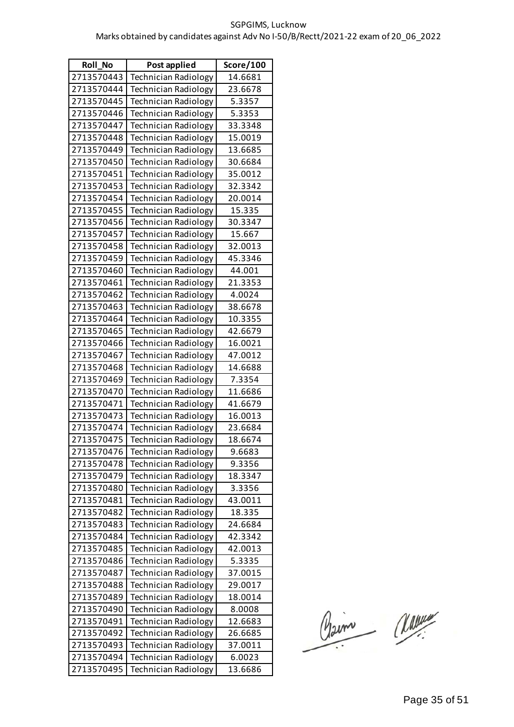| Roll_No    | Post applied                | Score/100 |
|------------|-----------------------------|-----------|
| 2713570443 | <b>Technician Radiology</b> | 14.6681   |
| 2713570444 | <b>Technician Radiology</b> | 23.6678   |
| 2713570445 | <b>Technician Radiology</b> | 5.3357    |
| 2713570446 | <b>Technician Radiology</b> | 5.3353    |
| 2713570447 | <b>Technician Radiology</b> | 33.3348   |
| 2713570448 | <b>Technician Radiology</b> | 15.0019   |
| 2713570449 | <b>Technician Radiology</b> | 13.6685   |
| 2713570450 | <b>Technician Radiology</b> | 30.6684   |
| 2713570451 | <b>Technician Radiology</b> | 35.0012   |
| 2713570453 | <b>Technician Radiology</b> | 32.3342   |
| 2713570454 | <b>Technician Radiology</b> | 20.0014   |
| 2713570455 | <b>Technician Radiology</b> | 15.335    |
| 2713570456 | Technician Radiology        | 30.3347   |
| 2713570457 | <b>Technician Radiology</b> | 15.667    |
| 2713570458 | <b>Technician Radiology</b> | 32.0013   |
| 2713570459 | <b>Technician Radiology</b> | 45.3346   |
| 2713570460 | <b>Technician Radiology</b> | 44.001    |
| 2713570461 | <b>Technician Radiology</b> | 21.3353   |
| 2713570462 | Technician Radiology        | 4.0024    |
| 2713570463 | <b>Technician Radiology</b> | 38.6678   |
| 2713570464 | <b>Technician Radiology</b> | 10.3355   |
| 2713570465 | <b>Technician Radiology</b> | 42.6679   |
| 2713570466 | <b>Technician Radiology</b> | 16.0021   |
| 2713570467 | <b>Technician Radiology</b> | 47.0012   |
| 2713570468 | Technician Radiology        | 14.6688   |
| 2713570469 | <b>Technician Radiology</b> | 7.3354    |
| 2713570470 | <b>Technician Radiology</b> | 11.6686   |
| 2713570471 | <b>Technician Radiology</b> | 41.6679   |
| 2713570473 | <b>Technician Radiology</b> | 16.0013   |
| 2713570474 | <b>Technician Radiology</b> | 23.6684   |
| 2713570475 | Technician Radiology        | 18.6674   |
| 2713570476 | <b>Technician Radiology</b> | 9.6683    |
| 2713570478 | <b>Technician Radiology</b> | 9.3356    |
| 2713570479 | <b>Technician Radiology</b> | 18.3347   |
| 2713570480 | <b>Technician Radiology</b> | 3.3356    |
| 2713570481 | <b>Technician Radiology</b> | 43.0011   |
| 2713570482 | <b>Technician Radiology</b> | 18.335    |
| 2713570483 | <b>Technician Radiology</b> | 24.6684   |
| 2713570484 | <b>Technician Radiology</b> | 42.3342   |
| 2713570485 | Technician Radiology        | 42.0013   |
| 2713570486 | <b>Technician Radiology</b> | 5.3335    |
| 2713570487 | Technician Radiology        | 37.0015   |
| 2713570488 | <b>Technician Radiology</b> | 29.0017   |
| 2713570489 | <b>Technician Radiology</b> | 18.0014   |
| 2713570490 | Technician Radiology        | 8.0008    |
| 2713570491 | <b>Technician Radiology</b> | 12.6683   |
| 2713570492 | <b>Technician Radiology</b> | 26.6685   |
| 2713570493 | Technician Radiology        | 37.0011   |
| 2713570494 | <b>Technician Radiology</b> | 6.0023    |
| 2713570495 | <b>Technician Radiology</b> | 13.6686   |

Claim Classe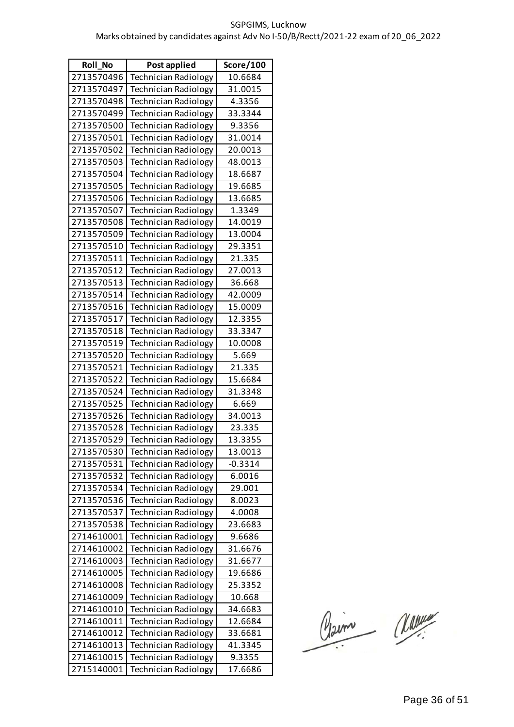| <b>Roll No</b> | Post applied                | Score/100 |
|----------------|-----------------------------|-----------|
| 2713570496     | <b>Technician Radiology</b> | 10.6684   |
| 2713570497     | <b>Technician Radiology</b> | 31.0015   |
| 2713570498     | <b>Technician Radiology</b> | 4.3356    |
| 2713570499     | <b>Technician Radiology</b> | 33.3344   |
| 2713570500     | <b>Technician Radiology</b> | 9.3356    |
| 2713570501     | <b>Technician Radiology</b> | 31.0014   |
| 2713570502     | <b>Technician Radiology</b> | 20.0013   |
| 2713570503     | <b>Technician Radiology</b> | 48.0013   |
| 2713570504     | <b>Technician Radiology</b> | 18.6687   |
| 2713570505     | <b>Technician Radiology</b> | 19.6685   |
| 2713570506     | <b>Technician Radiology</b> | 13.6685   |
| 2713570507     | <b>Technician Radiology</b> | 1.3349    |
| 2713570508     | <b>Technician Radiology</b> | 14.0019   |
| 2713570509     | <b>Technician Radiology</b> | 13.0004   |
| 2713570510     | <b>Technician Radiology</b> | 29.3351   |
| 2713570511     | <b>Technician Radiology</b> | 21.335    |
| 2713570512     | <b>Technician Radiology</b> | 27.0013   |
| 2713570513     | <b>Technician Radiology</b> | 36.668    |
| 2713570514     | <b>Technician Radiology</b> | 42.0009   |
| 2713570516     | <b>Technician Radiology</b> | 15.0009   |
| 2713570517     | <b>Technician Radiology</b> | 12.3355   |
| 2713570518     | <b>Technician Radiology</b> | 33.3347   |
| 2713570519     | <b>Technician Radiology</b> | 10.0008   |
| 2713570520     | <b>Technician Radiology</b> | 5.669     |
| 2713570521     | <b>Technician Radiology</b> | 21.335    |
| 2713570522     | <b>Technician Radiology</b> | 15.6684   |
| 2713570524     | <b>Technician Radiology</b> | 31.3348   |
| 2713570525     | <b>Technician Radiology</b> | 6.669     |
| 2713570526     | <b>Technician Radiology</b> | 34.0013   |
| 2713570528     | <b>Technician Radiology</b> | 23.335    |
| 2713570529     | Technician Radiology        | 13.3355   |
| 2713570530     | <b>Technician Radiology</b> | 13.0013   |
| 2713570531     | <b>Technician Radiology</b> | $-0.3314$ |
| 2713570532     | <b>Technician Radiology</b> | 6.0016    |
| 2713570534     | <b>Technician Radiology</b> | 29.001    |
| 2713570536     | <b>Technician Radiology</b> | 8.0023    |
| 2713570537     | <b>Technician Radiology</b> | 4.0008    |
| 2713570538     | <b>Technician Radiology</b> | 23.6683   |
| 2714610001     | <b>Technician Radiology</b> | 9.6686    |
| 2714610002     | <b>Technician Radiology</b> | 31.6676   |
| 2714610003     | Technician Radiology        | 31.6677   |
| 2714610005     | <b>Technician Radiology</b> | 19.6686   |
| 2714610008     | <b>Technician Radiology</b> | 25.3352   |
| 2714610009     | <b>Technician Radiology</b> | 10.668    |
| 2714610010     | <b>Technician Radiology</b> | 34.6683   |
| 2714610011     | <b>Technician Radiology</b> | 12.6684   |
| 2714610012     | Technician Radiology        | 33.6681   |
| 2714610013     | <b>Technician Radiology</b> | 41.3345   |
| 2714610015     | <b>Technician Radiology</b> | 9.3355    |
| 2715140001     | Technician Radiology        | 17.6686   |

Claim Classe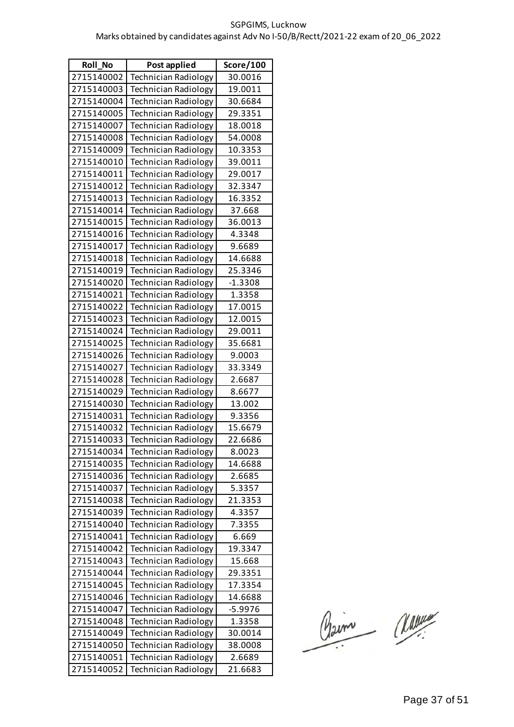| <b>Roll No</b> | Post applied                | Score/100 |
|----------------|-----------------------------|-----------|
| 2715140002     | <b>Technician Radiology</b> | 30.0016   |
| 2715140003     | <b>Technician Radiology</b> | 19.0011   |
| 2715140004     | <b>Technician Radiology</b> | 30.6684   |
| 2715140005     | <b>Technician Radiology</b> | 29.3351   |
| 2715140007     | <b>Technician Radiology</b> | 18.0018   |
| 2715140008     | <b>Technician Radiology</b> | 54.0008   |
| 2715140009     | <b>Technician Radiology</b> | 10.3353   |
| 2715140010     | <b>Technician Radiology</b> | 39.0011   |
| 2715140011     | <b>Technician Radiology</b> | 29.0017   |
| 2715140012     | <b>Technician Radiology</b> | 32.3347   |
| 2715140013     | <b>Technician Radiology</b> | 16.3352   |
| 2715140014     | <b>Technician Radiology</b> | 37.668    |
| 2715140015     | <b>Technician Radiology</b> | 36.0013   |
| 2715140016     | <b>Technician Radiology</b> | 4.3348    |
| 2715140017     | <b>Technician Radiology</b> | 9.6689    |
| 2715140018     | <b>Technician Radiology</b> | 14.6688   |
| 2715140019     | <b>Technician Radiology</b> | 25.3346   |
| 2715140020     | <b>Technician Radiology</b> | $-1.3308$ |
| 2715140021     | Technician Radiology        | 1.3358    |
| 2715140022     | <b>Technician Radiology</b> | 17.0015   |
| 2715140023     | <b>Technician Radiology</b> | 12.0015   |
| 2715140024     | <b>Technician Radiology</b> | 29.0011   |
| 2715140025     | <b>Technician Radiology</b> | 35.6681   |
| 2715140026     | <b>Technician Radiology</b> | 9.0003    |
| 2715140027     | <b>Technician Radiology</b> | 33.3349   |
| 2715140028     | <b>Technician Radiology</b> | 2.6687    |
| 2715140029     | <b>Technician Radiology</b> | 8.6677    |
| 2715140030     | <b>Technician Radiology</b> | 13.002    |
| 2715140031     | <b>Technician Radiology</b> | 9.3356    |
| 2715140032     | Technician Radiology        | 15.6679   |
| 2715140033     | Technician Radiology        | 22.6686   |
| 2715140034     | <b>Technician Radiology</b> | 8.0023    |
| 2715140035     | Technician Radiology        | 14.6688   |
| 2715140036     | <b>Technician Radiology</b> | 2.6685    |
| 2715140037     | Technician Radiology        | 5.3357    |
| 2715140038     | <b>Technician Radiology</b> | 21.3353   |
| 2715140039     | <b>Technician Radiology</b> | 4.3357    |
| 2715140040     | <b>Technician Radiology</b> | 7.3355    |
| 2715140041     | <b>Technician Radiology</b> | 6.669     |
| 2715140042     | <b>Technician Radiology</b> | 19.3347   |
| 2715140043     | Technician Radiology        | 15.668    |
| 2715140044     | <b>Technician Radiology</b> | 29.3351   |
| 2715140045     | <b>Technician Radiology</b> | 17.3354   |
| 2715140046     | <b>Technician Radiology</b> | 14.6688   |
| 2715140047     | <b>Technician Radiology</b> | $-5.9976$ |
| 2715140048     | <b>Technician Radiology</b> | 1.3358    |
| 2715140049     | Technician Radiology        | 30.0014   |
| 2715140050     | <b>Technician Radiology</b> | 38.0008   |
| 2715140051     | <b>Technician Radiology</b> | 2.6689    |
| 2715140052     | Technician Radiology        | 21.6683   |

Claim Classe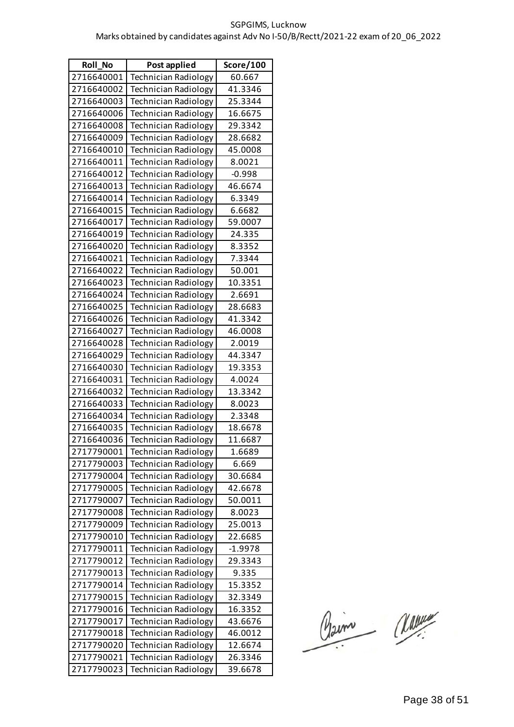| Roll_No    | Post applied                | Score/100 |
|------------|-----------------------------|-----------|
| 2716640001 | Technician Radiology        | 60.667    |
| 2716640002 | <b>Technician Radiology</b> | 41.3346   |
| 2716640003 | <b>Technician Radiology</b> | 25.3344   |
| 2716640006 | <b>Technician Radiology</b> | 16.6675   |
| 2716640008 | <b>Technician Radiology</b> | 29.3342   |
| 2716640009 | <b>Technician Radiology</b> | 28.6682   |
| 2716640010 | <b>Technician Radiology</b> | 45.0008   |
| 2716640011 | <b>Technician Radiology</b> | 8.0021    |
| 2716640012 | <b>Technician Radiology</b> | $-0.998$  |
| 2716640013 | <b>Technician Radiology</b> | 46.6674   |
| 2716640014 | <b>Technician Radiology</b> | 6.3349    |
| 2716640015 | <b>Technician Radiology</b> | 6.6682    |
| 2716640017 | <b>Technician Radiology</b> | 59.0007   |
| 2716640019 | <b>Technician Radiology</b> | 24.335    |
| 2716640020 | <b>Technician Radiology</b> | 8.3352    |
| 2716640021 | <b>Technician Radiology</b> | 7.3344    |
| 2716640022 | <b>Technician Radiology</b> | 50.001    |
| 2716640023 | <b>Technician Radiology</b> | 10.3351   |
| 2716640024 | <b>Technician Radiology</b> | 2.6691    |
| 2716640025 | Technician Radiology        | 28.6683   |
| 2716640026 | <b>Technician Radiology</b> | 41.3342   |
| 2716640027 | <b>Technician Radiology</b> | 46.0008   |
| 2716640028 | <b>Technician Radiology</b> | 2.0019    |
| 2716640029 | <b>Technician Radiology</b> | 44.3347   |
| 2716640030 | <b>Technician Radiology</b> | 19.3353   |
| 2716640031 | Technician Radiology        | 4.0024    |
| 2716640032 | <b>Technician Radiology</b> | 13.3342   |
| 2716640033 | <b>Technician Radiology</b> | 8.0023    |
| 2716640034 | Technician Radiology        | 2.3348    |
| 2716640035 | <b>Technician Radiology</b> | 18.6678   |
| 2716640036 | Technician Radiology        | 11.6687   |
| 2717790001 | <b>Technician Radiology</b> | 1.6689    |
| 2717790003 | <b>Technician Radiology</b> | 6.669     |
| 2717790004 | <b>Technician Radiology</b> | 30.6684   |
| 2717790005 | Technician Radiology        | 42.6678   |
| 2717790007 | <b>Technician Radiology</b> | 50.0011   |
| 2717790008 | <b>Technician Radiology</b> | 8.0023    |
| 2717790009 | <b>Technician Radiology</b> | 25.0013   |
| 2717790010 | <b>Technician Radiology</b> | 22.6685   |
| 2717790011 | <b>Technician Radiology</b> | $-1.9978$ |
| 2717790012 | <b>Technician Radiology</b> | 29.3343   |
| 2717790013 | <b>Technician Radiology</b> | 9.335     |
| 2717790014 | <b>Technician Radiology</b> | 15.3352   |
| 2717790015 | <b>Technician Radiology</b> | 32.3349   |
| 2717790016 | <b>Technician Radiology</b> | 16.3352   |
| 2717790017 | <b>Technician Radiology</b> | 43.6676   |
| 2717790018 | <b>Technician Radiology</b> | 46.0012   |
| 2717790020 | <b>Technician Radiology</b> | 12.6674   |
| 2717790021 | <b>Technician Radiology</b> | 26.3346   |
| 2717790023 | Technician Radiology        | 39.6678   |

Claim Classe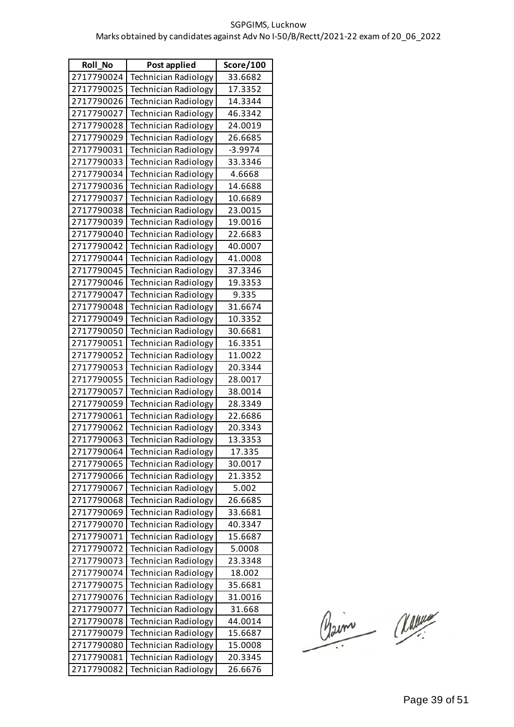| <b>Roll No</b> | Post applied                | Score/100 |
|----------------|-----------------------------|-----------|
| 2717790024     | <b>Technician Radiology</b> | 33.6682   |
| 2717790025     | <b>Technician Radiology</b> | 17.3352   |
| 2717790026     | <b>Technician Radiology</b> | 14.3344   |
| 2717790027     | <b>Technician Radiology</b> | 46.3342   |
| 2717790028     | <b>Technician Radiology</b> | 24.0019   |
| 2717790029     | <b>Technician Radiology</b> | 26.6685   |
| 2717790031     | <b>Technician Radiology</b> | $-3.9974$ |
| 2717790033     | <b>Technician Radiology</b> | 33.3346   |
| 2717790034     | <b>Technician Radiology</b> | 4.6668    |
| 2717790036     | <b>Technician Radiology</b> | 14.6688   |
| 2717790037     | <b>Technician Radiology</b> | 10.6689   |
| 2717790038     | <b>Technician Radiology</b> | 23.0015   |
| 2717790039     | <b>Technician Radiology</b> | 19.0016   |
| 2717790040     | <b>Technician Radiology</b> | 22.6683   |
| 2717790042     | <b>Technician Radiology</b> | 40.0007   |
| 2717790044     | <b>Technician Radiology</b> | 41.0008   |
| 2717790045     | <b>Technician Radiology</b> | 37.3346   |
| 2717790046     | <b>Technician Radiology</b> | 19.3353   |
| 2717790047     | <b>Technician Radiology</b> | 9.335     |
| 2717790048     | <b>Technician Radiology</b> | 31.6674   |
| 2717790049     | <b>Technician Radiology</b> | 10.3352   |
| 2717790050     | <b>Technician Radiology</b> | 30.6681   |
| 2717790051     | <b>Technician Radiology</b> | 16.3351   |
| 2717790052     | <b>Technician Radiology</b> | 11.0022   |
| 2717790053     | <b>Technician Radiology</b> | 20.3344   |
| 2717790055     | <b>Technician Radiology</b> | 28.0017   |
| 2717790057     | <b>Technician Radiology</b> | 38.0014   |
| 2717790059     | <b>Technician Radiology</b> | 28.3349   |
| 2717790061     | <b>Technician Radiology</b> | 22.6686   |
| 2717790062     | <b>Technician Radiology</b> | 20.3343   |
| 2717790063     | <b>Technician Radiology</b> | 13.3353   |
| 2717790064     | <b>Technician Radiology</b> | 17.335    |
| 2717790065     | <b>Technician Radiology</b> | 30.0017   |
| 2717790066     | <b>Technician Radiology</b> | 21.3352   |
| 2717790067     | <b>Technician Radiology</b> | 5.002     |
| 2717790068     | Technician Radiology        | 26.6685   |
| 2717790069     | <b>Technician Radiology</b> | 33.6681   |
| 2717790070     | <b>Technician Radiology</b> | 40.3347   |
| 2717790071     | <b>Technician Radiology</b> | 15.6687   |
| 2717790072     | <b>Technician Radiology</b> | 5.0008    |
| 2717790073     | Technician Radiology        | 23.3348   |
| 2717790074     | <b>Technician Radiology</b> | 18.002    |
| 2717790075     | <b>Technician Radiology</b> | 35.6681   |
| 2717790076     | <b>Technician Radiology</b> | 31.0016   |
| 2717790077     | <b>Technician Radiology</b> | 31.668    |
| 2717790078     | Technician Radiology        | 44.0014   |
| 2717790079     | Technician Radiology        | 15.6687   |
| 2717790080     | <b>Technician Radiology</b> | 15.0008   |
| 2717790081     | <b>Technician Radiology</b> | 20.3345   |
| 2717790082     | Technician Radiology        | 26.6676   |

Claim Classe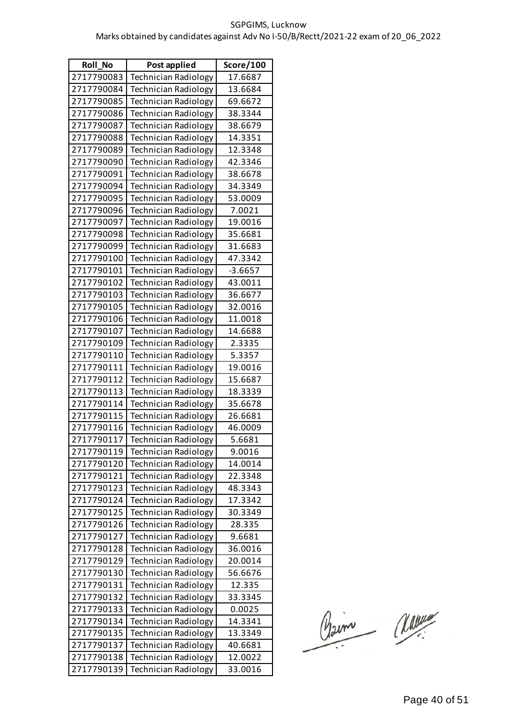| <b>Roll No</b> | Post applied                | Score/100 |
|----------------|-----------------------------|-----------|
| 2717790083     | <b>Technician Radiology</b> | 17.6687   |
| 2717790084     | Technician Radiology        | 13.6684   |
| 2717790085     | Technician Radiology        | 69.6672   |
| 2717790086     | <b>Technician Radiology</b> | 38.3344   |
| 2717790087     | <b>Technician Radiology</b> | 38.6679   |
| 2717790088     | <b>Technician Radiology</b> | 14.3351   |
| 2717790089     | <b>Technician Radiology</b> | 12.3348   |
| 2717790090     | <b>Technician Radiology</b> | 42.3346   |
| 2717790091     | Technician Radiology        | 38.6678   |
| 2717790094     | <b>Technician Radiology</b> | 34.3349   |
| 2717790095     | <b>Technician Radiology</b> | 53.0009   |
| 2717790096     | <b>Technician Radiology</b> | 7.0021    |
| 2717790097     | <b>Technician Radiology</b> | 19.0016   |
| 2717790098     | <b>Technician Radiology</b> | 35.6681   |
| 2717790099     | <b>Technician Radiology</b> | 31.6683   |
| 2717790100     | <b>Technician Radiology</b> | 47.3342   |
| 2717790101     | <b>Technician Radiology</b> | $-3.6657$ |
| 2717790102     | <b>Technician Radiology</b> | 43.0011   |
| 2717790103     | <b>Technician Radiology</b> | 36.6677   |
| 2717790105     | <b>Technician Radiology</b> | 32.0016   |
| 2717790106     | <b>Technician Radiology</b> | 11.0018   |
| 2717790107     | <b>Technician Radiology</b> | 14.6688   |
| 2717790109     | <b>Technician Radiology</b> | 2.3335    |
| 2717790110     | <b>Technician Radiology</b> | 5.3357    |
| 2717790111     | <b>Technician Radiology</b> | 19.0016   |
| 2717790112     | Technician Radiology        | 15.6687   |
| 2717790113     | <b>Technician Radiology</b> | 18.3339   |
| 2717790114     | Technician Radiology        | 35.6678   |
| 2717790115     | <b>Technician Radiology</b> | 26.6681   |
| 2717790116     | <b>Technician Radiology</b> | 46.0009   |
| 2717790117     | <b>Technician Radiology</b> | 5.6681    |
| 2717790119     | Technician Radiology        | 9.0016    |
| 2717790120     | <b>Technician Radiology</b> | 14.0014   |
| 2717790121     | <b>Technician Radiology</b> | 22.3348   |
| 2717790123     | Technician Radiology        | 48.3343   |
| 2717790124     | <b>Technician Radiology</b> | 17.3342   |
| 2717790125     | <b>Technician Radiology</b> | 30.3349   |
| 2717790126     | <b>Technician Radiology</b> | 28.335    |
| 2717790127     | <b>Technician Radiology</b> | 9.6681    |
| 2717790128     | <b>Technician Radiology</b> | 36.0016   |
| 2717790129     | <b>Technician Radiology</b> | 20.0014   |
| 2717790130     | <b>Technician Radiology</b> | 56.6676   |
| 2717790131     | <b>Technician Radiology</b> | 12.335    |
| 2717790132     | <b>Technician Radiology</b> | 33.3345   |
| 2717790133     | <b>Technician Radiology</b> | 0.0025    |
| 2717790134     | <b>Technician Radiology</b> | 14.3341   |
| 2717790135     | <b>Technician Radiology</b> | 13.3349   |
| 2717790137     | <b>Technician Radiology</b> | 40.6681   |
| 2717790138     | <b>Technician Radiology</b> | 12.0022   |
| 2717790139     | <b>Technician Radiology</b> | 33.0016   |

Claim Classe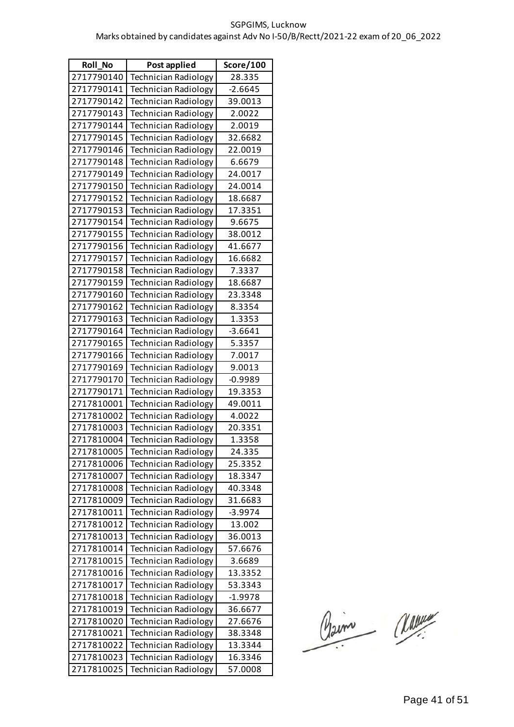| <b>Roll No</b> | Post applied                | Score/100 |
|----------------|-----------------------------|-----------|
| 2717790140     | <b>Technician Radiology</b> | 28.335    |
| 2717790141     | <b>Technician Radiology</b> | $-2.6645$ |
| 2717790142     | <b>Technician Radiology</b> | 39.0013   |
| 2717790143     | <b>Technician Radiology</b> | 2.0022    |
| 2717790144     | <b>Technician Radiology</b> | 2.0019    |
| 2717790145     | <b>Technician Radiology</b> | 32.6682   |
| 2717790146     | <b>Technician Radiology</b> | 22.0019   |
| 2717790148     | <b>Technician Radiology</b> | 6.6679    |
| 2717790149     | <b>Technician Radiology</b> | 24.0017   |
| 2717790150     | <b>Technician Radiology</b> | 24.0014   |
| 2717790152     | <b>Technician Radiology</b> | 18.6687   |
| 2717790153     | <b>Technician Radiology</b> | 17.3351   |
| 2717790154     | <b>Technician Radiology</b> | 9.6675    |
| 2717790155     | <b>Technician Radiology</b> | 38.0012   |
| 2717790156     | <b>Technician Radiology</b> | 41.6677   |
| 2717790157     | <b>Technician Radiology</b> | 16.6682   |
| 2717790158     | <b>Technician Radiology</b> | 7.3337    |
| 2717790159     | <b>Technician Radiology</b> | 18.6687   |
| 2717790160     | <b>Technician Radiology</b> | 23.3348   |
| 2717790162     | <b>Technician Radiology</b> | 8.3354    |
| 2717790163     | <b>Technician Radiology</b> | 1.3353    |
| 2717790164     | <b>Technician Radiology</b> | $-3.6641$ |
| 2717790165     | <b>Technician Radiology</b> | 5.3357    |
| 2717790166     | <b>Technician Radiology</b> | 7.0017    |
| 2717790169     | <b>Technician Radiology</b> | 9.0013    |
| 2717790170     | <b>Technician Radiology</b> | $-0.9989$ |
| 2717790171     | <b>Technician Radiology</b> | 19.3353   |
| 2717810001     | <b>Technician Radiology</b> | 49.0011   |
| 2717810002     | <b>Technician Radiology</b> | 4.0022    |
| 2717810003     | Technician Radiology        | 20.3351   |
| 2717810004     | Technician Radiology        | 1.3358    |
| 2717810005     | <b>Technician Radiology</b> | 24.335    |
| 2717810006     | <b>Technician Radiology</b> | 25.3352   |
| 2717810007     | <b>Technician Radiology</b> | 18.3347   |
| 2717810008     | <b>Technician Radiology</b> | 40.3348   |
| 2717810009     | <b>Technician Radiology</b> | 31.6683   |
| 2717810011     | Technician Radiology        | $-3.9974$ |
| 2717810012     | <b>Technician Radiology</b> | 13.002    |
| 2717810013     | <b>Technician Radiology</b> | 36.0013   |
| 2717810014     | <b>Technician Radiology</b> | 57.6676   |
| 2717810015     | <b>Technician Radiology</b> | 3.6689    |
| 2717810016     | <b>Technician Radiology</b> | 13.3352   |
| 2717810017     | <b>Technician Radiology</b> | 53.3343   |
| 2717810018     | <b>Technician Radiology</b> | $-1.9978$ |
| 2717810019     | <b>Technician Radiology</b> | 36.6677   |
| 2717810020     | <b>Technician Radiology</b> | 27.6676   |
| 2717810021     | <b>Technician Radiology</b> | 38.3348   |
| 2717810022     | <b>Technician Radiology</b> | 13.3344   |
| 2717810023     | <b>Technician Radiology</b> | 16.3346   |
| 2717810025     | Technician Radiology        | 57.0008   |

Claim Classe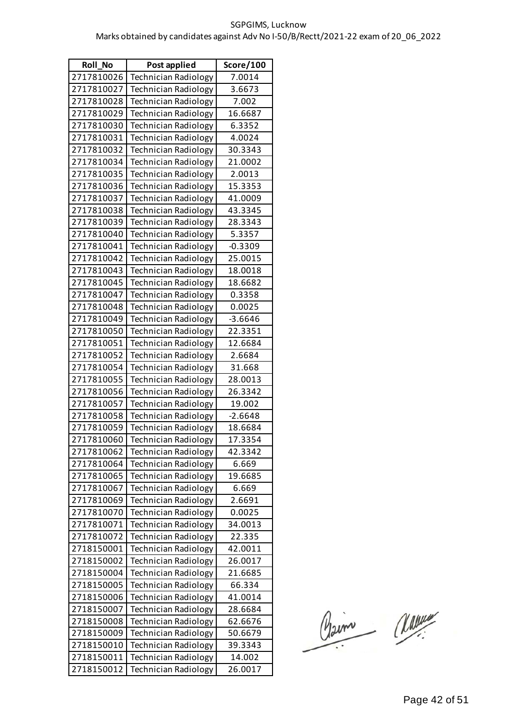| Roll_No    | Post applied                | Score/100 |
|------------|-----------------------------|-----------|
| 2717810026 | <b>Technician Radiology</b> | 7.0014    |
| 2717810027 | <b>Technician Radiology</b> | 3.6673    |
| 2717810028 | <b>Technician Radiology</b> | 7.002     |
| 2717810029 | <b>Technician Radiology</b> | 16.6687   |
| 2717810030 | <b>Technician Radiology</b> | 6.3352    |
| 2717810031 | <b>Technician Radiology</b> | 4.0024    |
| 2717810032 | <b>Technician Radiology</b> | 30.3343   |
| 2717810034 | <b>Technician Radiology</b> | 21.0002   |
| 2717810035 | <b>Technician Radiology</b> | 2.0013    |
| 2717810036 | <b>Technician Radiology</b> | 15.3353   |
| 2717810037 | <b>Technician Radiology</b> | 41.0009   |
| 2717810038 | <b>Technician Radiology</b> | 43.3345   |
| 2717810039 | <b>Technician Radiology</b> | 28.3343   |
| 2717810040 | <b>Technician Radiology</b> | 5.3357    |
| 2717810041 | <b>Technician Radiology</b> | $-0.3309$ |
| 2717810042 | <b>Technician Radiology</b> | 25.0015   |
| 2717810043 | <b>Technician Radiology</b> | 18.0018   |
| 2717810045 | <b>Technician Radiology</b> | 18.6682   |
| 2717810047 | <b>Technician Radiology</b> | 0.3358    |
| 2717810048 | <b>Technician Radiology</b> | 0.0025    |
| 2717810049 | <b>Technician Radiology</b> | $-3.6646$ |
| 2717810050 | <b>Technician Radiology</b> | 22.3351   |
| 2717810051 | <b>Technician Radiology</b> | 12.6684   |
| 2717810052 | <b>Technician Radiology</b> | 2.6684    |
| 2717810054 | <b>Technician Radiology</b> | 31.668    |
| 2717810055 | <b>Technician Radiology</b> | 28.0013   |
| 2717810056 | <b>Technician Radiology</b> | 26.3342   |
| 2717810057 | <b>Technician Radiology</b> | 19.002    |
| 2717810058 | <b>Technician Radiology</b> | $-2.6648$ |
| 2717810059 | Technician Radiology        | 18.6684   |
| 2717810060 | <b>Technician Radiology</b> | 17.3354   |
| 2717810062 | <b>Technician Radiology</b> | 42.3342   |
| 2717810064 | <b>Technician Radiology</b> | 6.669     |
| 2717810065 | Technician Radiology        | 19.6685   |
| 2717810067 | <b>Technician Radiology</b> | 6.669     |
| 2717810069 | <b>Technician Radiology</b> | 2.6691    |
| 2717810070 | <b>Technician Radiology</b> | 0.0025    |
| 2717810071 | <b>Technician Radiology</b> | 34.0013   |
| 2717810072 | Technician Radiology        | 22.335    |
| 2718150001 | Technician Radiology        | 42.0011   |
| 2718150002 | <b>Technician Radiology</b> | 26.0017   |
| 2718150004 | <b>Technician Radiology</b> | 21.6685   |
| 2718150005 | <b>Technician Radiology</b> | 66.334    |
| 2718150006 | <b>Technician Radiology</b> | 41.0014   |
| 2718150007 | Technician Radiology        | 28.6684   |
| 2718150008 | Technician Radiology        | 62.6676   |
| 2718150009 | <b>Technician Radiology</b> | 50.6679   |
| 2718150010 | <b>Technician Radiology</b> | 39.3343   |
| 2718150011 | <b>Technician Radiology</b> | 14.002    |
| 2718150012 | <b>Technician Radiology</b> | 26.0017   |

Claim Classe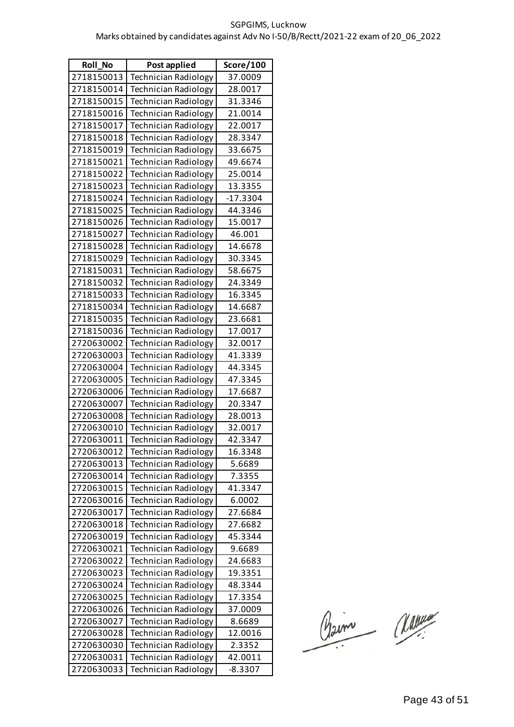| <b>Roll No</b> | Post applied                | Score/100  |
|----------------|-----------------------------|------------|
| 2718150013     | <b>Technician Radiology</b> | 37.0009    |
| 2718150014     | Technician Radiology        | 28.0017    |
| 2718150015     | Technician Radiology        | 31.3346    |
| 2718150016     | <b>Technician Radiology</b> | 21.0014    |
| 2718150017     | <b>Technician Radiology</b> | 22.0017    |
| 2718150018     | <b>Technician Radiology</b> | 28.3347    |
| 2718150019     | <b>Technician Radiology</b> | 33.6675    |
| 2718150021     | <b>Technician Radiology</b> | 49.6674    |
| 2718150022     | Technician Radiology        | 25.0014    |
| 2718150023     | <b>Technician Radiology</b> | 13.3355    |
| 2718150024     | <b>Technician Radiology</b> | $-17.3304$ |
| 2718150025     | <b>Technician Radiology</b> | 44.3346    |
| 2718150026     | <b>Technician Radiology</b> | 15.0017    |
| 2718150027     | <b>Technician Radiology</b> | 46.001     |
| 2718150028     | <b>Technician Radiology</b> | 14.6678    |
| 2718150029     | <b>Technician Radiology</b> | 30.3345    |
| 2718150031     | <b>Technician Radiology</b> | 58.6675    |
| 2718150032     | <b>Technician Radiology</b> | 24.3349    |
| 2718150033     | <b>Technician Radiology</b> | 16.3345    |
| 2718150034     | <b>Technician Radiology</b> | 14.6687    |
| 2718150035     | <b>Technician Radiology</b> | 23.6681    |
| 2718150036     | <b>Technician Radiology</b> | 17.0017    |
| 2720630002     | Technician Radiology        | 32.0017    |
| 2720630003     | <b>Technician Radiology</b> | 41.3339    |
| 2720630004     | <b>Technician Radiology</b> | 44.3345    |
| 2720630005     | <b>Technician Radiology</b> | 47.3345    |
| 2720630006     | <b>Technician Radiology</b> | 17.6687    |
| 2720630007     | Technician Radiology        | 20.3347    |
| 2720630008     | <b>Technician Radiology</b> | 28.0013    |
| 2720630010     | <b>Technician Radiology</b> | 32.0017    |
| 2720630011     | Technician Radiology        | 42.3347    |
| 2720630012     | Technician Radiology        | 16.3348    |
| 2720630013     | <b>Technician Radiology</b> | 5.6689     |
| 2720630014     | <b>Technician Radiology</b> | 7.3355     |
| 2720630015     | <b>Technician Radiology</b> | 41.3347    |
| 2720630016     | <b>Technician Radiology</b> | 6.0002     |
| 2720630017     | <b>Technician Radiology</b> | 27.6684    |
| 2720630018     | <b>Technician Radiology</b> | 27.6682    |
| 2720630019     | <b>Technician Radiology</b> | 45.3344    |
| 2720630021     | <b>Technician Radiology</b> | 9.6689     |
| 2720630022     | <b>Technician Radiology</b> | 24.6683    |
| 2720630023     | <b>Technician Radiology</b> | 19.3351    |
| 2720630024     | <b>Technician Radiology</b> | 48.3344    |
| 2720630025     | <b>Technician Radiology</b> | 17.3354    |
| 2720630026     | <b>Technician Radiology</b> | 37.0009    |
| 2720630027     | <b>Technician Radiology</b> | 8.6689     |
| 2720630028     | <b>Technician Radiology</b> | 12.0016    |
| 2720630030     | <b>Technician Radiology</b> | 2.3352     |
| 2720630031     | <b>Technician Radiology</b> | 42.0011    |
| 2720630033     | <b>Technician Radiology</b> | $-8.3307$  |

Claim Classe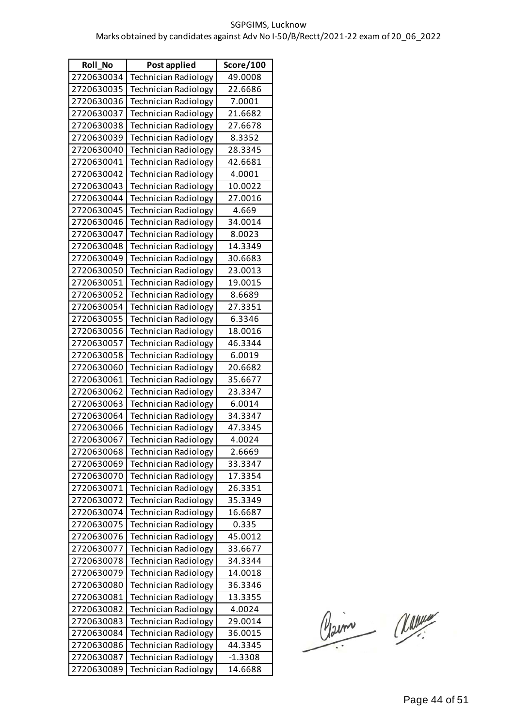| <b>Roll No</b> | Post applied                | Score/100 |
|----------------|-----------------------------|-----------|
| 2720630034     | <b>Technician Radiology</b> | 49.0008   |
| 2720630035     | <b>Technician Radiology</b> | 22.6686   |
| 2720630036     | <b>Technician Radiology</b> | 7.0001    |
| 2720630037     | <b>Technician Radiology</b> | 21.6682   |
| 2720630038     | <b>Technician Radiology</b> | 27.6678   |
| 2720630039     | Technician Radiology        | 8.3352    |
| 2720630040     | <b>Technician Radiology</b> | 28.3345   |
| 2720630041     | <b>Technician Radiology</b> | 42.6681   |
| 2720630042     | Technician Radiology        | 4.0001    |
| 2720630043     | <b>Technician Radiology</b> | 10.0022   |
| 2720630044     | <b>Technician Radiology</b> | 27.0016   |
| 2720630045     | <b>Technician Radiology</b> | 4.669     |
| 2720630046     | <b>Technician Radiology</b> | 34.0014   |
| 2720630047     | <b>Technician Radiology</b> | 8.0023    |
| 2720630048     | <b>Technician Radiology</b> | 14.3349   |
| 2720630049     | <b>Technician Radiology</b> | 30.6683   |
| 2720630050     | <b>Technician Radiology</b> | 23.0013   |
| 2720630051     | <b>Technician Radiology</b> | 19.0015   |
| 2720630052     | <b>Technician Radiology</b> | 8.6689    |
| 2720630054     | <b>Technician Radiology</b> | 27.3351   |
| 2720630055     | <b>Technician Radiology</b> | 6.3346    |
| 2720630056     | <b>Technician Radiology</b> | 18.0016   |
| 2720630057     | <b>Technician Radiology</b> | 46.3344   |
| 2720630058     | <b>Technician Radiology</b> | 6.0019    |
| 2720630060     | <b>Technician Radiology</b> | 20.6682   |
| 2720630061     | <b>Technician Radiology</b> | 35.6677   |
| 2720630062     | <b>Technician Radiology</b> | 23.3347   |
| 2720630063     | <b>Technician Radiology</b> | 6.0014    |
| 2720630064     | <b>Technician Radiology</b> | 34.3347   |
| 2720630066     | Technician Radiology        | 47.3345   |
| 2720630067     | Technician Radiology        | 4.0024    |
| 2720630068     | <b>Technician Radiology</b> | 2.6669    |
| 2720630069     | Technician Radiology        | 33.3347   |
| 2720630070     | <b>Technician Radiology</b> | 17.3354   |
| 2720630071     | <b>Technician Radiology</b> | 26.3351   |
| 2720630072     | <b>Technician Radiology</b> | 35.3349   |
| 2720630074     | <b>Technician Radiology</b> | 16.6687   |
| 2720630075     | <b>Technician Radiology</b> | 0.335     |
| 2720630076     | <b>Technician Radiology</b> | 45.0012   |
| 2720630077     | <b>Technician Radiology</b> | 33.6677   |
| 2720630078     | <b>Technician Radiology</b> | 34.3344   |
| 2720630079     | <b>Technician Radiology</b> | 14.0018   |
| 2720630080     | <b>Technician Radiology</b> | 36.3346   |
| 2720630081     | Technician Radiology        | 13.3355   |
| 2720630082     | <b>Technician Radiology</b> | 4.0024    |
| 2720630083     | <b>Technician Radiology</b> | 29.0014   |
| 2720630084     | <b>Technician Radiology</b> | 36.0015   |
| 2720630086     | <b>Technician Radiology</b> | 44.3345   |
| 2720630087     | <b>Technician Radiology</b> | $-1.3308$ |
| 2720630089     | Technician Radiology        | 14.6688   |

Claim Classe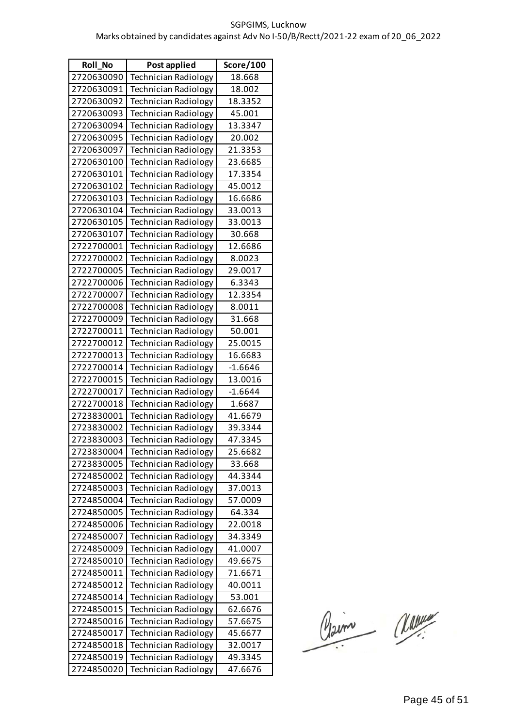| <b>Roll No</b> | Post applied                | Score/100          |
|----------------|-----------------------------|--------------------|
| 2720630090     | <b>Technician Radiology</b> | 18.668             |
| 2720630091     | <b>Technician Radiology</b> | 18.002             |
| 2720630092     | <b>Technician Radiology</b> | 18.3352            |
| 2720630093     | <b>Technician Radiology</b> | 45.001             |
| 2720630094     | <b>Technician Radiology</b> | 13.3347            |
| 2720630095     | <b>Technician Radiology</b> | 20.002             |
| 2720630097     | <b>Technician Radiology</b> | 21.3353            |
| 2720630100     | <b>Technician Radiology</b> | 23.6685            |
| 2720630101     | <b>Technician Radiology</b> | 17.3354            |
| 2720630102     | <b>Technician Radiology</b> | 45.0012            |
| 2720630103     | <b>Technician Radiology</b> | 16.6686            |
| 2720630104     | <b>Technician Radiology</b> | 33.0013            |
| 2720630105     | <b>Technician Radiology</b> | 33.0013            |
| 2720630107     | <b>Technician Radiology</b> | 30.668             |
| 2722700001     | <b>Technician Radiology</b> | 12.6686            |
| 2722700002     | <b>Technician Radiology</b> | 8.0023             |
| 2722700005     | <b>Technician Radiology</b> | 29.0017            |
| 2722700006     | <b>Technician Radiology</b> | 6.3343             |
| 2722700007     | <b>Technician Radiology</b> | 12.3354            |
| 2722700008     | <b>Technician Radiology</b> | 8.0011             |
| 2722700009     | <b>Technician Radiology</b> | 31.668             |
| 2722700011     | <b>Technician Radiology</b> | 50.001             |
| 2722700012     | <b>Technician Radiology</b> | 25.0015            |
| 2722700013     | <b>Technician Radiology</b> | 16.6683            |
| 2722700014     | <b>Technician Radiology</b> | $-1.6646$          |
| 2722700015     | <b>Technician Radiology</b> | 13.0016            |
| 2722700017     | <b>Technician Radiology</b> | $-1.6644$          |
| 2722700018     | <b>Technician Radiology</b> | 1.6687             |
| 2723830001     | <b>Technician Radiology</b> | 41.6679            |
| 2723830002     | <b>Technician Radiology</b> | 39.3344            |
| 2723830003     | Technician Radiology        | 47.3345            |
| 2723830004     | <b>Technician Radiology</b> | 25.6682            |
| 2723830005     | <b>Technician Radiology</b> | 33.668             |
| 2724850002     | <b>Technician Radiology</b> | 44.3344            |
| 2724850003     | <b>Technician Radiology</b> | 37.0013            |
| 2724850004     | <b>Technician Radiology</b> | 57.0009            |
| 2724850005     | <b>Technician Radiology</b> | 64.334             |
| 2724850006     | <b>Technician Radiology</b> | 22.0018            |
| 2724850007     | <b>Technician Radiology</b> | 34.3349            |
| 2724850009     | <b>Technician Radiology</b> | 41.0007            |
| 2724850010     | <b>Technician Radiology</b> | 49.6675            |
| 2724850011     | Technician Radiology        | 71.6671            |
| 2724850012     | <b>Technician Radiology</b> | 40.0011            |
| 2724850014     | <b>Technician Radiology</b> | 53.001             |
| 2724850015     | <b>Technician Radiology</b> | 62.6676            |
| 2724850016     | <b>Technician Radiology</b> | 57.6675            |
| 2724850017     | <b>Technician Radiology</b> | 45.6677            |
| 2724850018     | Technician Radiology        | 32.0017            |
| 2724850019     | <b>Technician Radiology</b> | 49.3345<br>47.6676 |
| 2724850020     | <b>Technician Radiology</b> |                    |

Claim Classe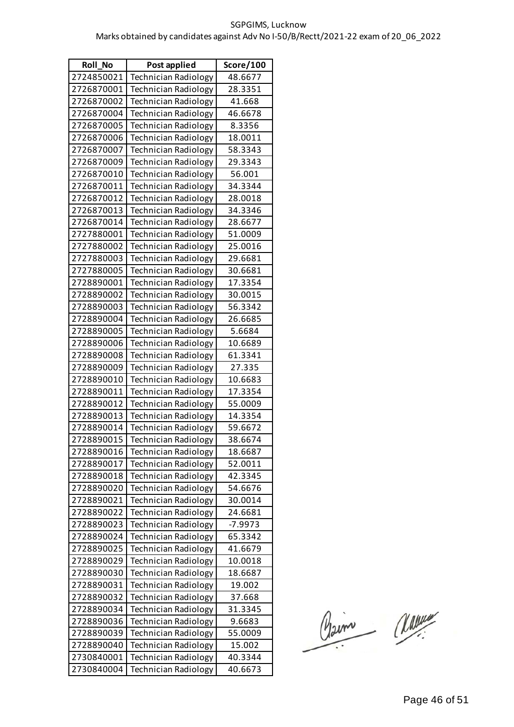| <b>Roll_No</b> | Post applied                | Score/100 |
|----------------|-----------------------------|-----------|
| 2724850021     | <b>Technician Radiology</b> | 48.6677   |
| 2726870001     | <b>Technician Radiology</b> | 28.3351   |
| 2726870002     | <b>Technician Radiology</b> | 41.668    |
| 2726870004     | <b>Technician Radiology</b> | 46.6678   |
| 2726870005     | <b>Technician Radiology</b> | 8.3356    |
| 2726870006     | <b>Technician Radiology</b> | 18.0011   |
| 2726870007     | <b>Technician Radiology</b> | 58.3343   |
| 2726870009     | <b>Technician Radiology</b> | 29.3343   |
| 2726870010     | <b>Technician Radiology</b> | 56.001    |
| 2726870011     | <b>Technician Radiology</b> | 34.3344   |
| 2726870012     | Technician Radiology        | 28.0018   |
| 2726870013     | <b>Technician Radiology</b> | 34.3346   |
| 2726870014     | Technician Radiology        | 28.6677   |
| 2727880001     | Technician Radiology        | 51.0009   |
| 2727880002     | <b>Technician Radiology</b> | 25.0016   |
| 2727880003     | <b>Technician Radiology</b> | 29.6681   |
| 2727880005     | Technician Radiology        | 30.6681   |
| 2728890001     | <b>Technician Radiology</b> | 17.3354   |
| 2728890002     | Technician Radiology        | 30.0015   |
| 2728890003     | Technician Radiology        | 56.3342   |
| 2728890004     | <b>Technician Radiology</b> | 26.6685   |
| 2728890005     | Technician Radiology        | 5.6684    |
| 2728890006     | Technician Radiology        | 10.6689   |
| 2728890008     | <b>Technician Radiology</b> | 61.3341   |
| 2728890009     | Technician Radiology        | 27.335    |
| 2728890010     | Technician Radiology        | 10.6683   |
| 2728890011     | <b>Technician Radiology</b> | 17.3354   |
| 2728890012     | <b>Technician Radiology</b> | 55.0009   |
| 2728890013     | <b>Technician Radiology</b> | 14.3354   |
| 2728890014     | <b>Technician Radiology</b> | 59.6672   |
| 2728890015     | Technician Radiology        | 38.6674   |
| 2728890016     | <b>Technician Radiology</b> | 18.6687   |
| 2728890017     | <b>Technician Radiology</b> | 52.0011   |
| 2728890018     | Technician Radiology        | 42.3345   |
| 2728890020     | <b>Technician Radiology</b> | 54.6676   |
| 2728890021     | <b>Technician Radiology</b> | 30.0014   |
| 2728890022     | <b>Technician Radiology</b> | 24.6681   |
| 2728890023     | <b>Technician Radiology</b> | -7.9973   |
| 2728890024     | <b>Technician Radiology</b> | 65.3342   |
| 2728890025     | <b>Technician Radiology</b> | 41.6679   |
| 2728890029     | <b>Technician Radiology</b> | 10.0018   |
| 2728890030     | <b>Technician Radiology</b> | 18.6687   |
| 2728890031     | <b>Technician Radiology</b> | 19.002    |
| 2728890032     | <b>Technician Radiology</b> | 37.668    |
| 2728890034     | <b>Technician Radiology</b> | 31.3345   |
| 2728890036     | <b>Technician Radiology</b> | 9.6683    |
| 2728890039     | <b>Technician Radiology</b> | 55.0009   |
| 2728890040     | <b>Technician Radiology</b> | 15.002    |
| 2730840001     | <b>Technician Radiology</b> | 40.3344   |
| 2730840004     | Technician Radiology        | 40.6673   |

Claim Classe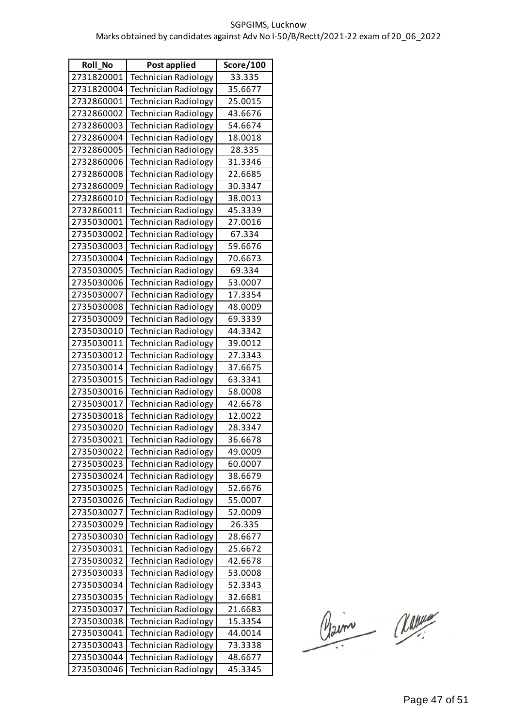| <b>Roll No</b> | Post applied                | Score/100 |
|----------------|-----------------------------|-----------|
| 2731820001     | <b>Technician Radiology</b> | 33.335    |
| 2731820004     | <b>Technician Radiology</b> | 35.6677   |
| 2732860001     | <b>Technician Radiology</b> | 25.0015   |
| 2732860002     | <b>Technician Radiology</b> | 43.6676   |
| 2732860003     | <b>Technician Radiology</b> | 54.6674   |
| 2732860004     | <b>Technician Radiology</b> | 18.0018   |
| 2732860005     | <b>Technician Radiology</b> | 28.335    |
| 2732860006     | <b>Technician Radiology</b> | 31.3346   |
| 2732860008     | <b>Technician Radiology</b> | 22.6685   |
| 2732860009     | <b>Technician Radiology</b> | 30.3347   |
| 2732860010     | <b>Technician Radiology</b> | 38.0013   |
| 2732860011     | <b>Technician Radiology</b> | 45.3339   |
| 2735030001     | <b>Technician Radiology</b> | 27.0016   |
| 2735030002     | <b>Technician Radiology</b> | 67.334    |
| 2735030003     | <b>Technician Radiology</b> | 59.6676   |
| 2735030004     | <b>Technician Radiology</b> | 70.6673   |
| 2735030005     | <b>Technician Radiology</b> | 69.334    |
| 2735030006     | <b>Technician Radiology</b> | 53.0007   |
| 2735030007     | Technician Radiology        | 17.3354   |
| 2735030008     | <b>Technician Radiology</b> | 48.0009   |
| 2735030009     | <b>Technician Radiology</b> | 69.3339   |
| 2735030010     | <b>Technician Radiology</b> | 44.3342   |
| 2735030011     | <b>Technician Radiology</b> | 39.0012   |
| 2735030012     | <b>Technician Radiology</b> | 27.3343   |
| 2735030014     | Technician Radiology        | 37.6675   |
| 2735030015     | <b>Technician Radiology</b> | 63.3341   |
| 2735030016     | <b>Technician Radiology</b> | 58.0008   |
| 2735030017     | <b>Technician Radiology</b> | 42.6678   |
| 2735030018     | <b>Technician Radiology</b> | 12.0022   |
| 2735030020     | <b>Technician Radiology</b> | 28.3347   |
| 2735030021     | Technician Radiology        | 36.6678   |
| 2735030022     | <b>Technician Radiology</b> | 49.0009   |
| 2735030023     | <b>Technician Radiology</b> | 60.0007   |
| 2735030024     | <b>Technician Radiology</b> | 38.6679   |
| 2735030025     | <b>Technician Radiology</b> | 52.6676   |
| 2735030026     | <b>Technician Radiology</b> | 55.0007   |
| 2735030027     | <b>Technician Radiology</b> | 52.0009   |
| 2735030029     | <b>Technician Radiology</b> | 26.335    |
| 2735030030     | <b>Technician Radiology</b> | 28.6677   |
| 2735030031     | <b>Technician Radiology</b> | 25.6672   |
| 2735030032     | <b>Technician Radiology</b> | 42.6678   |
| 2735030033     | <b>Technician Radiology</b> | 53.0008   |
| 2735030034     | <b>Technician Radiology</b> | 52.3343   |
| 2735030035     | <b>Technician Radiology</b> | 32.6681   |
| 2735030037     | <b>Technician Radiology</b> | 21.6683   |
| 2735030038     | <b>Technician Radiology</b> | 15.3354   |
| 2735030041     | <b>Technician Radiology</b> | 44.0014   |
| 2735030043     | <b>Technician Radiology</b> | 73.3338   |
| 2735030044     | <b>Technician Radiology</b> | 48.6677   |
| 2735030046     | <b>Technician Radiology</b> | 45.3345   |

Claim Classe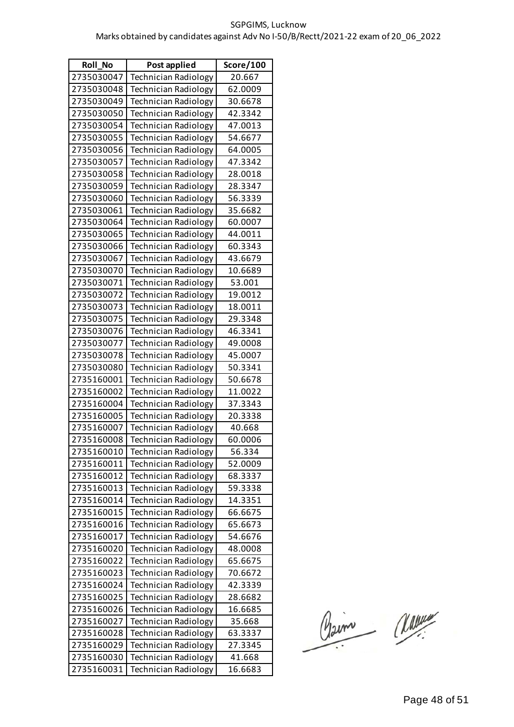| <b>Roll No</b> | Post applied                | Score/100 |
|----------------|-----------------------------|-----------|
| 2735030047     | <b>Technician Radiology</b> | 20.667    |
| 2735030048     | <b>Technician Radiology</b> | 62.0009   |
| 2735030049     | <b>Technician Radiology</b> | 30.6678   |
| 2735030050     | <b>Technician Radiology</b> | 42.3342   |
| 2735030054     | <b>Technician Radiology</b> | 47.0013   |
| 2735030055     | <b>Technician Radiology</b> | 54.6677   |
| 2735030056     | <b>Technician Radiology</b> | 64.0005   |
| 2735030057     | <b>Technician Radiology</b> | 47.3342   |
| 2735030058     | <b>Technician Radiology</b> | 28.0018   |
| 2735030059     | <b>Technician Radiology</b> | 28.3347   |
| 2735030060     | <b>Technician Radiology</b> | 56.3339   |
| 2735030061     | <b>Technician Radiology</b> | 35.6682   |
| 2735030064     | <b>Technician Radiology</b> | 60.0007   |
| 2735030065     | <b>Technician Radiology</b> | 44.0011   |
| 2735030066     | <b>Technician Radiology</b> | 60.3343   |
| 2735030067     | <b>Technician Radiology</b> | 43.6679   |
| 2735030070     | <b>Technician Radiology</b> | 10.6689   |
| 2735030071     | <b>Technician Radiology</b> | 53.001    |
| 2735030072     | <b>Technician Radiology</b> | 19.0012   |
| 2735030073     | <b>Technician Radiology</b> | 18.0011   |
| 2735030075     | <b>Technician Radiology</b> | 29.3348   |
| 2735030076     | <b>Technician Radiology</b> | 46.3341   |
| 2735030077     | <b>Technician Radiology</b> | 49.0008   |
| 2735030078     | <b>Technician Radiology</b> | 45.0007   |
| 2735030080     | <b>Technician Radiology</b> | 50.3341   |
| 2735160001     | <b>Technician Radiology</b> | 50.6678   |
| 2735160002     | <b>Technician Radiology</b> | 11.0022   |
| 2735160004     | <b>Technician Radiology</b> | 37.3343   |
| 2735160005     | <b>Technician Radiology</b> | 20.3338   |
| 2735160007     | Technician Radiology        | 40.668    |
| 2735160008     | Technician Radiology        | 60.0006   |
| 2735160010     | <b>Technician Radiology</b> | 56.334    |
| 2735160011     | <b>Technician Radiology</b> | 52.0009   |
| 2735160012     | <b>Technician Radiology</b> | 68.3337   |
| 2735160013     | Technician Radiology        | 59.3338   |
| 2735160014     | <b>Technician Radiology</b> | 14.3351   |
| 2735160015     | <b>Technician Radiology</b> | 66.6675   |
| 2735160016     | <b>Technician Radiology</b> | 65.6673   |
| 2735160017     | <b>Technician Radiology</b> | 54.6676   |
| 2735160020     | <b>Technician Radiology</b> | 48.0008   |
| 2735160022     | Technician Radiology        | 65.6675   |
| 2735160023     | <b>Technician Radiology</b> | 70.6672   |
| 2735160024     | <b>Technician Radiology</b> | 42.3339   |
| 2735160025     | <b>Technician Radiology</b> | 28.6682   |
| 2735160026     | <b>Technician Radiology</b> | 16.6685   |
| 2735160027     | <b>Technician Radiology</b> | 35.668    |
| 2735160028     | <b>Technician Radiology</b> | 63.3337   |
| 2735160029     | <b>Technician Radiology</b> | 27.3345   |
| 2735160030     | <b>Technician Radiology</b> | 41.668    |
| 2735160031     | Technician Radiology        | 16.6683   |

Claim Classe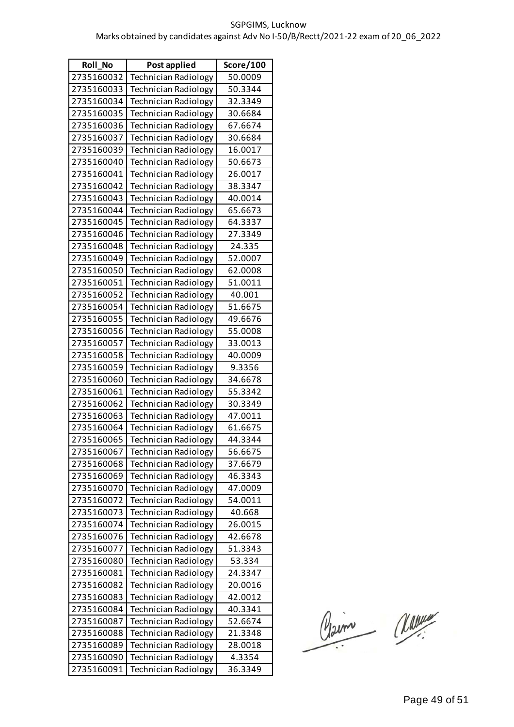| Roll_No    | Post applied                | Score/100 |
|------------|-----------------------------|-----------|
| 2735160032 | <b>Technician Radiology</b> | 50.0009   |
| 2735160033 | <b>Technician Radiology</b> | 50.3344   |
| 2735160034 | <b>Technician Radiology</b> | 32.3349   |
| 2735160035 | <b>Technician Radiology</b> | 30.6684   |
| 2735160036 | <b>Technician Radiology</b> | 67.6674   |
| 2735160037 | <b>Technician Radiology</b> | 30.6684   |
| 2735160039 | <b>Technician Radiology</b> | 16.0017   |
| 2735160040 | <b>Technician Radiology</b> | 50.6673   |
| 2735160041 | <b>Technician Radiology</b> | 26.0017   |
| 2735160042 | <b>Technician Radiology</b> | 38.3347   |
| 2735160043 | <b>Technician Radiology</b> | 40.0014   |
| 2735160044 | <b>Technician Radiology</b> | 65.6673   |
| 2735160045 | Technician Radiology        | 64.3337   |
| 2735160046 | <b>Technician Radiology</b> | 27.3349   |
| 2735160048 | <b>Technician Radiology</b> | 24.335    |
| 2735160049 | <b>Technician Radiology</b> | 52.0007   |
| 2735160050 | <b>Technician Radiology</b> | 62.0008   |
| 2735160051 | <b>Technician Radiology</b> | 51.0011   |
| 2735160052 | Technician Radiology        | 40.001    |
| 2735160054 | <b>Technician Radiology</b> | 51.6675   |
| 2735160055 | <b>Technician Radiology</b> | 49.6676   |
| 2735160056 | <b>Technician Radiology</b> | 55.0008   |
| 2735160057 | <b>Technician Radiology</b> | 33.0013   |
| 2735160058 | <b>Technician Radiology</b> | 40.0009   |
| 2735160059 | Technician Radiology        | 9.3356    |
| 2735160060 | <b>Technician Radiology</b> | 34.6678   |
| 2735160061 | <b>Technician Radiology</b> | 55.3342   |
| 2735160062 | <b>Technician Radiology</b> | 30.3349   |
| 2735160063 | <b>Technician Radiology</b> | 47.0011   |
| 2735160064 | <b>Technician Radiology</b> | 61.6675   |
| 2735160065 | Technician Radiology        | 44.3344   |
| 2735160067 | <b>Technician Radiology</b> | 56.6675   |
| 2735160068 | Technician Radiology        | 37.6679   |
| 2735160069 | <b>Technician Radiology</b> | 46.3343   |
| 2735160070 | <b>Technician Radiology</b> | 47.0009   |
| 2735160072 | <b>Technician Radiology</b> | 54.0011   |
| 2735160073 | <b>Technician Radiology</b> | 40.668    |
| 2735160074 | <b>Technician Radiology</b> | 26.0015   |
| 2735160076 | <b>Technician Radiology</b> | 42.6678   |
| 2735160077 | <b>Technician Radiology</b> | 51.3343   |
| 2735160080 | <b>Technician Radiology</b> | 53.334    |
| 2735160081 | Technician Radiology        | 24.3347   |
| 2735160082 | <b>Technician Radiology</b> | 20.0016   |
| 2735160083 | <b>Technician Radiology</b> | 42.0012   |
| 2735160084 | Technician Radiology        | 40.3341   |
| 2735160087 | <b>Technician Radiology</b> | 52.6674   |
| 2735160088 | <b>Technician Radiology</b> | 21.3348   |
| 2735160089 | Technician Radiology        | 28.0018   |
| 2735160090 | Technician Radiology        | 4.3354    |
| 2735160091 | <b>Technician Radiology</b> | 36.3349   |

Claim Classe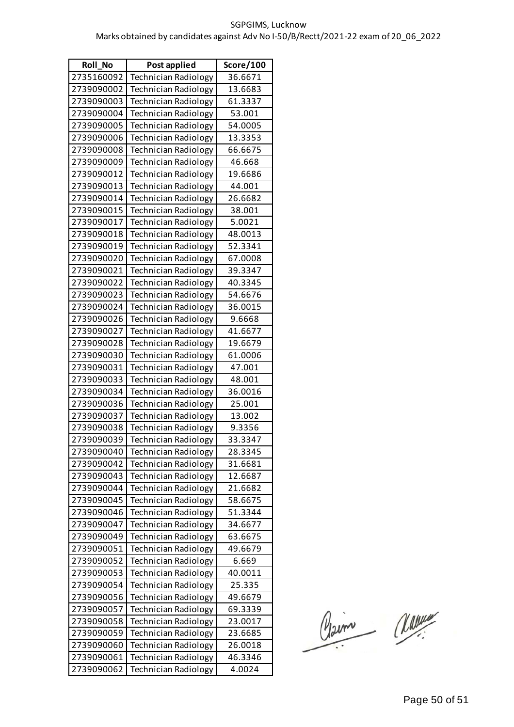| <b>Roll No</b> | Post applied                | Score/100 |
|----------------|-----------------------------|-----------|
| 2735160092     | <b>Technician Radiology</b> | 36.6671   |
| 2739090002     | <b>Technician Radiology</b> | 13.6683   |
| 2739090003     | <b>Technician Radiology</b> | 61.3337   |
| 2739090004     | <b>Technician Radiology</b> | 53.001    |
| 2739090005     | <b>Technician Radiology</b> | 54.0005   |
| 2739090006     | <b>Technician Radiology</b> | 13.3353   |
| 2739090008     | <b>Technician Radiology</b> | 66.6675   |
| 2739090009     | <b>Technician Radiology</b> | 46.668    |
| 2739090012     | Technician Radiology        | 19.6686   |
| 2739090013     | <b>Technician Radiology</b> | 44.001    |
| 2739090014     | <b>Technician Radiology</b> | 26.6682   |
| 2739090015     | <b>Technician Radiology</b> | 38.001    |
| 2739090017     | <b>Technician Radiology</b> | 5.0021    |
| 2739090018     | <b>Technician Radiology</b> | 48.0013   |
| 2739090019     | <b>Technician Radiology</b> | 52.3341   |
| 2739090020     | <b>Technician Radiology</b> | 67.0008   |
| 2739090021     | <b>Technician Radiology</b> | 39.3347   |
| 2739090022     | <b>Technician Radiology</b> | 40.3345   |
| 2739090023     | <b>Technician Radiology</b> | 54.6676   |
| 2739090024     | <b>Technician Radiology</b> | 36.0015   |
| 2739090026     | <b>Technician Radiology</b> | 9.6668    |
| 2739090027     | <b>Technician Radiology</b> | 41.6677   |
| 2739090028     | <b>Technician Radiology</b> | 19.6679   |
| 2739090030     | <b>Technician Radiology</b> | 61.0006   |
| 2739090031     | <b>Technician Radiology</b> | 47.001    |
| 2739090033     | <b>Technician Radiology</b> | 48.001    |
| 2739090034     | <b>Technician Radiology</b> | 36.0016   |
| 2739090036     | <b>Technician Radiology</b> | 25.001    |
| 2739090037     | <b>Technician Radiology</b> | 13.002    |
| 2739090038     | <b>Technician Radiology</b> | 9.3356    |
| 2739090039     | Technician Radiology        | 33.3347   |
| 2739090040     | <b>Technician Radiology</b> | 28.3345   |
| 2739090042     | <b>Technician Radiology</b> | 31.6681   |
| 2739090043     | Technician Radiology        | 12.6687   |
| 2739090044     | <b>Technician Radiology</b> | 21.6682   |
| 2739090045     | <b>Technician Radiology</b> | 58.6675   |
| 2739090046     | Technician Radiology        | 51.3344   |
| 2739090047     | <b>Technician Radiology</b> | 34.6677   |
| 2739090049     | <b>Technician Radiology</b> | 63.6675   |
| 2739090051     | <b>Technician Radiology</b> | 49.6679   |
| 2739090052     | Technician Radiology        | 6.669     |
| 2739090053     | <b>Technician Radiology</b> | 40.0011   |
| 2739090054     | <b>Technician Radiology</b> | 25.335    |
| 2739090056     | <b>Technician Radiology</b> | 49.6679   |
| 2739090057     | <b>Technician Radiology</b> | 69.3339   |
| 2739090058     | <b>Technician Radiology</b> | 23.0017   |
| 2739090059     | Technician Radiology        | 23.6685   |
| 2739090060     | <b>Technician Radiology</b> | 26.0018   |
| 2739090061     | <b>Technician Radiology</b> | 46.3346   |
| 2739090062     | Technician Radiology        | 4.0024    |

Claim Classe